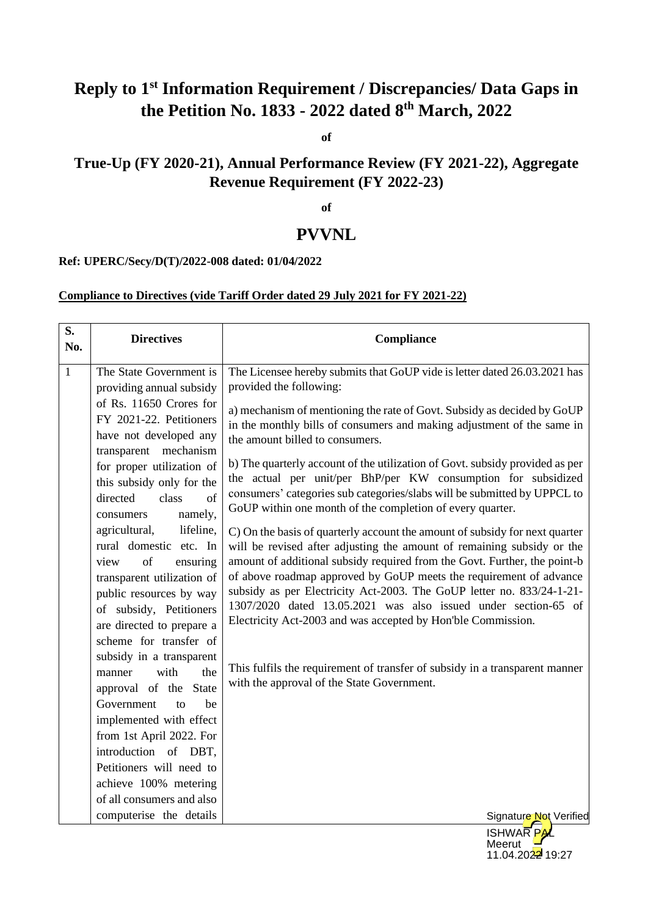# **Reply to 1st Information Requirement / Discrepancies/ Data Gaps in the Petition No. 1833 - 2022 dated 8th March, 2022**

**of**

## **True-Up (FY 2020-21), Annual Performance Review (FY 2021-22), Aggregate Revenue Requirement (FY 2022-23)**

**of** 

## **PVVNL**

#### **Ref: UPERC/Secy/D(T)/2022-008 dated: 01/04/2022**

## **Compliance to Directives (vide Tariff Order dated 29 July 2021 for FY 2021-22)**

| S.<br>No.    | <b>Directives</b>                                  | Compliance                                                                                                                                            |
|--------------|----------------------------------------------------|-------------------------------------------------------------------------------------------------------------------------------------------------------|
| $\mathbf{1}$ | The State Government is                            | The Licensee hereby submits that GoUP vide is letter dated 26.03.2021 has                                                                             |
|              | providing annual subsidy                           | provided the following:                                                                                                                               |
|              | of Rs. 11650 Crores for                            | a) mechanism of mentioning the rate of Govt. Subsidy as decided by GoUP                                                                               |
|              | FY 2021-22. Petitioners                            | in the monthly bills of consumers and making adjustment of the same in                                                                                |
|              | have not developed any                             | the amount billed to consumers.                                                                                                                       |
|              | mechanism<br>transparent                           | b) The quarterly account of the utilization of Govt. subsidy provided as per                                                                          |
|              | for proper utilization of                          | the actual per unit/per BhP/per KW consumption for subsidized                                                                                         |
|              | this subsidy only for the<br>directed<br>class     | consumers' categories sub categories/slabs will be submitted by UPPCL to                                                                              |
|              | of                                                 | GoUP within one month of the completion of every quarter.                                                                                             |
|              | namely,<br>consumers<br>agricultural,<br>lifeline, |                                                                                                                                                       |
|              | rural domestic etc. In                             | C) On the basis of quarterly account the amount of subsidy for next quarter<br>will be revised after adjusting the amount of remaining subsidy or the |
|              | of<br>view<br>ensuring                             | amount of additional subsidy required from the Govt. Further, the point-b                                                                             |
|              | transparent utilization of                         | of above roadmap approved by GoUP meets the requirement of advance                                                                                    |
|              | public resources by way                            | subsidy as per Electricity Act-2003. The GoUP letter no. 833/24-1-21-                                                                                 |
|              | of subsidy, Petitioners                            | 1307/2020 dated 13.05.2021 was also issued under section-65 of                                                                                        |
|              | are directed to prepare a                          | Electricity Act-2003 and was accepted by Hon'ble Commission.                                                                                          |
|              | scheme for transfer of                             |                                                                                                                                                       |
|              | subsidy in a transparent                           |                                                                                                                                                       |
|              | with<br>manner<br>the                              | This fulfils the requirement of transfer of subsidy in a transparent manner                                                                           |
|              | approval of the State                              | with the approval of the State Government.                                                                                                            |
|              | Government<br>be<br>$\mathsf{f}$                   |                                                                                                                                                       |
|              | implemented with effect                            |                                                                                                                                                       |
|              | from 1st April 2022. For                           |                                                                                                                                                       |
|              | introduction of DBT,                               |                                                                                                                                                       |
|              | Petitioners will need to                           |                                                                                                                                                       |
|              | achieve 100% metering                              |                                                                                                                                                       |
|              | of all consumers and also                          |                                                                                                                                                       |
|              | computerise the details                            | Signature Not Verified                                                                                                                                |
|              |                                                    | <b>ISHWARPAL</b>                                                                                                                                      |

**Meerut** 

11.04.2022 19:27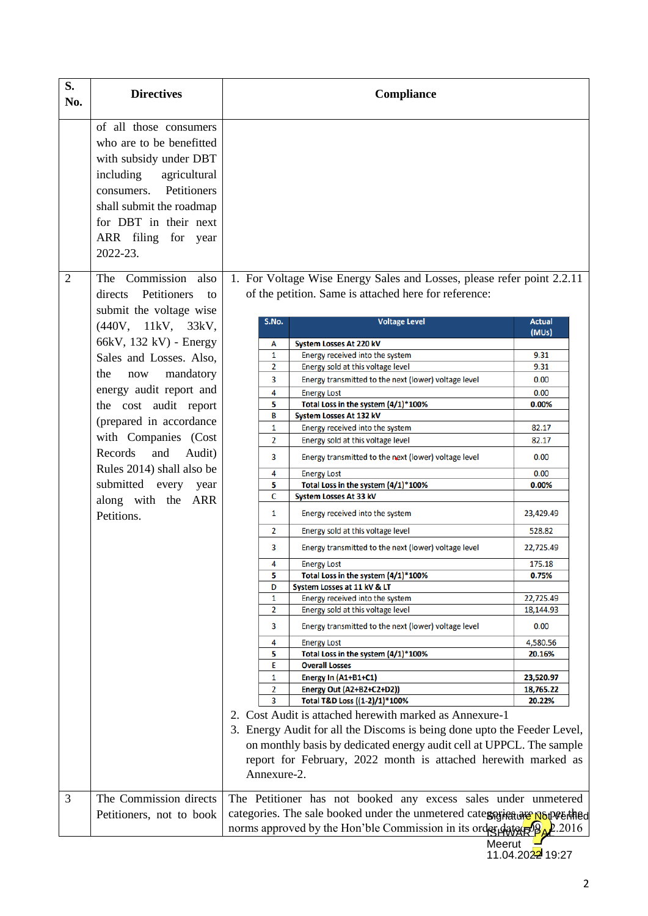| S.<br>No. | <b>Directives</b>                                                                                                                                                                                                              | Compliance                                                                    |                                                                                                                                 |                        |
|-----------|--------------------------------------------------------------------------------------------------------------------------------------------------------------------------------------------------------------------------------|-------------------------------------------------------------------------------|---------------------------------------------------------------------------------------------------------------------------------|------------------------|
|           | of all those consumers<br>who are to be benefitted<br>with subsidy under DBT<br>including<br>agricultural<br>Petitioners<br>consumers.<br>shall submit the roadmap<br>for DBT in their next<br>ARR filing for year<br>2022-23. |                                                                               |                                                                                                                                 |                        |
| 2         | The Commission also<br>Petitioners<br>directs<br>to                                                                                                                                                                            |                                                                               | 1. For Voltage Wise Energy Sales and Losses, please refer point 2.2.11<br>of the petition. Same is attached here for reference: |                        |
|           | submit the voltage wise<br>(440V, 11kV, 33kV,                                                                                                                                                                                  | S.No.                                                                         | <b>Voltage Level</b>                                                                                                            | <b>Actual</b><br>(MUs) |
|           | 66kV, 132 kV) - Energy                                                                                                                                                                                                         | А                                                                             | System Losses At 220 kV                                                                                                         |                        |
|           |                                                                                                                                                                                                                                | 1                                                                             | Energy received into the system                                                                                                 | 9.31                   |
|           | Sales and Losses. Also,                                                                                                                                                                                                        | $\overline{2}$                                                                | Energy sold at this voltage level                                                                                               | 9.31                   |
|           | mandatory<br>the<br>now                                                                                                                                                                                                        | 3                                                                             | Energy transmitted to the next (lower) voltage level                                                                            | 0.00                   |
|           | energy audit report and                                                                                                                                                                                                        | 4                                                                             |                                                                                                                                 |                        |
|           |                                                                                                                                                                                                                                | 5                                                                             | <b>Energy Lost</b><br>Total Loss in the system (4/1)*100%                                                                       | 0.00<br>0.00%          |
|           | the cost audit report                                                                                                                                                                                                          | B                                                                             | System Losses At 132 kV                                                                                                         |                        |
|           | (prepared in accordance)                                                                                                                                                                                                       | $\mathbf{1}$                                                                  | Energy received into the system                                                                                                 | 82.17                  |
|           | with Companies (Cost                                                                                                                                                                                                           | $\overline{2}$                                                                | Energy sold at this voltage level                                                                                               | 82.17                  |
|           |                                                                                                                                                                                                                                |                                                                               |                                                                                                                                 |                        |
|           | Records<br>and<br>Audit)<br>Rules 2014) shall also be                                                                                                                                                                          | 3<br>4                                                                        | Energy transmitted to the next (lower) voltage level                                                                            | 0.00<br>0.00           |
|           | submitted every                                                                                                                                                                                                                | 5                                                                             | <b>Energy Lost</b><br>Total Loss in the system (4/1)*100%                                                                       | 0.00%                  |
|           | year                                                                                                                                                                                                                           | C                                                                             | System Losses At 33 kV                                                                                                          |                        |
|           | along with the ARR<br>Petitions.                                                                                                                                                                                               | 1                                                                             | Energy received into the system                                                                                                 | 23,429.49              |
|           |                                                                                                                                                                                                                                | 2                                                                             | Energy sold at this voltage level                                                                                               | 528.82                 |
|           |                                                                                                                                                                                                                                | 3                                                                             | Energy transmitted to the next (lower) voltage level                                                                            | 22,725.49              |
|           |                                                                                                                                                                                                                                | 4                                                                             | <b>Energy Lost</b>                                                                                                              | 175.18                 |
|           |                                                                                                                                                                                                                                | 5                                                                             | Total Loss in the system (4/1)*100%                                                                                             | 0.75%                  |
|           |                                                                                                                                                                                                                                | D                                                                             | System Losses at 11 kV & LT                                                                                                     |                        |
|           |                                                                                                                                                                                                                                | 1                                                                             | Energy received into the system                                                                                                 | 22,725.49              |
|           |                                                                                                                                                                                                                                | 2                                                                             | Energy sold at this voltage level                                                                                               | 18,144.93              |
|           |                                                                                                                                                                                                                                | 3                                                                             | Energy transmitted to the next (lower) voltage level                                                                            | 0.00                   |
|           |                                                                                                                                                                                                                                | 4                                                                             | <b>Energy Lost</b>                                                                                                              | 4,580.56               |
|           |                                                                                                                                                                                                                                | 5<br>E                                                                        | Total Loss in the system (4/1)*100%<br><b>Overall Losses</b>                                                                    | 20.16%                 |
|           |                                                                                                                                                                                                                                | 1                                                                             | Energy In (A1+B1+C1)                                                                                                            | 23,520.97              |
|           |                                                                                                                                                                                                                                | 2                                                                             | Energy Out (A2+B2+C2+D2))                                                                                                       | 18,765.22              |
|           |                                                                                                                                                                                                                                | 3                                                                             | Total T&D Loss ((1-2)/1)*100%                                                                                                   | 20.22%                 |
|           |                                                                                                                                                                                                                                |                                                                               | 2. Cost Audit is attached herewith marked as Annexure-1                                                                         |                        |
|           |                                                                                                                                                                                                                                |                                                                               |                                                                                                                                 |                        |
|           |                                                                                                                                                                                                                                | 3. Energy Audit for all the Discoms is being done upto the Feeder Level,      |                                                                                                                                 |                        |
|           |                                                                                                                                                                                                                                | on monthly basis by dedicated energy audit cell at UPPCL. The sample          |                                                                                                                                 |                        |
|           |                                                                                                                                                                                                                                | report for February, 2022 month is attached herewith marked as                |                                                                                                                                 |                        |
|           |                                                                                                                                                                                                                                | Annexure-2.                                                                   |                                                                                                                                 |                        |
| 3         | The Commission directs                                                                                                                                                                                                         |                                                                               | The Petitioner has not booked any excess sales under unmetered                                                                  |                        |
|           | Petitioners, not to book                                                                                                                                                                                                       | categories. The sale booked under the unmetered categorient are not post thed |                                                                                                                                 |                        |
|           |                                                                                                                                                                                                                                |                                                                               | norms approved by the Hon'ble Commission in its order $\frac{d}{dt}$ $\frac{d}{dt}$ $\frac{d}{dt}$ 2.2016                       |                        |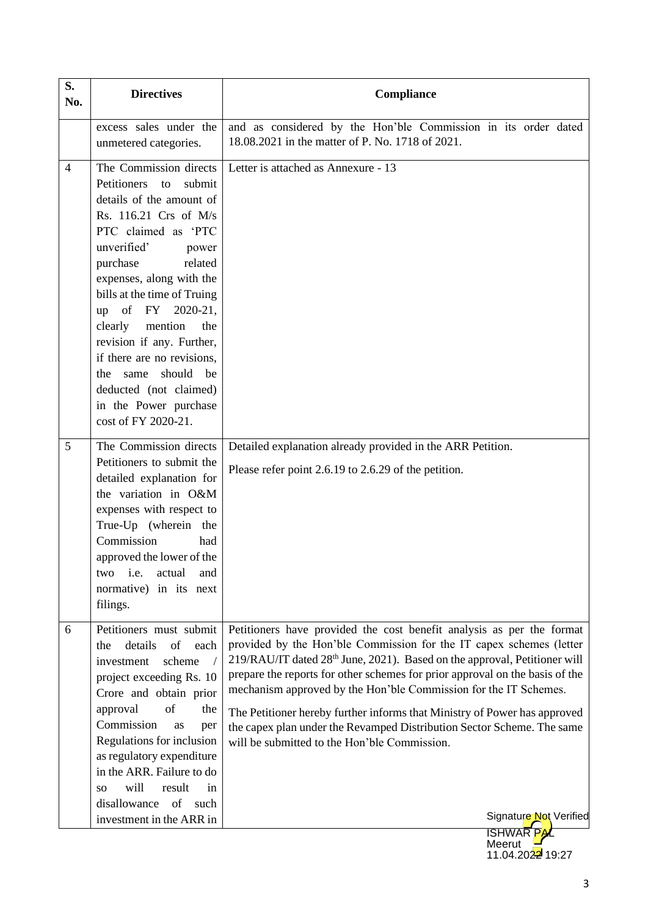| S.<br>No.      | <b>Directives</b>                                                                                                                                                                                                                                                                                                                                                                                                                                              | Compliance                                                                                                                                                                                                                                                                                                                                                                                                                                                                                                                                                                                                                 |  |
|----------------|----------------------------------------------------------------------------------------------------------------------------------------------------------------------------------------------------------------------------------------------------------------------------------------------------------------------------------------------------------------------------------------------------------------------------------------------------------------|----------------------------------------------------------------------------------------------------------------------------------------------------------------------------------------------------------------------------------------------------------------------------------------------------------------------------------------------------------------------------------------------------------------------------------------------------------------------------------------------------------------------------------------------------------------------------------------------------------------------------|--|
|                | excess sales under the<br>unmetered categories.                                                                                                                                                                                                                                                                                                                                                                                                                | and as considered by the Hon'ble Commission in its order dated<br>18.08.2021 in the matter of P. No. 1718 of 2021.                                                                                                                                                                                                                                                                                                                                                                                                                                                                                                         |  |
| $\overline{4}$ | The Commission directs<br>Petitioners<br>submit<br>to<br>details of the amount of<br>Rs. 116.21 Crs of M/s<br>PTC claimed as 'PTC<br>unverified'<br>power<br>purchase<br>related<br>expenses, along with the<br>bills at the time of Truing<br>up of FY 2020-21,<br>clearly<br>mention<br>the<br>revision if any. Further,<br>if there are no revisions,<br>should<br>the same<br>be<br>deducted (not claimed)<br>in the Power purchase<br>cost of FY 2020-21. | Letter is attached as Annexure - 13<br>Detailed explanation already provided in the ARR Petition.                                                                                                                                                                                                                                                                                                                                                                                                                                                                                                                          |  |
| 5              | The Commission directs<br>Petitioners to submit the<br>detailed explanation for<br>the variation in O&M<br>expenses with respect to<br>True-Up (wherein the<br>Commission<br>had<br>approved the lower of the<br>i.e.<br>actual<br>and<br>two<br>normative) in its next<br>filings.                                                                                                                                                                            | Please refer point 2.6.19 to 2.6.29 of the petition.                                                                                                                                                                                                                                                                                                                                                                                                                                                                                                                                                                       |  |
| 6              | Petitioners must submit<br>details<br>of<br>each<br>the<br>scheme<br>investment<br>project exceeding Rs. 10<br>Crore and obtain prior<br>of<br>approval<br>the<br>Commission<br>as<br>per<br>Regulations for inclusion<br>as regulatory expenditure<br>in the ARR. Failure to do<br>will<br>result<br>in<br>SO.<br>of<br>disallowance<br>such<br>investment in the ARR in                                                                                      | Petitioners have provided the cost benefit analysis as per the format<br>provided by the Hon'ble Commission for the IT capex schemes (letter<br>219/RAU/IT dated 28 <sup>th</sup> June, 2021). Based on the approval, Petitioner will<br>prepare the reports for other schemes for prior approval on the basis of the<br>mechanism approved by the Hon'ble Commission for the IT Schemes.<br>The Petitioner hereby further informs that Ministry of Power has approved<br>the capex plan under the Revamped Distribution Sector Scheme. The same<br>will be submitted to the Hon'ble Commission.<br>Signature Not Verified |  |

**Meerut** 

11.04.2022 19:27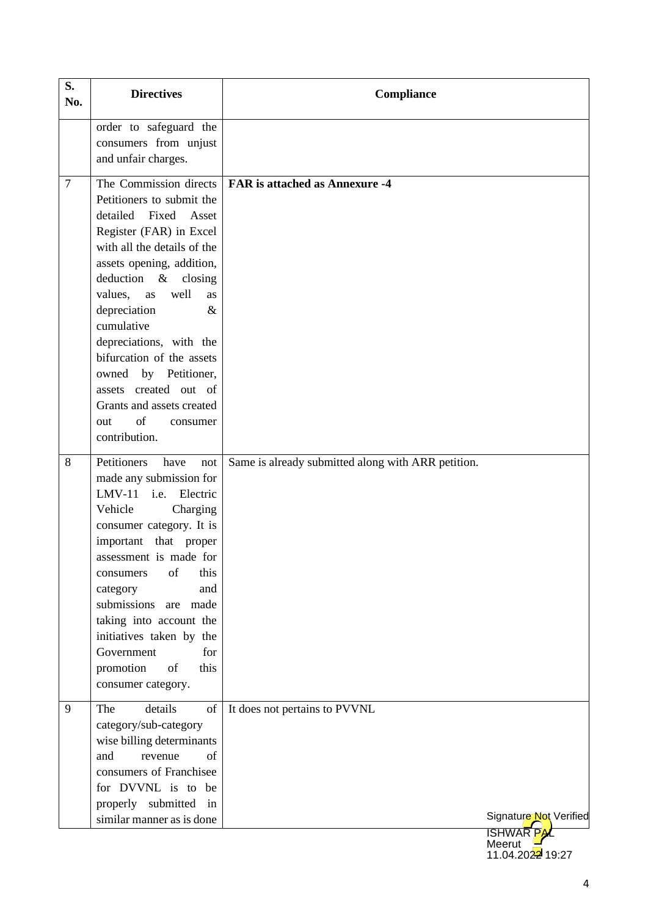| S.<br>No.      | <b>Directives</b>                                                                                                                                                                                                                                                                                                                                                                                                                                       | Compliance                                         |                                         |
|----------------|---------------------------------------------------------------------------------------------------------------------------------------------------------------------------------------------------------------------------------------------------------------------------------------------------------------------------------------------------------------------------------------------------------------------------------------------------------|----------------------------------------------------|-----------------------------------------|
|                | order to safeguard the<br>consumers from unjust<br>and unfair charges.                                                                                                                                                                                                                                                                                                                                                                                  |                                                    |                                         |
| $\overline{7}$ | The Commission directs<br>Petitioners to submit the<br>Fixed<br>detailed<br>Asset<br>Register (FAR) in Excel<br>with all the details of the<br>assets opening, addition,<br>deduction &<br>closing<br>values,<br>well<br>as<br>as<br>depreciation<br>$\&$<br>cumulative<br>depreciations, with the<br>bifurcation of the assets<br>owned by Petitioner,<br>assets created out of<br>Grants and assets created<br>of<br>out<br>consumer<br>contribution. | <b>FAR</b> is attached as Annexure -4              |                                         |
| 8              | Petitioners<br>have<br>not<br>made any submission for<br>LMV-11 i.e. Electric<br>Vehicle<br>Charging<br>consumer category. It is<br>important that proper<br>assessment is made for<br>this<br>of<br>consumers<br>and<br>category<br>submissions are made<br>taking into account the<br>initiatives taken by the<br>Government<br>for<br>promotion<br>of<br>this<br>consumer category.                                                                  | Same is already submitted along with ARR petition. |                                         |
| 9              | details<br>The<br>of<br>category/sub-category<br>wise billing determinants<br>and<br>revenue<br>of<br>consumers of Franchisee<br>for DVVNL is to be<br>properly submitted<br>in<br>similar manner as is done                                                                                                                                                                                                                                            | It does not pertains to PVVNL                      | Signature Not Verified<br><b>ISHWAF</b> |

**Meerut** 11.04.2022 19:27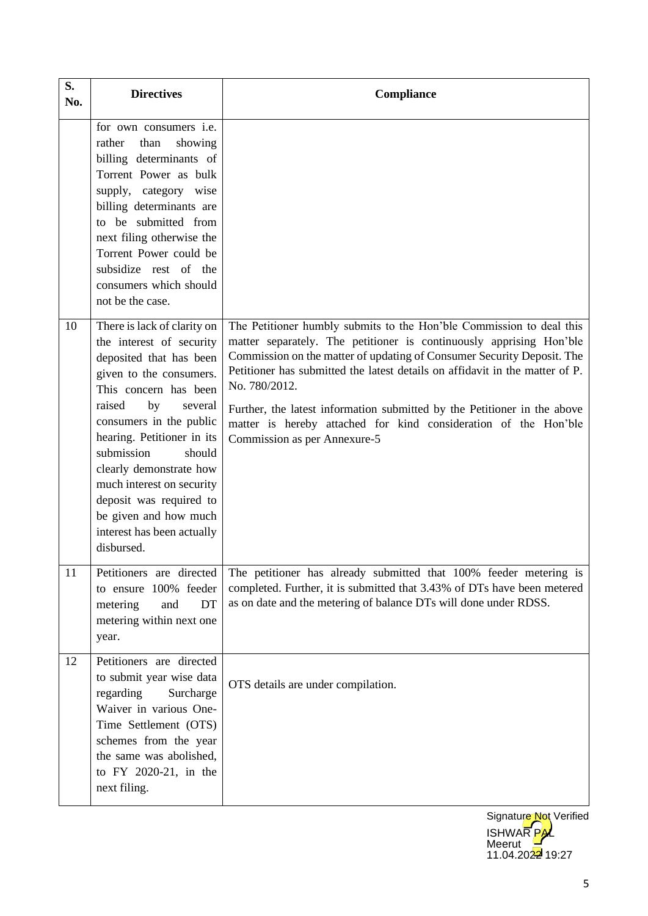| S.<br>No. | <b>Directives</b>                                                                                                                                                                                                                                                                                                                                                                                          | Compliance                                                                                                                                                                                                                                                                                                                                                                                                                                                                                            |
|-----------|------------------------------------------------------------------------------------------------------------------------------------------------------------------------------------------------------------------------------------------------------------------------------------------------------------------------------------------------------------------------------------------------------------|-------------------------------------------------------------------------------------------------------------------------------------------------------------------------------------------------------------------------------------------------------------------------------------------------------------------------------------------------------------------------------------------------------------------------------------------------------------------------------------------------------|
|           | for own consumers i.e.<br>showing<br>than<br>rather<br>billing determinants of<br>Torrent Power as bulk<br>supply, category wise<br>billing determinants are<br>to be submitted from<br>next filing otherwise the<br>Torrent Power could be<br>subsidize rest of the<br>consumers which should<br>not be the case.                                                                                         |                                                                                                                                                                                                                                                                                                                                                                                                                                                                                                       |
| 10        | There is lack of clarity on<br>the interest of security<br>deposited that has been<br>given to the consumers.<br>This concern has been<br>raised<br>by<br>several<br>consumers in the public<br>hearing. Petitioner in its<br>submission<br>should<br>clearly demonstrate how<br>much interest on security<br>deposit was required to<br>be given and how much<br>interest has been actually<br>disbursed. | The Petitioner humbly submits to the Hon'ble Commission to deal this<br>matter separately. The petitioner is continuously apprising Hon'ble<br>Commission on the matter of updating of Consumer Security Deposit. The<br>Petitioner has submitted the latest details on affidavit in the matter of P.<br>No. 780/2012.<br>Further, the latest information submitted by the Petitioner in the above<br>matter is hereby attached for kind consideration of the Hon'ble<br>Commission as per Annexure-5 |
| 11        | Petitioners are directed<br>to ensure 100% feeder<br>and<br>DT<br>metering<br>metering within next one<br>year.                                                                                                                                                                                                                                                                                            | The petitioner has already submitted that 100% feeder metering is<br>completed. Further, it is submitted that 3.43% of DTs have been metered<br>as on date and the metering of balance DTs will done under RDSS.                                                                                                                                                                                                                                                                                      |
| 12        | Petitioners are directed<br>to submit year wise data<br>regarding<br>Surcharge<br>Waiver in various One-<br>Time Settlement (OTS)<br>schemes from the year<br>the same was abolished,<br>to FY 2020-21, in the<br>next filing.                                                                                                                                                                             | OTS details are under compilation.                                                                                                                                                                                                                                                                                                                                                                                                                                                                    |

**ISHWAR PAL Meerut** 11.04.2022 19:27 Signature Not Verified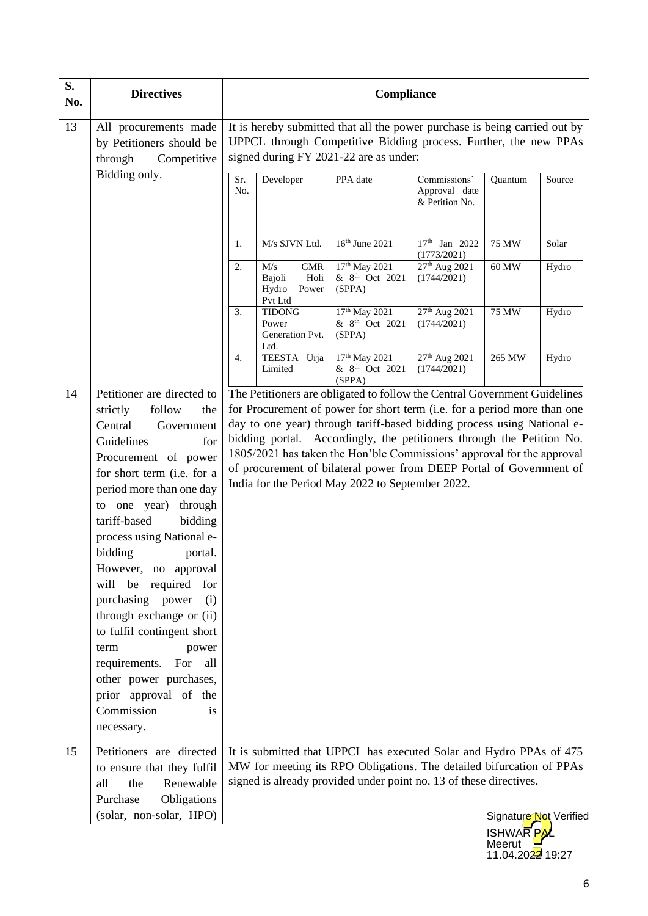| S.<br>No.                                                                                                                   | <b>Directives</b>                                                                                                                                                                                                                                                                                                                                                                                                                                                                                                                            | Compliance                                                                                                                                                                                                                                                                                                                                                                                                                                                                                                                                                                            |                                                                                                                                                |                                           |
|-----------------------------------------------------------------------------------------------------------------------------|----------------------------------------------------------------------------------------------------------------------------------------------------------------------------------------------------------------------------------------------------------------------------------------------------------------------------------------------------------------------------------------------------------------------------------------------------------------------------------------------------------------------------------------------|---------------------------------------------------------------------------------------------------------------------------------------------------------------------------------------------------------------------------------------------------------------------------------------------------------------------------------------------------------------------------------------------------------------------------------------------------------------------------------------------------------------------------------------------------------------------------------------|------------------------------------------------------------------------------------------------------------------------------------------------|-------------------------------------------|
| 13<br>All procurements made<br>by Petitioners should be<br>signed during FY 2021-22 are as under:<br>through<br>Competitive |                                                                                                                                                                                                                                                                                                                                                                                                                                                                                                                                              |                                                                                                                                                                                                                                                                                                                                                                                                                                                                                                                                                                                       | It is hereby submitted that all the power purchase is being carried out by<br>UPPCL through Competitive Bidding process. Further, the new PPAs |                                           |
|                                                                                                                             | Bidding only.                                                                                                                                                                                                                                                                                                                                                                                                                                                                                                                                | Sr.<br>Developer<br>PPA date<br>No.                                                                                                                                                                                                                                                                                                                                                                                                                                                                                                                                                   | Commissions'<br>Approval date<br>& Petition No.                                                                                                | Source<br>Quantum                         |
|                                                                                                                             |                                                                                                                                                                                                                                                                                                                                                                                                                                                                                                                                              | M/s SJVN Ltd.<br>1.                                                                                                                                                                                                                                                                                                                                                                                                                                                                                                                                                                   | 16th June 2021<br>17th Jan 2022<br>(1773/2021)                                                                                                 | 75 MW<br>Solar                            |
|                                                                                                                             |                                                                                                                                                                                                                                                                                                                                                                                                                                                                                                                                              | M/s<br><b>GMR</b><br>2.<br>Bajoli<br>Holi<br>(SPPA)<br>Hydro<br>Power<br>Pvt Ltd                                                                                                                                                                                                                                                                                                                                                                                                                                                                                                      | 17th May 2021<br>27 <sup>th</sup> Aug 2021<br>& 8 <sup>th</sup> Oct 2021<br>(1744/2021)                                                        | 60 MW<br>Hydro                            |
|                                                                                                                             |                                                                                                                                                                                                                                                                                                                                                                                                                                                                                                                                              | <b>TIDONG</b><br>3.<br>Power<br>Generation Pvt.<br>(SPPA)<br>Ltd.                                                                                                                                                                                                                                                                                                                                                                                                                                                                                                                     | 17 <sup>th</sup> May 2021<br>27 <sup>th</sup> Aug 2021<br>& 8 <sup>th</sup> Oct 2021<br>(1744/2021)                                            | <b>75 MW</b><br>Hydro                     |
|                                                                                                                             |                                                                                                                                                                                                                                                                                                                                                                                                                                                                                                                                              | TEESTA Urja<br>4.<br>Limited<br>(SPPA)                                                                                                                                                                                                                                                                                                                                                                                                                                                                                                                                                | 17 <sup>th</sup> May 2021<br>27 <sup>th</sup> Aug 2021<br>& 8 <sup>th</sup> Oct 2021<br>(1744/2021)                                            | 265 MW<br>Hydro                           |
| 14                                                                                                                          | follow<br>strictly<br>the<br>Central<br>Government<br>Guidelines<br>for<br>Procurement of power<br>for short term (i.e. for a<br>period more than one day<br>to one year)<br>through<br>tariff-based<br>bidding<br>process using National e-<br>bidding<br>portal.<br>However, no approval<br>will be required<br>for<br>purchasing power<br>(i)<br>through exchange or (ii)<br>to fulfil contingent short<br>power<br>term<br>For all<br>requirements.<br>other power purchases,<br>prior approval of the<br>Commission<br>is<br>necessary. | The Petitioners are obligated to follow the Central Government Guidelines<br>for Procurement of power for short term (i.e. for a period more than one<br>day to one year) through tariff-based bidding process using National e-<br>bidding portal. Accordingly, the petitioners through the Petition No.<br>1805/2021 has taken the Hon'ble Commissions' approval for the approval<br>of procurement of bilateral power from DEEP Portal of Government of<br>India for the Period May 2022 to September 2022.<br>It is submitted that UPPCL has executed Solar and Hydro PPAs of 475 |                                                                                                                                                |                                           |
| 15                                                                                                                          | Petitioners are directed<br>to ensure that they fulfil<br>Renewable<br>the<br>all<br>Purchase<br>Obligations                                                                                                                                                                                                                                                                                                                                                                                                                                 | MW for meeting its RPO Obligations. The detailed bifurcation of PPAs<br>signed is already provided under point no. 13 of these directives.                                                                                                                                                                                                                                                                                                                                                                                                                                            |                                                                                                                                                |                                           |
|                                                                                                                             | (solar, non-solar, HPO)                                                                                                                                                                                                                                                                                                                                                                                                                                                                                                                      |                                                                                                                                                                                                                                                                                                                                                                                                                                                                                                                                                                                       |                                                                                                                                                | Signature Not Verified<br><b>ISHWARPA</b> |

**Meerut** 11.04.2022 19:27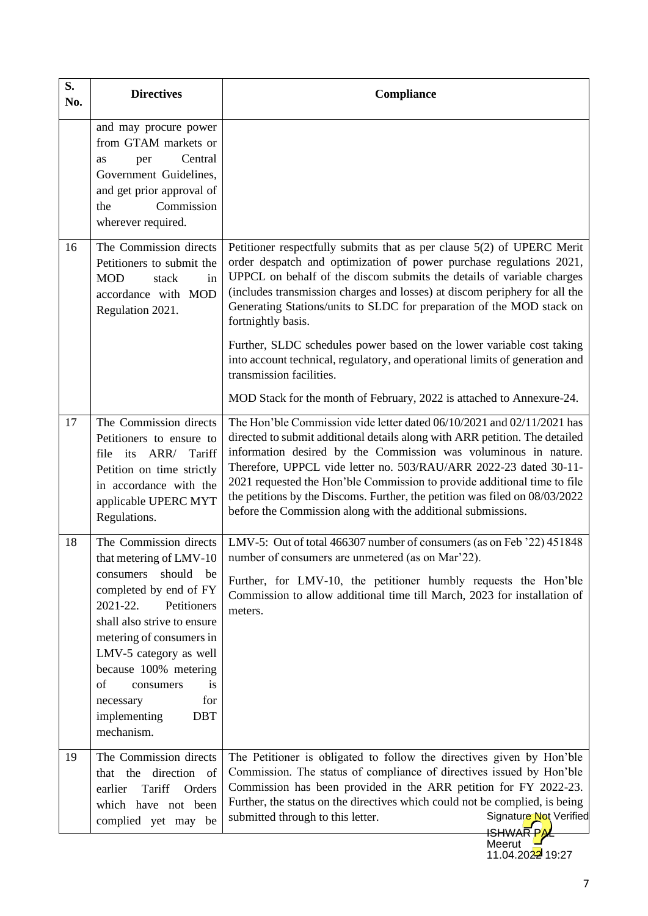| S.<br>No. | <b>Directives</b>                                                                                                                                                                                                                                                                            | Compliance                                                                                                                                                                                                                                                                                                                                                                                                                                                                                                               |
|-----------|----------------------------------------------------------------------------------------------------------------------------------------------------------------------------------------------------------------------------------------------------------------------------------------------|--------------------------------------------------------------------------------------------------------------------------------------------------------------------------------------------------------------------------------------------------------------------------------------------------------------------------------------------------------------------------------------------------------------------------------------------------------------------------------------------------------------------------|
|           | and may procure power<br>from GTAM markets or<br>Central<br>as<br>per<br>Government Guidelines,<br>and get prior approval of<br>Commission<br>the<br>wherever required.                                                                                                                      |                                                                                                                                                                                                                                                                                                                                                                                                                                                                                                                          |
| 16        | The Commission directs<br>Petitioners to submit the<br><b>MOD</b><br>stack<br>in<br>accordance with MOD<br>Regulation 2021.                                                                                                                                                                  | Petitioner respectfully submits that as per clause 5(2) of UPERC Merit<br>order despatch and optimization of power purchase regulations 2021,<br>UPPCL on behalf of the discom submits the details of variable charges<br>(includes transmission charges and losses) at discom periphery for all the<br>Generating Stations/units to SLDC for preparation of the MOD stack on<br>fortnightly basis.                                                                                                                      |
|           |                                                                                                                                                                                                                                                                                              | Further, SLDC schedules power based on the lower variable cost taking<br>into account technical, regulatory, and operational limits of generation and<br>transmission facilities.                                                                                                                                                                                                                                                                                                                                        |
|           |                                                                                                                                                                                                                                                                                              | MOD Stack for the month of February, 2022 is attached to Annexure-24.                                                                                                                                                                                                                                                                                                                                                                                                                                                    |
| 17        | The Commission directs<br>Petitioners to ensure to<br>ARR/<br>file its<br>Tariff<br>Petition on time strictly<br>in accordance with the<br>applicable UPERC MYT<br>Regulations.                                                                                                              | The Hon'ble Commission vide letter dated 06/10/2021 and 02/11/2021 has<br>directed to submit additional details along with ARR petition. The detailed<br>information desired by the Commission was voluminous in nature.<br>Therefore, UPPCL vide letter no. 503/RAU/ARR 2022-23 dated 30-11-<br>2021 requested the Hon'ble Commission to provide additional time to file<br>the petitions by the Discoms. Further, the petition was filed on 08/03/2022<br>before the Commission along with the additional submissions. |
| 18        | The Commission directs<br>that metering of LMV-10                                                                                                                                                                                                                                            | LMV-5: Out of total 466307 number of consumers (as on Feb '22) 451848<br>number of consumers are unmetered (as on Mar'22).                                                                                                                                                                                                                                                                                                                                                                                               |
|           | should<br>be<br>consumers<br>completed by end of FY<br>2021-22.<br>Petitioners<br>shall also strive to ensure<br>metering of consumers in<br>LMV-5 category as well<br>because 100% metering<br>of<br>consumers<br><i>is</i><br>for<br>necessary<br>implementing<br><b>DBT</b><br>mechanism. | Further, for LMV-10, the petitioner humbly requests the Hon'ble<br>Commission to allow additional time till March, 2023 for installation of<br>meters.                                                                                                                                                                                                                                                                                                                                                                   |
| 19        | The Commission directs<br>that the direction of<br>Tariff<br>earlier<br>Orders<br>which have not been<br>complied yet may be                                                                                                                                                                 | The Petitioner is obligated to follow the directives given by Hon'ble<br>Commission. The status of compliance of directives issued by Hon'ble<br>Commission has been provided in the ARR petition for FY 2022-23.<br>Further, the status on the directives which could not be complied, is being<br>Signature Not Verified<br>submitted through to this letter.<br>Meerut                                                                                                                                                |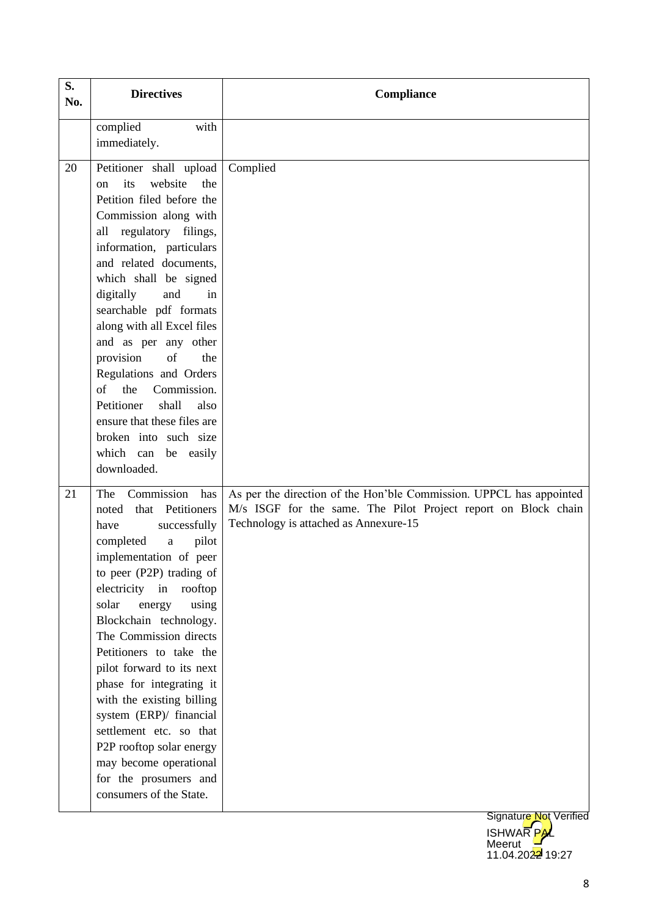| S.<br>No. | <b>Directives</b>                                                                                                                                                                                                                                                                                                                                                                                                                                                                                                                                                    | Compliance                                                                                                                                                                     |
|-----------|----------------------------------------------------------------------------------------------------------------------------------------------------------------------------------------------------------------------------------------------------------------------------------------------------------------------------------------------------------------------------------------------------------------------------------------------------------------------------------------------------------------------------------------------------------------------|--------------------------------------------------------------------------------------------------------------------------------------------------------------------------------|
|           | complied<br>with<br>immediately.                                                                                                                                                                                                                                                                                                                                                                                                                                                                                                                                     |                                                                                                                                                                                |
| 20        | Petitioner shall upload<br>its<br>website<br>the<br>$\alpha$<br>Petition filed before the<br>Commission along with<br>all regulatory filings,<br>information, particulars<br>and related documents,<br>which shall be signed<br>digitally<br>and<br>in<br>searchable pdf formats<br>along with all Excel files<br>and as per any other<br>provision<br>of<br>the<br>Regulations and Orders<br>the<br>of<br>Commission.<br>Petitioner<br>shall<br>also<br>ensure that these files are<br>broken into such size<br>which can be easily<br>downloaded.                  | Complied                                                                                                                                                                       |
| 21        | The Commission has<br>that Petitioners<br>noted<br>successfully<br>have<br>completed<br>pilot<br>$\mathbf{a}$<br>implementation of peer<br>to peer (P2P) trading of<br>electricity<br>in<br>rooftop<br>solar<br>energy<br>using<br>Blockchain technology.<br>The Commission directs<br>Petitioners to take the<br>pilot forward to its next<br>phase for integrating it<br>with the existing billing<br>system (ERP)/ financial<br>settlement etc. so that<br>P2P rooftop solar energy<br>may become operational<br>for the prosumers and<br>consumers of the State. | As per the direction of the Hon'ble Commission. UPPCL has appointed<br>M/s ISGF for the same. The Pilot Project report on Block chain<br>Technology is attached as Annexure-15 |
|           |                                                                                                                                                                                                                                                                                                                                                                                                                                                                                                                                                                      | Signature Not Verified<br><b>ISHWARPAL</b>                                                                                                                                     |

**Meerut** 

11.04.2022 19:27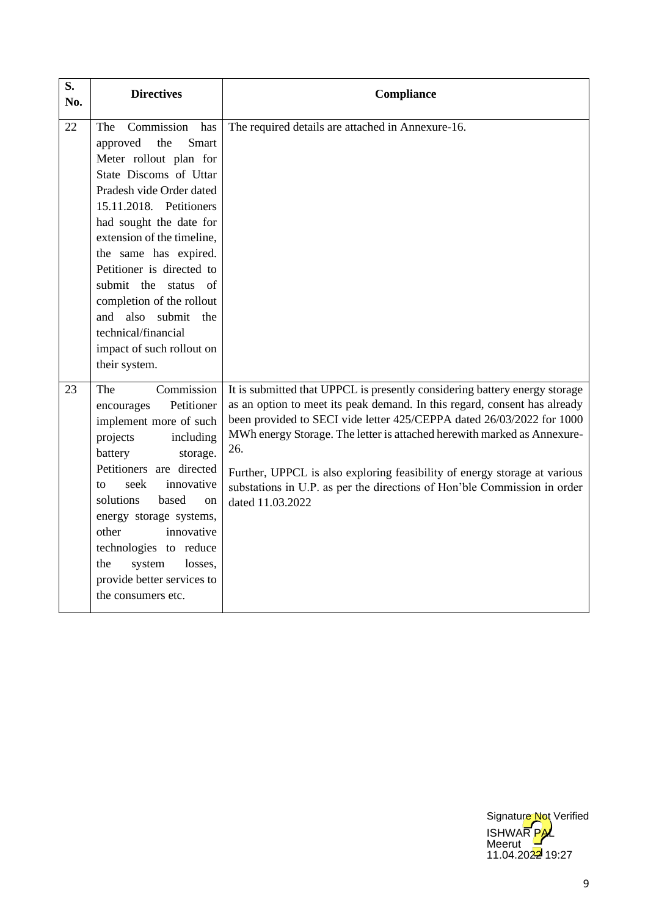| S.<br>No. | <b>Directives</b>                                                                                                                                                                                                                                                                                                                                                                                                                     | Compliance                                                                                                                                                                                                                                                                                                                                                                                                                                                                                      |
|-----------|---------------------------------------------------------------------------------------------------------------------------------------------------------------------------------------------------------------------------------------------------------------------------------------------------------------------------------------------------------------------------------------------------------------------------------------|-------------------------------------------------------------------------------------------------------------------------------------------------------------------------------------------------------------------------------------------------------------------------------------------------------------------------------------------------------------------------------------------------------------------------------------------------------------------------------------------------|
| 22        | Commission<br>has<br>The<br>approved<br>the<br>Smart<br>Meter rollout plan for<br>State Discoms of Uttar<br>Pradesh vide Order dated<br>15.11.2018. Petitioners<br>had sought the date for<br>extension of the timeline,<br>the same has expired.<br>Petitioner is directed to<br>submit the status of<br>completion of the rollout<br>also submit<br>and<br>the<br>technical/financial<br>impact of such rollout on<br>their system. | The required details are attached in Annexure-16.                                                                                                                                                                                                                                                                                                                                                                                                                                               |
| 23        | Commission<br>The<br>Petitioner<br>encourages<br>implement more of such<br>projects<br>including<br>battery<br>storage.<br>Petitioners are directed<br>seek<br>innovative<br>to<br>solutions<br>based<br><sub>on</sub><br>energy storage systems,<br>innovative<br>other<br>technologies to reduce<br>system<br>the<br>losses,<br>provide better services to<br>the consumers etc.                                                    | It is submitted that UPPCL is presently considering battery energy storage<br>as an option to meet its peak demand. In this regard, consent has already<br>been provided to SECI vide letter 425/CEPPA dated 26/03/2022 for 1000<br>MWh energy Storage. The letter is attached herewith marked as Annexure-<br>26.<br>Further, UPPCL is also exploring feasibility of energy storage at various<br>substations in U.P. as per the directions of Hon'ble Commission in order<br>dated 11.03.2022 |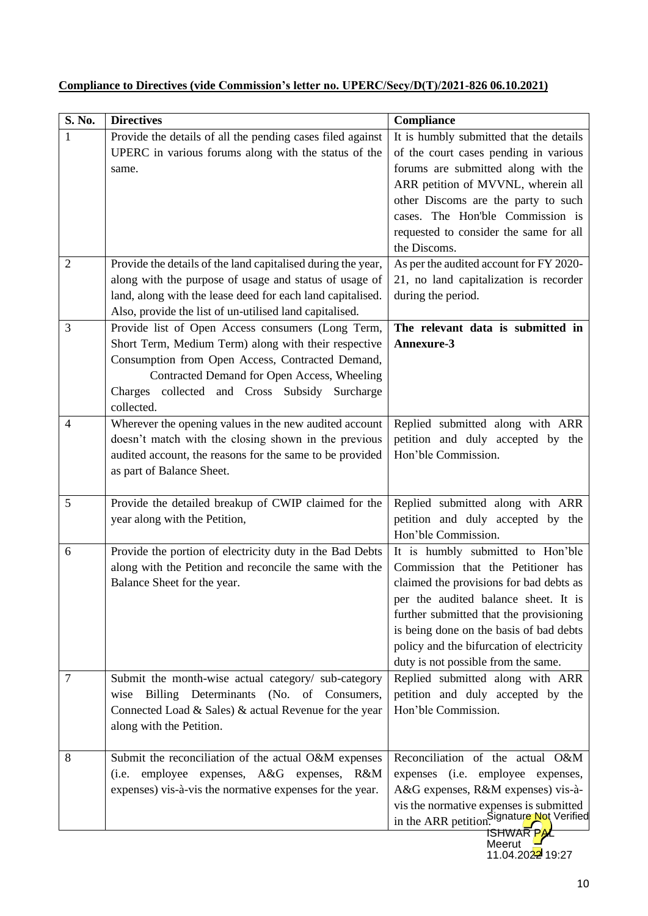| $\overline{\mathbf{S}}$ . No. | <b>Directives</b>                                                                     | Compliance                                                                             |
|-------------------------------|---------------------------------------------------------------------------------------|----------------------------------------------------------------------------------------|
| 1                             | Provide the details of all the pending cases filed against                            | It is humbly submitted that the details                                                |
|                               | UPERC in various forums along with the status of the                                  | of the court cases pending in various                                                  |
|                               | same.                                                                                 | forums are submitted along with the                                                    |
|                               |                                                                                       | ARR petition of MVVNL, wherein all                                                     |
|                               |                                                                                       | other Discoms are the party to such                                                    |
|                               |                                                                                       | cases. The Hon'ble Commission is                                                       |
|                               |                                                                                       | requested to consider the same for all<br>the Discoms.                                 |
| $\overline{2}$                | Provide the details of the land capitalised during the year,                          | As per the audited account for FY 2020-                                                |
|                               | along with the purpose of usage and status of usage of                                | 21, no land capitalization is recorder                                                 |
|                               | land, along with the lease deed for each land capitalised.                            | during the period.                                                                     |
|                               | Also, provide the list of un-utilised land capitalised.                               |                                                                                        |
| 3                             | Provide list of Open Access consumers (Long Term,                                     | The relevant data is submitted in                                                      |
|                               | Short Term, Medium Term) along with their respective                                  | Annexure-3                                                                             |
|                               | Consumption from Open Access, Contracted Demand,                                      |                                                                                        |
|                               | Contracted Demand for Open Access, Wheeling                                           |                                                                                        |
|                               | Charges collected and Cross Subsidy Surcharge                                         |                                                                                        |
|                               | collected.                                                                            |                                                                                        |
| $\overline{4}$                | Wherever the opening values in the new audited account                                | Replied submitted along with ARR                                                       |
|                               | doesn't match with the closing shown in the previous                                  | petition and duly accepted by the                                                      |
|                               | audited account, the reasons for the same to be provided<br>as part of Balance Sheet. | Hon'ble Commission.                                                                    |
|                               |                                                                                       |                                                                                        |
| 5                             | Provide the detailed breakup of CWIP claimed for the                                  | Replied submitted along with ARR                                                       |
|                               | year along with the Petition,                                                         | petition and duly accepted by the                                                      |
|                               |                                                                                       | Hon'ble Commission.                                                                    |
| 6                             | Provide the portion of electricity duty in the Bad Debts                              | It is humbly submitted to Hon'ble                                                      |
|                               | along with the Petition and reconcile the same with the                               | Commission that the Petitioner has                                                     |
|                               | Balance Sheet for the year.                                                           | claimed the provisions for bad debts as                                                |
|                               |                                                                                       | per the audited balance sheet. It is                                                   |
|                               |                                                                                       | further submitted that the provisioning                                                |
|                               |                                                                                       | is being done on the basis of bad debts                                                |
|                               |                                                                                       | policy and the bifurcation of electricity<br>duty is not possible from the same.       |
| $\tau$                        | Submit the month-wise actual category/ sub-category                                   | Replied submitted along with ARR                                                       |
|                               | Billing Determinants<br>wise<br>(No. of Consumers,                                    | petition and duly accepted by the                                                      |
|                               | Connected Load & Sales) & actual Revenue for the year                                 | Hon'ble Commission.                                                                    |
|                               | along with the Petition.                                                              |                                                                                        |
|                               |                                                                                       |                                                                                        |
| 8                             | Submit the reconciliation of the actual O&M expenses                                  | Reconciliation of the actual O&M                                                       |
|                               | (i.e. employee expenses, A&G expenses, R&M                                            | expenses (i.e. employee expenses,                                                      |
|                               | expenses) vis-à-vis the normative expenses for the year.                              | A&G expenses, R&M expenses) vis-à-                                                     |
|                               |                                                                                       | vis the normative expenses is submitted<br>in the ARR petition. Signature Not Verified |
|                               |                                                                                       | ISHWAR PA                                                                              |

| Compliance to Directives (vide Commission's letter no. UPERC/Secy/D(T)/2021-826 06.10.2021) |
|---------------------------------------------------------------------------------------------|
|---------------------------------------------------------------------------------------------|

**Meerut** 11.04.2022 19:27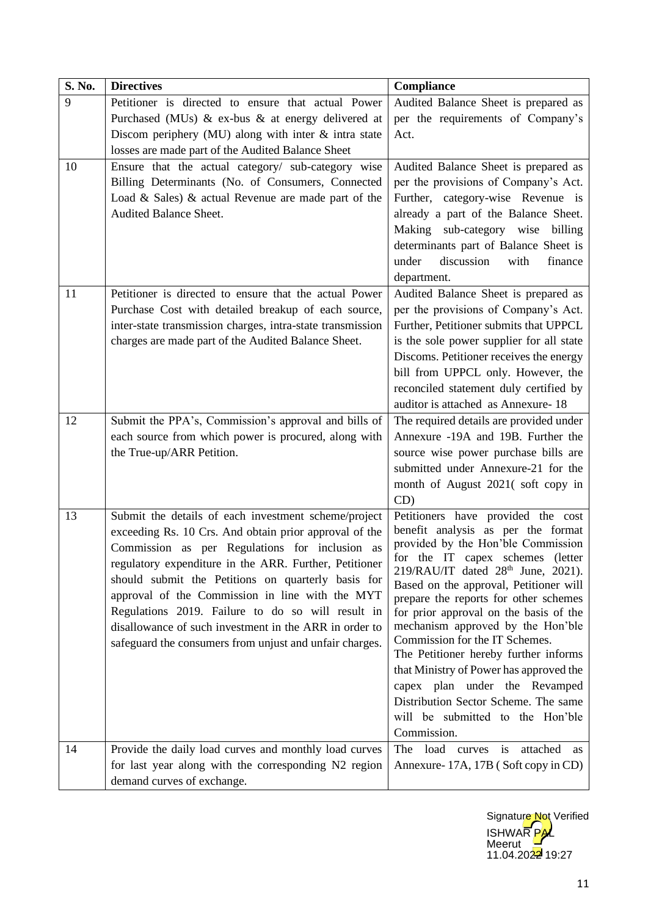| S. No. | <b>Directives</b>                                          | Compliance                                                                               |
|--------|------------------------------------------------------------|------------------------------------------------------------------------------------------|
| 9      | Petitioner is directed to ensure that actual Power         | Audited Balance Sheet is prepared as                                                     |
|        | Purchased (MUs) $\&$ ex-bus $\&$ at energy delivered at    | per the requirements of Company's                                                        |
|        | Discom periphery (MU) along with inter $\&$ intra state    | Act.                                                                                     |
|        | losses are made part of the Audited Balance Sheet          |                                                                                          |
| 10     | Ensure that the actual category/ sub-category wise         | Audited Balance Sheet is prepared as                                                     |
|        | Billing Determinants (No. of Consumers, Connected          | per the provisions of Company's Act.                                                     |
|        | Load & Sales) & actual Revenue are made part of the        | Further, category-wise Revenue is                                                        |
|        | Audited Balance Sheet.                                     | already a part of the Balance Sheet.                                                     |
|        |                                                            | Making sub-category wise billing                                                         |
|        |                                                            | determinants part of Balance Sheet is                                                    |
|        |                                                            | discussion<br>under<br>with<br>finance                                                   |
|        |                                                            | department.                                                                              |
| 11     | Petitioner is directed to ensure that the actual Power     | Audited Balance Sheet is prepared as                                                     |
|        | Purchase Cost with detailed breakup of each source,        | per the provisions of Company's Act.                                                     |
|        | inter-state transmission charges, intra-state transmission | Further, Petitioner submits that UPPCL                                                   |
|        | charges are made part of the Audited Balance Sheet.        | is the sole power supplier for all state                                                 |
|        |                                                            | Discoms. Petitioner receives the energy                                                  |
|        |                                                            | bill from UPPCL only. However, the<br>reconciled statement duly certified by             |
|        |                                                            | auditor is attached as Annexure-18                                                       |
| 12     | Submit the PPA's, Commission's approval and bills of       | The required details are provided under                                                  |
|        | each source from which power is procured, along with       | Annexure -19A and 19B. Further the                                                       |
|        | the True-up/ARR Petition.                                  | source wise power purchase bills are                                                     |
|        |                                                            | submitted under Annexure-21 for the                                                      |
|        |                                                            | month of August 2021(soft copy in                                                        |
|        |                                                            | CD)                                                                                      |
| 13     | Submit the details of each investment scheme/project       | Petitioners have provided the cost                                                       |
|        | exceeding Rs. 10 Crs. And obtain prior approval of the     | benefit analysis as per the format                                                       |
|        | Commission as per Regulations for inclusion as             | provided by the Hon'ble Commission                                                       |
|        | regulatory expenditure in the ARR. Further, Petitioner     | for the IT capex schemes (letter                                                         |
|        | should submit the Petitions on quarterly basis for         | 219/RAU/IT dated 28 <sup>th</sup> June, 2021).<br>Based on the approval, Petitioner will |
|        | approval of the Commission in line with the MYT            | prepare the reports for other schemes                                                    |
|        | Regulations 2019. Failure to do so will result in          | for prior approval on the basis of the                                                   |
|        | disallowance of such investment in the ARR in order to     | mechanism approved by the Hon'ble                                                        |
|        | safeguard the consumers from unjust and unfair charges.    | Commission for the IT Schemes.                                                           |
|        |                                                            | The Petitioner hereby further informs                                                    |
|        |                                                            | that Ministry of Power has approved the                                                  |
|        |                                                            | capex plan under the Revamped<br>Distribution Sector Scheme. The same                    |
|        |                                                            | will be submitted to the Hon'ble                                                         |
|        |                                                            | Commission.                                                                              |
| 14     | Provide the daily load curves and monthly load curves      | load curves is<br>attached<br>The<br>as                                                  |
|        | for last year along with the corresponding N2 region       | Annexure-17A, 17B (Soft copy in CD)                                                      |
|        | demand curves of exchange.                                 |                                                                                          |
|        |                                                            |                                                                                          |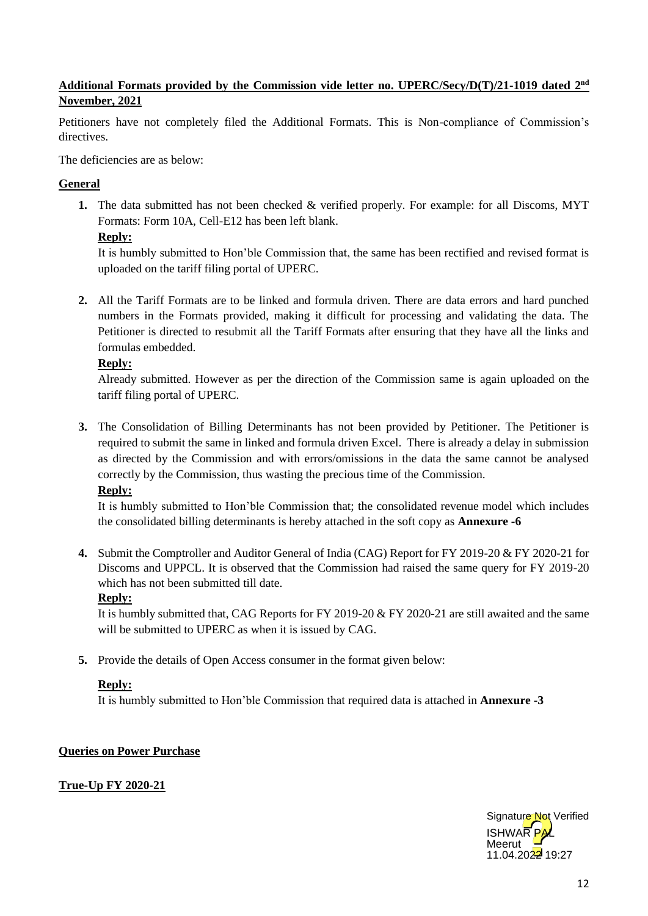## **Additional Formats provided by the Commission vide letter no. UPERC/Secy/D(T)/21-1019 dated 2nd November, 2021**

Petitioners have not completely filed the Additional Formats. This is Non-compliance of Commission's directives.

The deficiencies are as below:

## **General**

**1.** The data submitted has not been checked & verified properly. For example: for all Discoms, MYT Formats: Form 10A, Cell-E12 has been left blank.

## **Reply:**

It is humbly submitted to Hon'ble Commission that, the same has been rectified and revised format is uploaded on the tariff filing portal of UPERC.

**2.** All the Tariff Formats are to be linked and formula driven. There are data errors and hard punched numbers in the Formats provided, making it difficult for processing and validating the data. The Petitioner is directed to resubmit all the Tariff Formats after ensuring that they have all the links and formulas embedded.

## **Reply:**

Already submitted. However as per the direction of the Commission same is again uploaded on the tariff filing portal of UPERC.

**3.** The Consolidation of Billing Determinants has not been provided by Petitioner. The Petitioner is required to submit the same in linked and formula driven Excel. There is already a delay in submission as directed by the Commission and with errors/omissions in the data the same cannot be analysed correctly by the Commission, thus wasting the precious time of the Commission.

## **Reply:**

It is humbly submitted to Hon'ble Commission that; the consolidated revenue model which includes the consolidated billing determinants is hereby attached in the soft copy as **Annexure -6**

**4.** Submit the Comptroller and Auditor General of India (CAG) Report for FY 2019-20 & FY 2020-21 for Discoms and UPPCL. It is observed that the Commission had raised the same query for FY 2019-20 which has not been submitted till date.

## **Reply:**

It is humbly submitted that, CAG Reports for FY 2019-20 & FY 2020-21 are still awaited and the same will be submitted to UPERC as when it is issued by CAG.

**5.** Provide the details of Open Access consumer in the format given below:

## **Reply:**

It is humbly submitted to Hon'ble Commission that required data is attached in **Annexure -3**

## **Queries on Power Purchase**

**True-Up FY 2020-21** 

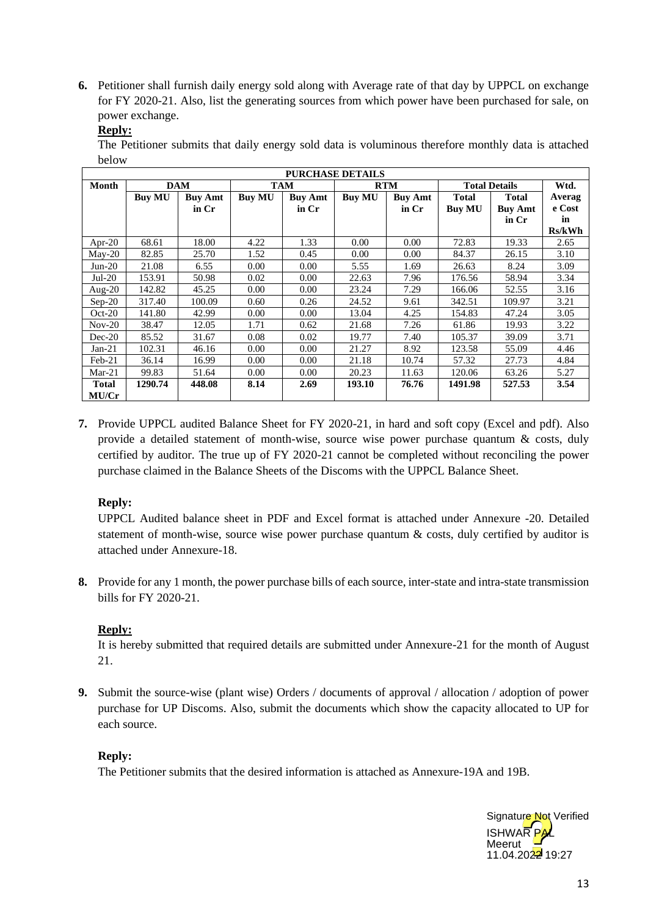**6.** Petitioner shall furnish daily energy sold along with Average rate of that day by UPPCL on exchange for FY 2020-21. Also, list the generating sources from which power have been purchased for sale, on power exchange.

The Petitioner submits that daily energy sold data is voluminous therefore monthly data is attached below

|              |               |                |               |                | <b>PURCHASE DETAILS</b> |                |               |                      |        |
|--------------|---------------|----------------|---------------|----------------|-------------------------|----------------|---------------|----------------------|--------|
| Month        |               | <b>DAM</b>     |               | <b>TAM</b>     |                         | <b>RTM</b>     |               | <b>Total Details</b> | Wtd.   |
|              | <b>Buy MU</b> | <b>Buy Amt</b> | <b>Buy MU</b> | <b>Buy Amt</b> | <b>Buy MU</b>           | <b>Buy Amt</b> | Total         | <b>Total</b>         | Averag |
|              |               | in Cr          |               | in Cr          |                         | in Cr          | <b>Buy MU</b> | <b>Buy Amt</b>       | e Cost |
|              |               |                |               |                |                         |                |               | in Cr                | in     |
|              |               |                |               |                |                         |                |               |                      | Rs/kWh |
| Apr-20       | 68.61         | 18.00          | 4.22          | 1.33           | 0.00                    | 0.00           | 72.83         | 19.33                | 2.65   |
| $Mav-20$     | 82.85         | 25.70          | 1.52          | 0.45           | 0.00                    | 0.00           | 84.37         | 26.15                | 3.10   |
| $Jun-20$     | 21.08         | 6.55           | 0.00          | 0.00           | 5.55                    | 1.69           | 26.63         | 8.24                 | 3.09   |
| $Jul-20$     | 153.91        | 50.98          | 0.02          | 0.00           | 22.63                   | 7.96           | 176.56        | 58.94                | 3.34   |
| Aug- $20$    | 142.82        | 45.25          | 0.00          | 0.00           | 23.24                   | 7.29           | 166.06        | 52.55                | 3.16   |
| $Sep-20$     | 317.40        | 100.09         | 0.60          | 0.26           | 24.52                   | 9.61           | 342.51        | 109.97               | 3.21   |
| $Oct-20$     | 141.80        | 42.99          | 0.00          | 0.00           | 13.04                   | 4.25           | 154.83        | 47.24                | 3.05   |
| $Nov-20$     | 38.47         | 12.05          | 1.71          | 0.62           | 21.68                   | 7.26           | 61.86         | 19.93                | 3.22   |
| $Dec-20$     | 85.52         | 31.67          | 0.08          | 0.02           | 19.77                   | 7.40           | 105.37        | 39.09                | 3.71   |
| $Jan-21$     | 102.31        | 46.16          | 0.00          | 0.00           | 21.27                   | 8.92           | 123.58        | 55.09                | 4.46   |
| $Feb-21$     | 36.14         | 16.99          | 0.00          | 0.00           | 21.18                   | 10.74          | 57.32         | 27.73                | 4.84   |
| $Mar-21$     | 99.83         | 51.64          | 0.00          | 0.00           | 20.23                   | 11.63          | 120.06        | 63.26                | 5.27   |
| <b>Total</b> | 1290.74       | 448.08         | 8.14          | 2.69           | 193.10                  | 76.76          | 1491.98       | 527.53               | 3.54   |
| MU/Cr        |               |                |               |                |                         |                |               |                      |        |

**7.** Provide UPPCL audited Balance Sheet for FY 2020-21, in hard and soft copy (Excel and pdf). Also provide a detailed statement of month-wise, source wise power purchase quantum & costs, duly certified by auditor. The true up of FY 2020-21 cannot be completed without reconciling the power purchase claimed in the Balance Sheets of the Discoms with the UPPCL Balance Sheet.

## **Reply:**

UPPCL Audited balance sheet in PDF and Excel format is attached under Annexure -20. Detailed statement of month-wise, source wise power purchase quantum & costs, duly certified by auditor is attached under Annexure-18.

**8.** Provide for any 1 month, the power purchase bills of each source, inter-state and intra-state transmission bills for FY 2020-21.

## **Reply:**

It is hereby submitted that required details are submitted under Annexure-21 for the month of August 21.

**9.** Submit the source-wise (plant wise) Orders / documents of approval / allocation / adoption of power purchase for UP Discoms. Also, submit the documents which show the capacity allocated to UP for each source.

## **Reply:**

The Petitioner submits that the desired information is attached as Annexure-19A and 19B.

**ISHWAR** Meerut  $11.04.2022$  19:27 Signature Not Verified

**Reply:**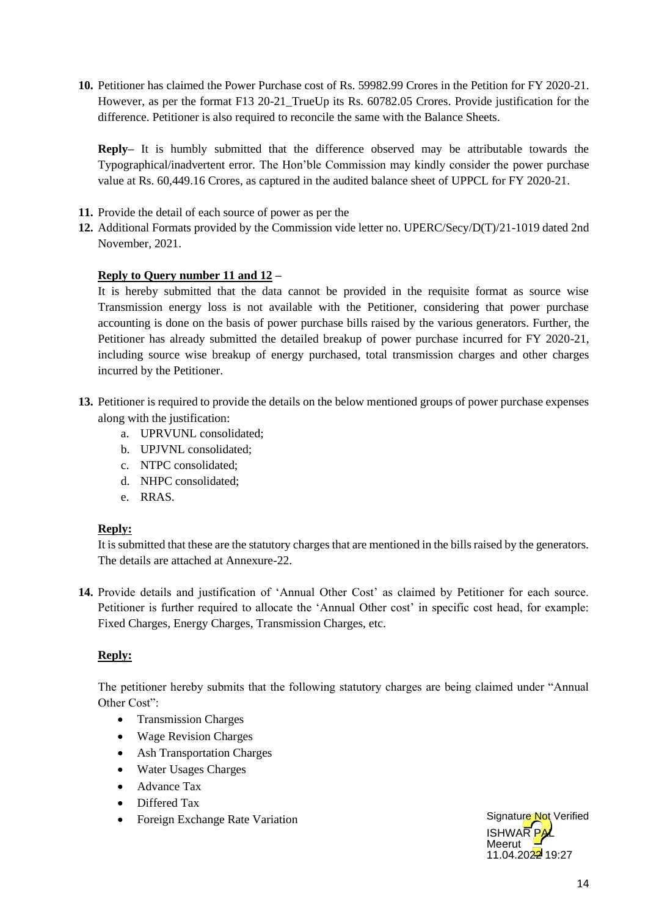**10.** Petitioner has claimed the Power Purchase cost of Rs. 59982.99 Crores in the Petition for FY 2020-21. However, as per the format F13 20-21\_TrueUp its Rs. 60782.05 Crores. Provide justification for the difference. Petitioner is also required to reconcile the same with the Balance Sheets.

**Reply–** It is humbly submitted that the difference observed may be attributable towards the Typographical/inadvertent error. The Hon'ble Commission may kindly consider the power purchase value at Rs. 60,449.16 Crores, as captured in the audited balance sheet of UPPCL for FY 2020-21.

- **11.** Provide the detail of each source of power as per the
- **12.** Additional Formats provided by the Commission vide letter no. UPERC/Secy/D(T)/21-1019 dated 2nd November, 2021.

#### **Reply to Query number 11 and 12 –**

It is hereby submitted that the data cannot be provided in the requisite format as source wise Transmission energy loss is not available with the Petitioner, considering that power purchase accounting is done on the basis of power purchase bills raised by the various generators. Further, the Petitioner has already submitted the detailed breakup of power purchase incurred for FY 2020-21, including source wise breakup of energy purchased, total transmission charges and other charges incurred by the Petitioner.

- **13.** Petitioner is required to provide the details on the below mentioned groups of power purchase expenses along with the justification:
	- a. UPRVUNL consolidated;
	- b. UPJVNL consolidated;
	- c. NTPC consolidated;
	- d. NHPC consolidated;
	- e. RRAS.

## **Reply:**

It is submitted that these are the statutory charges that are mentioned in the bills raised by the generators. The details are attached at Annexure-22.

**14.** Provide details and justification of 'Annual Other Cost' as claimed by Petitioner for each source. Petitioner is further required to allocate the 'Annual Other cost' in specific cost head, for example: Fixed Charges, Energy Charges, Transmission Charges, etc.

## **Reply:**

The petitioner hereby submits that the following statutory charges are being claimed under "Annual Other Cost":

- Transmission Charges
- Wage Revision Charges
- Ash Transportation Charges
- Water Usages Charges
- Advance Tax
- Differed Tax
- Foreign Exchange Rate Variation

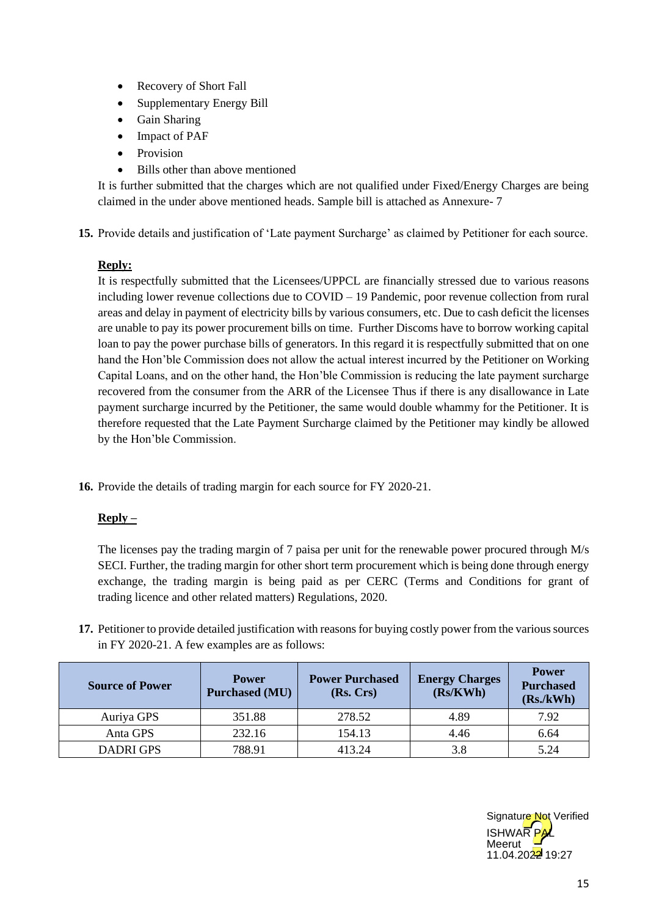- Recovery of Short Fall
- Supplementary Energy Bill
- Gain Sharing
- Impact of PAF
- **Provision**
- Bills other than above mentioned

It is further submitted that the charges which are not qualified under Fixed/Energy Charges are being claimed in the under above mentioned heads. Sample bill is attached as Annexure- 7

**15.** Provide details and justification of 'Late payment Surcharge' as claimed by Petitioner for each source.

## **Reply:**

It is respectfully submitted that the Licensees/UPPCL are financially stressed due to various reasons including lower revenue collections due to COVID – 19 Pandemic, poor revenue collection from rural areas and delay in payment of electricity bills by various consumers, etc. Due to cash deficit the licenses are unable to pay its power procurement bills on time. Further Discoms have to borrow working capital loan to pay the power purchase bills of generators. In this regard it is respectfully submitted that on one hand the Hon'ble Commission does not allow the actual interest incurred by the Petitioner on Working Capital Loans, and on the other hand, the Hon'ble Commission is reducing the late payment surcharge recovered from the consumer from the ARR of the Licensee Thus if there is any disallowance in Late payment surcharge incurred by the Petitioner, the same would double whammy for the Petitioner. It is therefore requested that the Late Payment Surcharge claimed by the Petitioner may kindly be allowed by the Hon'ble Commission.

**16.** Provide the details of trading margin for each source for FY 2020-21.

## **Reply –**

The licenses pay the trading margin of 7 paisa per unit for the renewable power procured through M/s SECI. Further, the trading margin for other short term procurement which is being done through energy exchange, the trading margin is being paid as per CERC (Terms and Conditions for grant of trading licence and other related matters) Regulations, 2020.

**17.** Petitioner to provide detailed justification with reasons for buying costly power from the various sources in FY 2020-21. A few examples are as follows:

| <b>Source of Power</b> | <b>Power</b><br><b>Purchased (MU)</b> | <b>Power Purchased</b><br>(Rs, Crs) | <b>Energy Charges</b><br>(Rs/KWh) | <b>Power</b><br><b>Purchased</b><br>(Rs./kWh) |
|------------------------|---------------------------------------|-------------------------------------|-----------------------------------|-----------------------------------------------|
| Auriya GPS             | 351.88                                | 278.52                              | 4.89                              | 7.92                                          |
| Anta GPS               | 232.16                                | 154.13                              | 4.46                              | 6.64                                          |
| <b>DADRI GPS</b>       | 788.91                                | 413.24                              | 3.8                               | 5.24                                          |

**ISHWAR** Meerut 11.04.2022 19:27 Signature Not Verified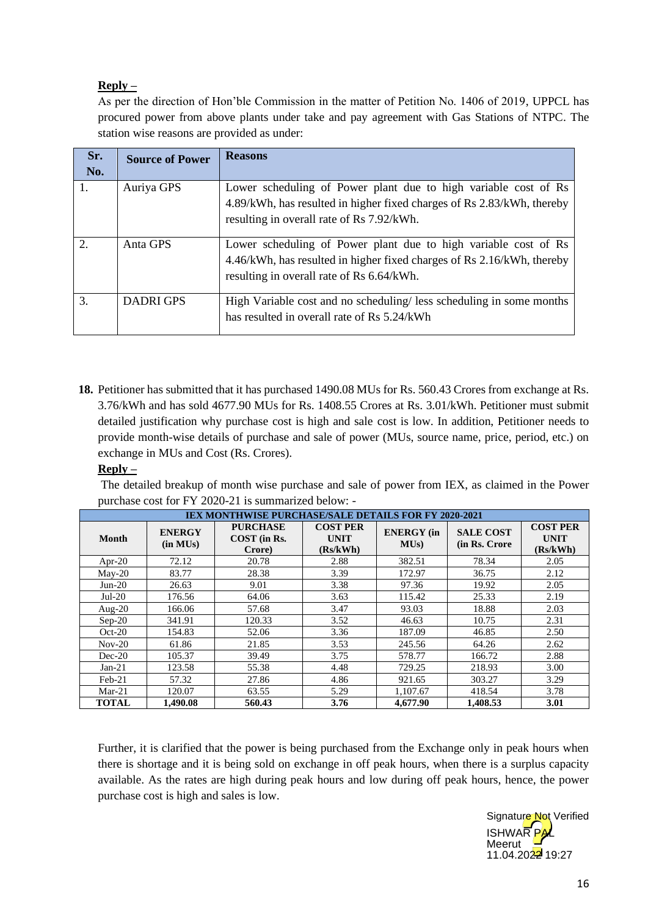## **Reply –**

As per the direction of Hon'ble Commission in the matter of Petition No. 1406 of 2019, UPPCL has procured power from above plants under take and pay agreement with Gas Stations of NTPC. The station wise reasons are provided as under:

| Sr.<br>No. | <b>Source of Power</b> | <b>Reasons</b>                                                                                                                                                                         |
|------------|------------------------|----------------------------------------------------------------------------------------------------------------------------------------------------------------------------------------|
| 1.         | Auriya GPS             | Lower scheduling of Power plant due to high variable cost of Rs<br>4.89/kWh, has resulted in higher fixed charges of Rs 2.83/kWh, thereby<br>resulting in overall rate of Rs 7.92/kWh. |
| 2.         | Anta GPS               | Lower scheduling of Power plant due to high variable cost of Rs<br>4.46/kWh, has resulted in higher fixed charges of Rs 2.16/kWh, thereby<br>resulting in overall rate of Rs 6.64/kWh. |
| 3.         | <b>DADRI GPS</b>       | High Variable cost and no scheduling/less scheduling in some months<br>has resulted in overall rate of Rs 5.24/kWh                                                                     |

**18.** Petitioner has submitted that it has purchased 1490.08 MUs for Rs. 560.43 Crores from exchange at Rs. 3.76/kWh and has sold 4677.90 MUs for Rs. 1408.55 Crores at Rs. 3.01/kWh. Petitioner must submit detailed justification why purchase cost is high and sale cost is low. In addition, Petitioner needs to provide month-wise details of purchase and sale of power (MUs, source name, price, period, etc.) on exchange in MUs and Cost (Rs. Crores).

## **Reply –**

The detailed breakup of month wise purchase and sale of power from IEX, as claimed in the Power purchase cost for FY 2020-21 is summarized below: -

| <b>IEX MONTHWISE PURCHASE/SALE DETAILS FOR FY 2020-2021</b> |                           |                                           |                                            |                          |                                    |                                            |  |
|-------------------------------------------------------------|---------------------------|-------------------------------------------|--------------------------------------------|--------------------------|------------------------------------|--------------------------------------------|--|
| <b>Month</b>                                                | <b>ENERGY</b><br>(in MUs) | <b>PURCHASE</b><br>COST (in Rs.<br>Crore) | <b>COST PER</b><br><b>UNIT</b><br>(Rs/kWh) | <b>ENERGY</b> (in<br>MUs | <b>SALE COST</b><br>(in Rs. Crore) | <b>COST PER</b><br><b>UNIT</b><br>(Rs/kWh) |  |
| Apr-20                                                      | 72.12                     | 20.78                                     | 2.88                                       | 382.51                   | 78.34                              | 2.05                                       |  |
| $Mav-20$                                                    | 83.77                     | 28.38                                     | 3.39                                       | 172.97                   | 36.75                              | 2.12                                       |  |
| $Jun-20$                                                    | 26.63                     | 9.01                                      | 3.38                                       | 97.36                    | 19.92                              | 2.05                                       |  |
| $Jul-20$                                                    | 176.56                    | 64.06                                     | 3.63                                       | 115.42                   | 25.33                              | 2.19                                       |  |
| Aug- $20$                                                   | 166.06                    | 57.68                                     | 3.47                                       | 93.03                    | 18.88                              | 2.03                                       |  |
| $Sep-20$                                                    | 341.91                    | 120.33                                    | 3.52                                       | 46.63                    | 10.75                              | 2.31                                       |  |
| $Oct-20$                                                    | 154.83                    | 52.06                                     | 3.36                                       | 187.09                   | 46.85                              | 2.50                                       |  |
| $Nov-20$                                                    | 61.86                     | 21.85                                     | 3.53                                       | 245.56                   | 64.26                              | 2.62                                       |  |
| $Dec-20$                                                    | 105.37                    | 39.49                                     | 3.75                                       | 578.77                   | 166.72                             | 2.88                                       |  |
| $Jan-21$                                                    | 123.58                    | 55.38                                     | 4.48                                       | 729.25                   | 218.93                             | 3.00                                       |  |
| Feb-21                                                      | 57.32                     | 27.86                                     | 4.86                                       | 921.65                   | 303.27                             | 3.29                                       |  |
| $Mar-21$                                                    | 120.07                    | 63.55                                     | 5.29                                       | 1,107.67                 | 418.54                             | 3.78                                       |  |
| <b>TOTAL</b>                                                | 1.490.08                  | 560.43                                    | 3.76                                       | 4,677.90                 | 1,408.53                           | 3.01                                       |  |

Further, it is clarified that the power is being purchased from the Exchange only in peak hours when there is shortage and it is being sold on exchange in off peak hours, when there is a surplus capacity available. As the rates are high during peak hours and low during off peak hours, hence, the power purchase cost is high and sales is low.

> **ISHWAR Meerut**  $11.04.2022$  19:27 Signature Not Verified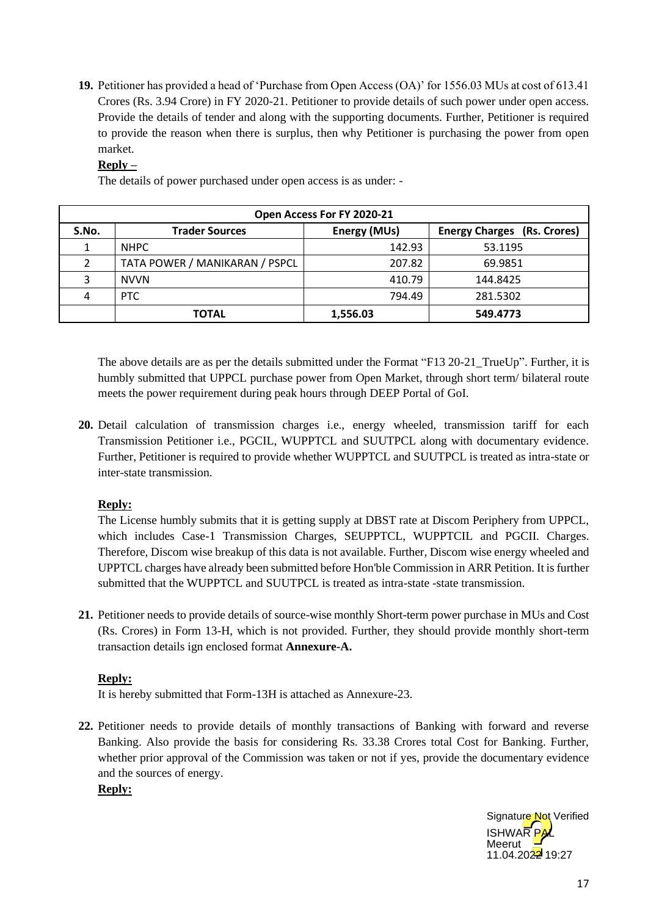**19.** Petitioner has provided a head of 'Purchase from Open Access (OA)' for 1556.03 MUs at cost of 613.41 Crores (Rs. 3.94 Crore) in FY 2020-21. Petitioner to provide details of such power under open access. Provide the details of tender and along with the supporting documents. Further, Petitioner is required to provide the reason when there is surplus, then why Petitioner is purchasing the power from open market.

## **Reply –**

The details of power purchased under open access is as under: -

|       |                                | Open Access For FY 2020-21 |                                    |
|-------|--------------------------------|----------------------------|------------------------------------|
| S.No. | <b>Trader Sources</b>          | Energy (MUs)               | <b>Energy Charges (Rs. Crores)</b> |
|       | <b>NHPC</b>                    | 142.93                     | 53.1195                            |
|       | TATA POWER / MANIKARAN / PSPCL | 207.82                     | 69.9851                            |
| 3     | <b>NVVN</b>                    | 410.79                     | 144.8425                           |
| 4     | PTC                            | 794.49                     | 281.5302                           |
|       | <b>TOTAL</b>                   | 1,556.03                   | 549.4773                           |

The above details are as per the details submitted under the Format "F13 20-21\_TrueUp". Further, it is humbly submitted that UPPCL purchase power from Open Market, through short term/ bilateral route meets the power requirement during peak hours through DEEP Portal of GoI.

**20.** Detail calculation of transmission charges i.e., energy wheeled, transmission tariff for each Transmission Petitioner i.e., PGCIL, WUPPTCL and SUUTPCL along with documentary evidence. Further, Petitioner is required to provide whether WUPPTCL and SUUTPCL is treated as intra-state or inter-state transmission.

## **Reply:**

The License humbly submits that it is getting supply at DBST rate at Discom Periphery from UPPCL, which includes Case-1 Transmission Charges, SEUPPTCL, WUPPTCIL and PGCII. Charges. Therefore, Discom wise breakup of this data is not available. Further, Discom wise energy wheeled and UPPTCL charges have already been submitted before Hon'ble Commission in ARR Petition. It is further submitted that the WUPPTCL and SUUTPCL is treated as intra-state -state transmission.

**21.** Petitioner needs to provide details of source-wise monthly Short-term power purchase in MUs and Cost (Rs. Crores) in Form 13-H, which is not provided. Further, they should provide monthly short-term transaction details ign enclosed format **Annexure-A.**

## **Reply:**

It is hereby submitted that Form-13H is attached as Annexure-23.

**22.** Petitioner needs to provide details of monthly transactions of Banking with forward and reverse Banking. Also provide the basis for considering Rs. 33.38 Crores total Cost for Banking. Further, whether prior approval of the Commission was taken or not if yes, provide the documentary evidence and the sources of energy.

**Reply:**

**ISHWAR** Meerut  $11.04.2022$  19:27 Signature Not Verified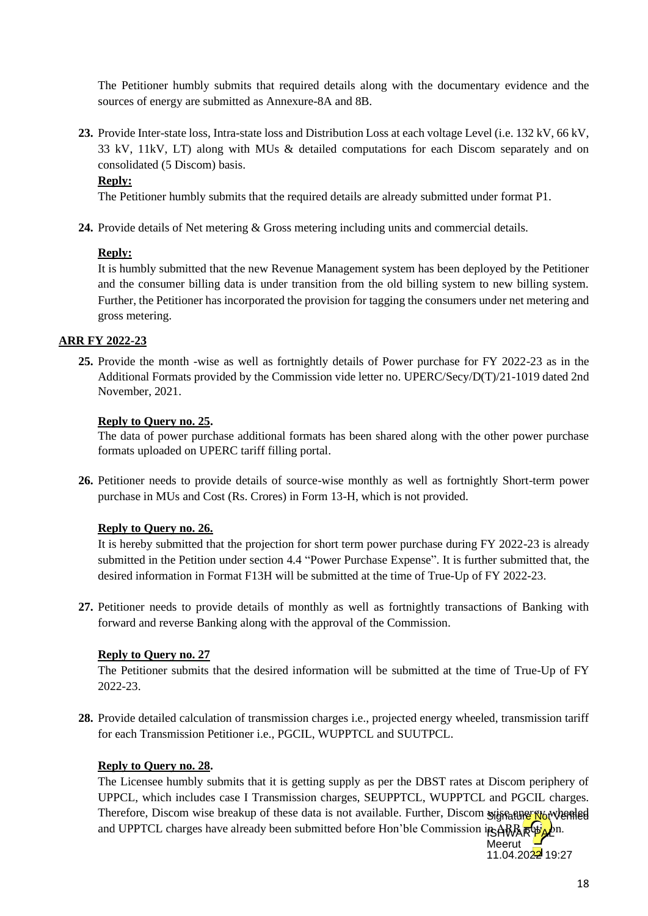The Petitioner humbly submits that required details along with the documentary evidence and the sources of energy are submitted as Annexure-8A and 8B.

**23.** Provide Inter-state loss, Intra-state loss and Distribution Loss at each voltage Level (i.e. 132 kV, 66 kV, 33 kV, 11kV, LT) along with MUs & detailed computations for each Discom separately and on consolidated (5 Discom) basis.

#### **Reply:**

The Petitioner humbly submits that the required details are already submitted under format P1.

24. Provide details of Net metering & Gross metering including units and commercial details.

#### **Reply:**

It is humbly submitted that the new Revenue Management system has been deployed by the Petitioner and the consumer billing data is under transition from the old billing system to new billing system. Further, the Petitioner has incorporated the provision for tagging the consumers under net metering and gross metering.

## **ARR FY 2022-23**

**25.** Provide the month -wise as well as fortnightly details of Power purchase for FY 2022-23 as in the Additional Formats provided by the Commission vide letter no. UPERC/Secy/D(T)/21-1019 dated 2nd November, 2021.

#### **Reply to Query no. 25.**

The data of power purchase additional formats has been shared along with the other power purchase formats uploaded on UPERC tariff filling portal.

**26.** Petitioner needs to provide details of source-wise monthly as well as fortnightly Short-term power purchase in MUs and Cost (Rs. Crores) in Form 13-H, which is not provided.

## **Reply to Query no. 26.**

It is hereby submitted that the projection for short term power purchase during FY 2022-23 is already submitted in the Petition under section 4.4 "Power Purchase Expense". It is further submitted that, the desired information in Format F13H will be submitted at the time of True-Up of FY 2022-23.

**27.** Petitioner needs to provide details of monthly as well as fortnightly transactions of Banking with forward and reverse Banking along with the approval of the Commission.

## **Reply to Query no. 27**

The Petitioner submits that the desired information will be submitted at the time of True-Up of FY 2022-23.

**28.** Provide detailed calculation of transmission charges i.e., projected energy wheeled, transmission tariff for each Transmission Petitioner i.e., PGCIL, WUPPTCL and SUUTPCL.

#### **Reply to Query no. 28.**

The Licensee humbly submits that it is getting supply as per the DBST rates at Discom periphery of UPPCL, which includes case I Transmission charges, SEUPPTCL, WUPPTCL and PGCIL charges. Therefore, Discom wise breakup of these data is not available. Further, Discom syjstature Not Vertled and UPPTCL charges have already been submitted before Hon'ble Commission in ARR RubLen.

Meerut  $11.04.2022$  19:27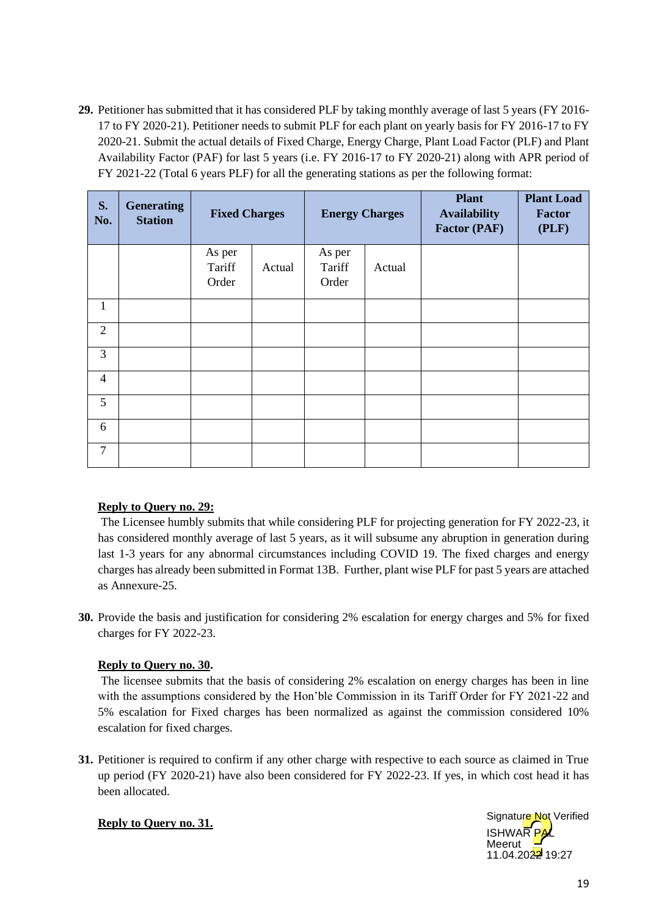**29.** Petitioner has submitted that it has considered PLF by taking monthly average of last 5 years (FY 2016- 17 to FY 2020-21). Petitioner needs to submit PLF for each plant on yearly basis for FY 2016-17 to FY 2020-21. Submit the actual details of Fixed Charge, Energy Charge, Plant Load Factor (PLF) and Plant Availability Factor (PAF) for last 5 years (i.e. FY 2016-17 to FY 2020-21) along with APR period of FY 2021-22 (Total 6 years PLF) for all the generating stations as per the following format:

| S.<br>No.      | <b>Generating</b><br><b>Station</b> | <b>Fixed Charges</b>      |        | <b>Energy Charges</b>     |        | <b>Plant</b><br><b>Availability</b><br><b>Factor (PAF)</b> | <b>Plant Load</b><br><b>Factor</b><br>(PLF) |
|----------------|-------------------------------------|---------------------------|--------|---------------------------|--------|------------------------------------------------------------|---------------------------------------------|
|                |                                     | As per<br>Tariff<br>Order | Actual | As per<br>Tariff<br>Order | Actual |                                                            |                                             |
| $\mathbf{1}$   |                                     |                           |        |                           |        |                                                            |                                             |
| $\overline{2}$ |                                     |                           |        |                           |        |                                                            |                                             |
| $\overline{3}$ |                                     |                           |        |                           |        |                                                            |                                             |
| $\overline{4}$ |                                     |                           |        |                           |        |                                                            |                                             |
| 5              |                                     |                           |        |                           |        |                                                            |                                             |
| 6              |                                     |                           |        |                           |        |                                                            |                                             |
| $\overline{7}$ |                                     |                           |        |                           |        |                                                            |                                             |

## **Reply to Query no. 29:**

The Licensee humbly submits that while considering PLF for projecting generation for FY 2022-23, it has considered monthly average of last 5 years, as it will subsume any abruption in generation during last 1-3 years for any abnormal circumstances including COVID 19. The fixed charges and energy charges has already been submitted in Format 13B. Further, plant wise PLF for past 5 years are attached as Annexure-25.

**30.** Provide the basis and justification for considering 2% escalation for energy charges and 5% for fixed charges for FY 2022-23.

## **Reply to Query no. 30.**

The licensee submits that the basis of considering 2% escalation on energy charges has been in line with the assumptions considered by the Hon'ble Commission in its Tariff Order for FY 2021-22 and 5% escalation for Fixed charges has been normalized as against the commission considered 10% escalation for fixed charges.

**31.** Petitioner is required to confirm if any other charge with respective to each source as claimed in True up period (FY 2020-21) have also been considered for FY 2022-23. If yes, in which cost head it has been allocated.

## **Reply to Query no. 31.**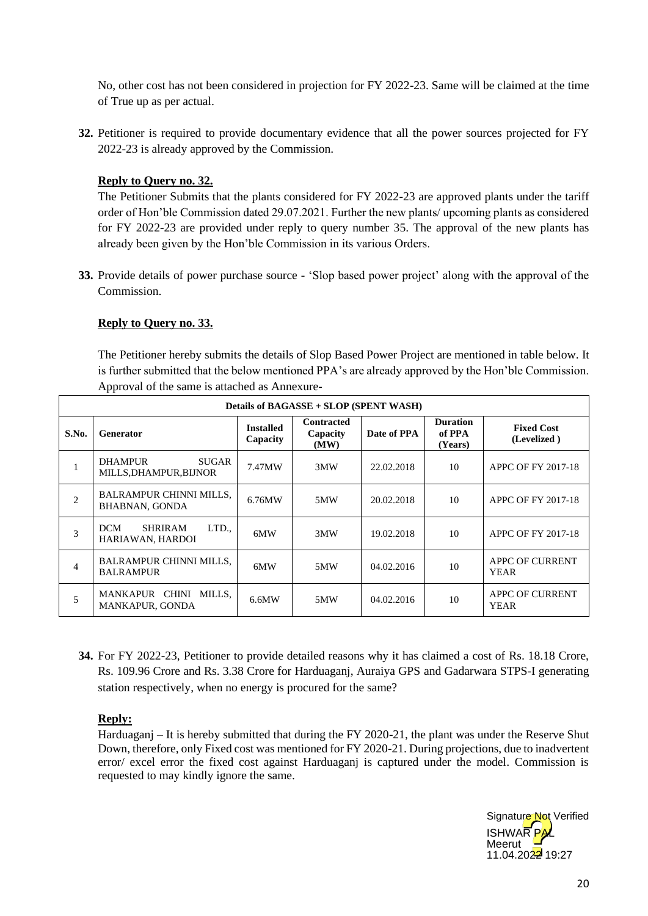No, other cost has not been considered in projection for FY 2022-23. Same will be claimed at the time of True up as per actual.

**32.** Petitioner is required to provide documentary evidence that all the power sources projected for FY 2022-23 is already approved by the Commission.

## **Reply to Query no. 32.**

The Petitioner Submits that the plants considered for FY 2022-23 are approved plants under the tariff order of Hon'ble Commission dated 29.07.2021. Further the new plants/ upcoming plants as considered for FY 2022-23 are provided under reply to query number 35. The approval of the new plants has already been given by the Hon'ble Commission in its various Orders.

**33.** Provide details of power purchase source - 'Slop based power project' along with the approval of the Commission.

## **Reply to Query no. 33.**

The Petitioner hereby submits the details of Slop Based Power Project are mentioned in table below. It is further submitted that the below mentioned PPA's are already approved by the Hon'ble Commission. Approval of the same is attached as Annexure-

|                | Details of BAGASSE + SLOP (SPENT WASH)                    |                              |                                       |             |                                      |                                       |  |
|----------------|-----------------------------------------------------------|------------------------------|---------------------------------------|-------------|--------------------------------------|---------------------------------------|--|
| S.No.          | <b>Generator</b>                                          | <b>Installed</b><br>Capacity | <b>Contracted</b><br>Capacity<br>(MW) | Date of PPA | <b>Duration</b><br>of PPA<br>(Years) | <b>Fixed Cost</b><br>(Levelized)      |  |
|                | <b>DHAMPUR</b><br><b>SUGAR</b><br>MILLS, DHAMPUR, BIJNOR  | 7.47MW                       | 3MW                                   | 22.02.2018  | 10                                   | APPC OF FY 2017-18                    |  |
| $\overline{c}$ | <b>BALRAMPUR CHINNI MILLS.</b><br><b>BHABNAN, GONDA</b>   | 6.76MW                       | 5MW                                   | 20.02.2018  | 10                                   | APPC OF FY 2017-18                    |  |
| 3              | LTD.,<br><b>SHRIRAM</b><br><b>DCM</b><br>HARIAWAN, HARDOI | 6MW                          | 3MW                                   | 19.02.2018  | 10                                   | APPC OF FY 2017-18                    |  |
| 4              | <b>BALRAMPUR CHINNI MILLS,</b><br><b>BALRAMPUR</b>        | 6MW                          | 5MW                                   | 04.02.2016  | 10                                   | <b>APPC OF CURRENT</b><br><b>YEAR</b> |  |
| 5              | MANKAPUR CHINI MILLS.<br><b>MANKAPUR, GONDA</b>           | 6.6MW                        | 5MW                                   | 04.02.2016  | 10                                   | APPC OF CURRENT<br><b>YEAR</b>        |  |

**34.** For FY 2022-23, Petitioner to provide detailed reasons why it has claimed a cost of Rs. 18.18 Crore, Rs. 109.96 Crore and Rs. 3.38 Crore for Harduaganj, Auraiya GPS and Gadarwara STPS-I generating station respectively, when no energy is procured for the same?

## **Reply:**

Harduaganj – It is hereby submitted that during the FY 2020-21, the plant was under the Reserve Shut Down, therefore, only Fixed cost was mentioned for FY 2020-21. During projections, due to inadvertent error/ excel error the fixed cost against Harduaganj is captured under the model. Commission is requested to may kindly ignore the same.

> **ISHWAR** Meerut 11.04.2022 19:27 Signature Not Verified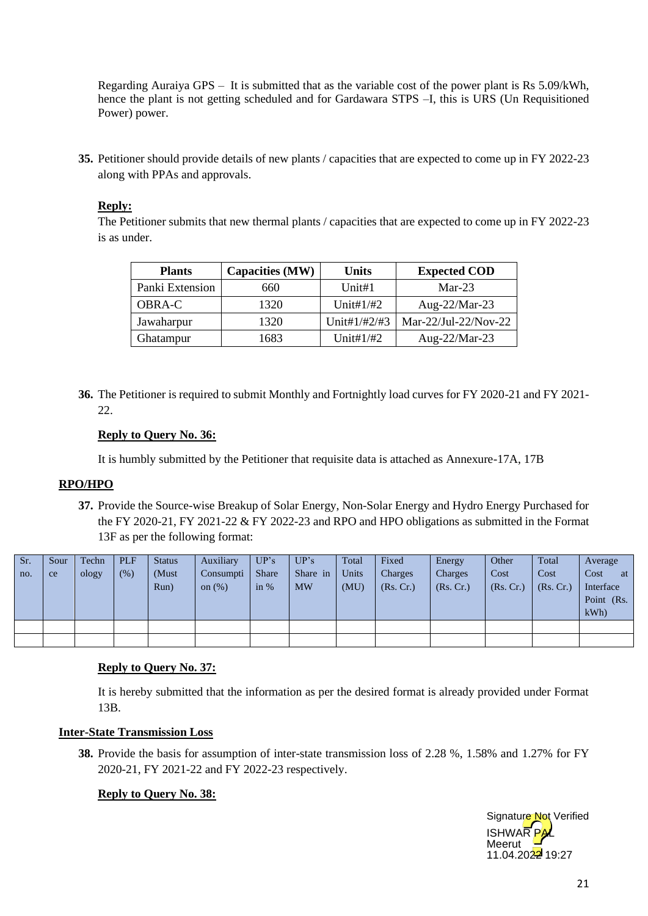Regarding Auraiya GPS – It is submitted that as the variable cost of the power plant is Rs 5.09/kWh, hence the plant is not getting scheduled and for Gardawara STPS –I, this is URS (Un Requisitioned Power) power.

**35.** Petitioner should provide details of new plants / capacities that are expected to come up in FY 2022-23 along with PPAs and approvals.

## **Reply:**

The Petitioner submits that new thermal plants / capacities that are expected to come up in FY 2022-23 is as under.

| <b>Plants</b>   | Capacities (MW) | Units        | <b>Expected COD</b>  |
|-----------------|-----------------|--------------|----------------------|
| Panki Extension | 660             | Unit#1       | $Mar-23$             |
| <b>OBRA-C</b>   | 1320            | Unit# $1/#2$ | Aug-22/Mar-23        |
| Jawaharpur      | 1320            | Unit#1/#2/#3 | Mar-22/Jul-22/Nov-22 |
| Ghatampur       | 1683            | Unit#1/#2    | Aug- $22/Mar-23$     |

**36.** The Petitioner is required to submit Monthly and Fortnightly load curves for FY 2020-21 and FY 2021- 22.

## **Reply to Query No. 36:**

It is humbly submitted by the Petitioner that requisite data is attached as Annexure-17A, 17B

## **RPO/HPO**

**37.** Provide the Source-wise Breakup of Solar Energy, Non-Solar Energy and Hydro Energy Purchased for the FY 2020-21, FY 2021-22 & FY 2022-23 and RPO and HPO obligations as submitted in the Format 13F as per the following format:

| Sr.<br>no. | Sour<br>ce | Techn<br>ology | <b>PLF</b><br>(% ) | <b>Status</b><br>(Must<br>Run) | Auxiliary<br>Consumpti<br>on $(\%)$ | UP's<br>Share<br>in $%$ | UP's<br>Share in<br><b>MW</b> | Total<br>Units<br>(MU) | Fixed<br>Charges<br>(Rs, Cr.) | Energy<br>Charges<br>(Rs, Cr.) | Other<br>Cost<br>(Rs, Cr.) | Total<br>Cost<br>(Rs, Cr.) | Average<br>Cost<br>at<br>Interface<br>Point (Rs.<br>kWh |
|------------|------------|----------------|--------------------|--------------------------------|-------------------------------------|-------------------------|-------------------------------|------------------------|-------------------------------|--------------------------------|----------------------------|----------------------------|---------------------------------------------------------|
|            |            |                |                    |                                |                                     |                         |                               |                        |                               |                                |                            |                            |                                                         |
|            |            |                |                    |                                |                                     |                         |                               |                        |                               |                                |                            |                            |                                                         |

## **Reply to Query No. 37:**

It is hereby submitted that the information as per the desired format is already provided under Format 13B.

## **Inter-State Transmission Loss**

**38.** Provide the basis for assumption of inter-state transmission loss of 2.28 %, 1.58% and 1.27% for FY 2020-21, FY 2021-22 and FY 2022-23 respectively.

## **Reply to Query No. 38:**

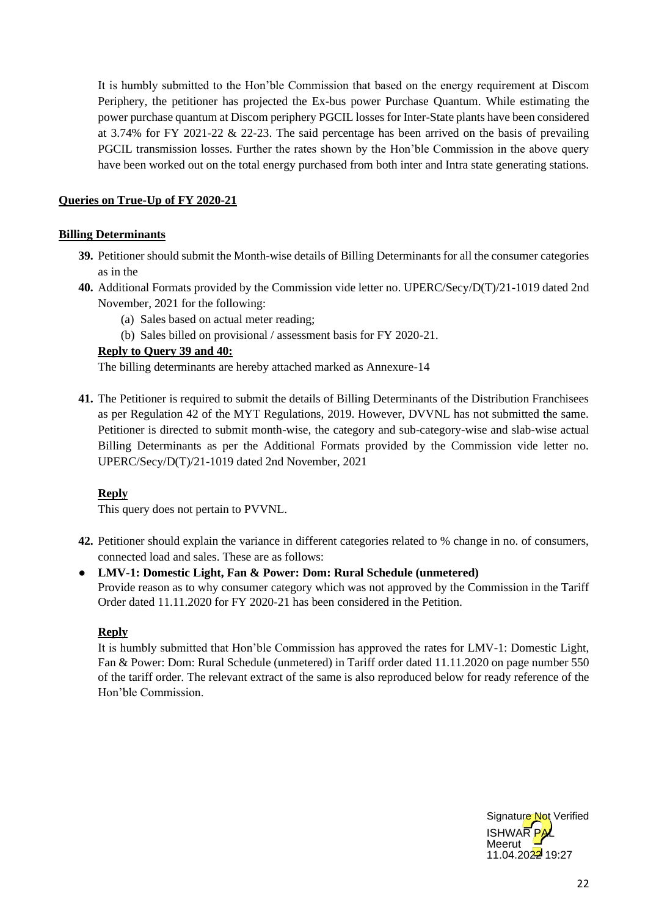It is humbly submitted to the Hon'ble Commission that based on the energy requirement at Discom Periphery, the petitioner has projected the Ex-bus power Purchase Quantum. While estimating the power purchase quantum at Discom periphery PGCIL losses for Inter-State plants have been considered at 3.74% for FY 2021-22 & 22-23. The said percentage has been arrived on the basis of prevailing PGCIL transmission losses. Further the rates shown by the Hon'ble Commission in the above query have been worked out on the total energy purchased from both inter and Intra state generating stations.

## **Queries on True-Up of FY 2020-21**

## **Billing Determinants**

- **39.** Petitioner should submit the Month-wise details of Billing Determinants for all the consumer categories as in the
- **40.** Additional Formats provided by the Commission vide letter no. UPERC/Secy/D(T)/21-1019 dated 2nd November, 2021 for the following:
	- (a) Sales based on actual meter reading;
	- (b) Sales billed on provisional / assessment basis for FY 2020-21.

#### **Reply to Query 39 and 40:**

The billing determinants are hereby attached marked as Annexure-14

**41.** The Petitioner is required to submit the details of Billing Determinants of the Distribution Franchisees as per Regulation 42 of the MYT Regulations, 2019. However, DVVNL has not submitted the same. Petitioner is directed to submit month-wise, the category and sub-category-wise and slab-wise actual Billing Determinants as per the Additional Formats provided by the Commission vide letter no. UPERC/Secy/D(T)/21-1019 dated 2nd November, 2021

## **Reply**

This query does not pertain to PVVNL.

- **42.** Petitioner should explain the variance in different categories related to % change in no. of consumers, connected load and sales. These are as follows:
- **LMV-1: Domestic Light, Fan & Power: Dom: Rural Schedule (unmetered)** Provide reason as to why consumer category which was not approved by the Commission in the Tariff Order dated 11.11.2020 for FY 2020-21 has been considered in the Petition.

## **Reply**

It is humbly submitted that Hon'ble Commission has approved the rates for LMV-1: Domestic Light, Fan & Power: Dom: Rural Schedule (unmetered) in Tariff order dated 11.11.2020 on page number 550 of the tariff order. The relevant extract of the same is also reproduced below for ready reference of the Hon'ble Commission.

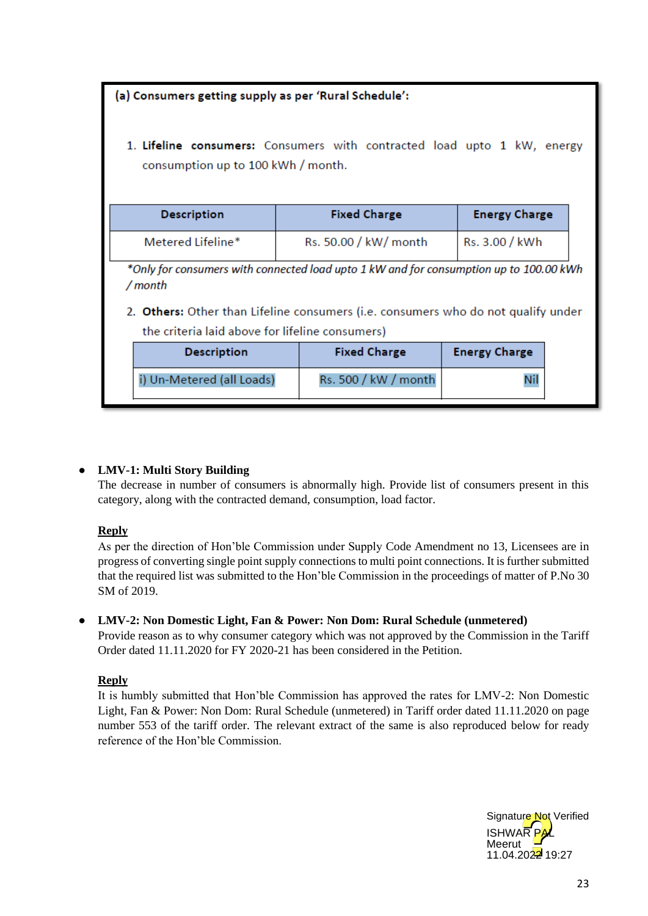| (a) Consumers getting supply as per 'Rural Schedule': |                                                                                                                                                                             |                      |  |
|-------------------------------------------------------|-----------------------------------------------------------------------------------------------------------------------------------------------------------------------------|----------------------|--|
| consumption up to 100 kWh / month.                    | 1. Lifeline consumers: Consumers with contracted load upto 1 kW, energy                                                                                                     |                      |  |
| <b>Description</b>                                    | <b>Fixed Charge</b>                                                                                                                                                         | <b>Energy Charge</b> |  |
| Metered Lifeline*                                     | Rs. 50.00 / kW/ month                                                                                                                                                       | Rs. 3.00 / kWh       |  |
| / month                                               | *Only for consumers with connected load upto 1 kW and for consumption up to 100.00 kWh<br>2. Others: Other than Lifeline consumers (i.e. consumers who do not qualify under |                      |  |
| the criteria laid above for lifeline consumers)       |                                                                                                                                                                             |                      |  |
| <b>Description</b>                                    | <b>Fixed Charge</b>                                                                                                                                                         | <b>Energy Charge</b> |  |
| i) Un-Metered (all Loads)                             | Rs. 500 / kW / month                                                                                                                                                        | Nil                  |  |

## ● **LMV-1: Multi Story Building**

The decrease in number of consumers is abnormally high. Provide list of consumers present in this category, along with the contracted demand, consumption, load factor.

## **Reply**

As per the direction of Hon'ble Commission under Supply Code Amendment no 13, Licensees are in progress of converting single point supply connections to multi point connections. It is further submitted that the required list was submitted to the Hon'ble Commission in the proceedings of matter of P.No 30 SM of 2019.

## ● **LMV-2: Non Domestic Light, Fan & Power: Non Dom: Rural Schedule (unmetered)**

Provide reason as to why consumer category which was not approved by the Commission in the Tariff Order dated 11.11.2020 for FY 2020-21 has been considered in the Petition.

## **Reply**

It is humbly submitted that Hon'ble Commission has approved the rates for LMV-2: Non Domestic Light, Fan & Power: Non Dom: Rural Schedule (unmetered) in Tariff order dated 11.11.2020 on page number 553 of the tariff order. The relevant extract of the same is also reproduced below for ready reference of the Hon'ble Commission.

**ISHWAR** Meerut 11.04.2022 19:27 Signature Not Verified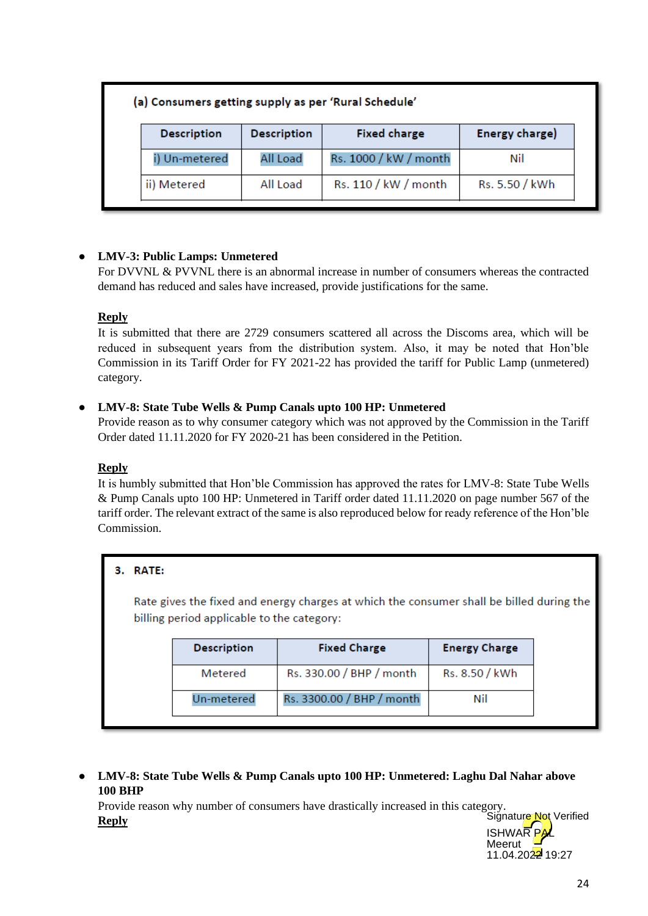## (a) Consumers getting supply as per 'Rural Schedule'

| <b>Description</b> | <b>Description</b> | <b>Fixed charge</b>   | Energy charge) |
|--------------------|--------------------|-----------------------|----------------|
| i) Un-metered      | All Load           | Rs. 1000 / kW / month | Nil            |
| ii) Metered        | All Load           | Rs. 110 / kW / month  | Rs. 5.50 / kWh |

## ● **LMV-3: Public Lamps: Unmetered**

For DVVNL & PVVNL there is an abnormal increase in number of consumers whereas the contracted demand has reduced and sales have increased, provide justifications for the same.

## **Reply**

It is submitted that there are 2729 consumers scattered all across the Discoms area, which will be reduced in subsequent years from the distribution system. Also, it may be noted that Hon'ble Commission in its Tariff Order for FY 2021-22 has provided the tariff for Public Lamp (unmetered) category.

## ● **LMV-8: State Tube Wells & Pump Canals upto 100 HP: Unmetered**

Provide reason as to why consumer category which was not approved by the Commission in the Tariff Order dated 11.11.2020 for FY 2020-21 has been considered in the Petition.

## **Reply**

It is humbly submitted that Hon'ble Commission has approved the rates for LMV-8: State Tube Wells & Pump Canals upto 100 HP: Unmetered in Tariff order dated 11.11.2020 on page number 567 of the tariff order. The relevant extract of the same is also reproduced below for ready reference of the Hon'ble Commission.

## 3. RATE:

Rate gives the fixed and energy charges at which the consumer shall be billed during the billing period applicable to the category:

| <b>Description</b> | <b>Fixed Charge</b>       | <b>Energy Charge</b> |
|--------------------|---------------------------|----------------------|
| Metered            | Rs. 330.00 / BHP / month  | Rs. 8.50 / kWh       |
| Un-metered         | Rs. 3300.00 / BHP / month | Nil                  |

● **LMV-8: State Tube Wells & Pump Canals upto 100 HP: Unmetered: Laghu Dal Nahar above 100 BHP**

Provide reason why number of consumers have drastically increased in this category. **Reply** Signature Not Verified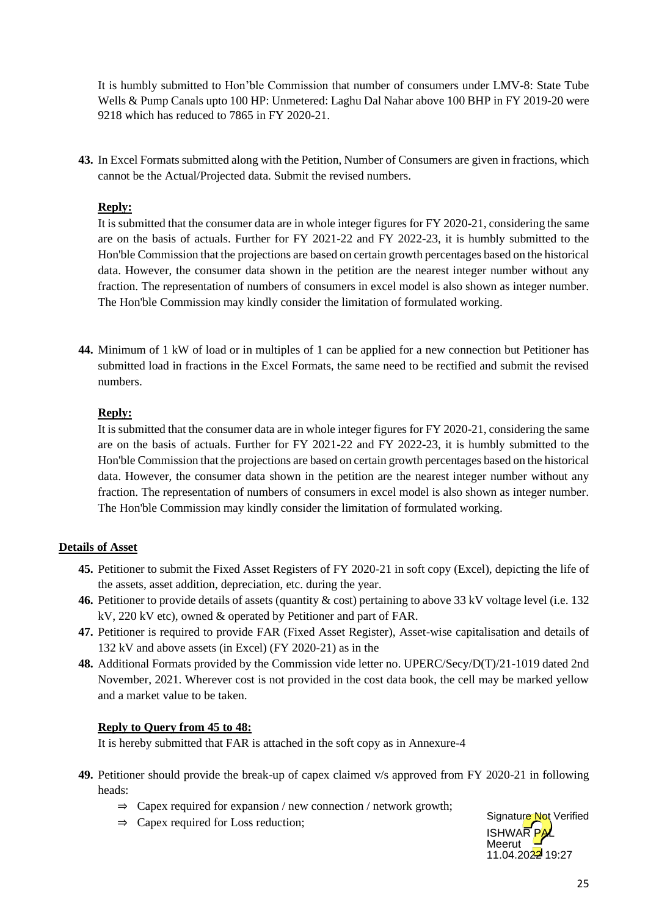It is humbly submitted to Hon'ble Commission that number of consumers under LMV-8: State Tube Wells & Pump Canals upto 100 HP: Unmetered: Laghu Dal Nahar above 100 BHP in FY 2019-20 were 9218 which has reduced to 7865 in FY 2020-21.

**43.** In Excel Formats submitted along with the Petition, Number of Consumers are given in fractions, which cannot be the Actual/Projected data. Submit the revised numbers.

## **Reply:**

It is submitted that the consumer data are in whole integer figures for FY 2020-21, considering the same are on the basis of actuals. Further for FY 2021-22 and FY 2022-23, it is humbly submitted to the Hon'ble Commission that the projections are based on certain growth percentages based on the historical data. However, the consumer data shown in the petition are the nearest integer number without any fraction. The representation of numbers of consumers in excel model is also shown as integer number. The Hon'ble Commission may kindly consider the limitation of formulated working.

**44.** Minimum of 1 kW of load or in multiples of 1 can be applied for a new connection but Petitioner has submitted load in fractions in the Excel Formats, the same need to be rectified and submit the revised numbers.

## **Reply:**

It is submitted that the consumer data are in whole integer figures for FY 2020-21, considering the same are on the basis of actuals. Further for FY 2021-22 and FY 2022-23, it is humbly submitted to the Hon'ble Commission that the projections are based on certain growth percentages based on the historical data. However, the consumer data shown in the petition are the nearest integer number without any fraction. The representation of numbers of consumers in excel model is also shown as integer number. The Hon'ble Commission may kindly consider the limitation of formulated working.

## **Details of Asset**

- **45.** Petitioner to submit the Fixed Asset Registers of FY 2020-21 in soft copy (Excel), depicting the life of the assets, asset addition, depreciation, etc. during the year.
- **46.** Petitioner to provide details of assets (quantity & cost) pertaining to above 33 kV voltage level (i.e. 132 kV, 220 kV etc), owned & operated by Petitioner and part of FAR.
- **47.** Petitioner is required to provide FAR (Fixed Asset Register), Asset-wise capitalisation and details of 132 kV and above assets (in Excel) (FY 2020-21) as in the
- **48.** Additional Formats provided by the Commission vide letter no. UPERC/Secy/D(T)/21-1019 dated 2nd November, 2021. Wherever cost is not provided in the cost data book, the cell may be marked yellow and a market value to be taken.

## **Reply to Query from 45 to 48:**

It is hereby submitted that FAR is attached in the soft copy as in Annexure-4

- **49.** Petitioner should provide the break-up of capex claimed v/s approved from FY 2020-21 in following heads:
	- $\Rightarrow$  Capex required for expansion / new connection / network growth;
	- ⇒ Capex required for Loss reduction;

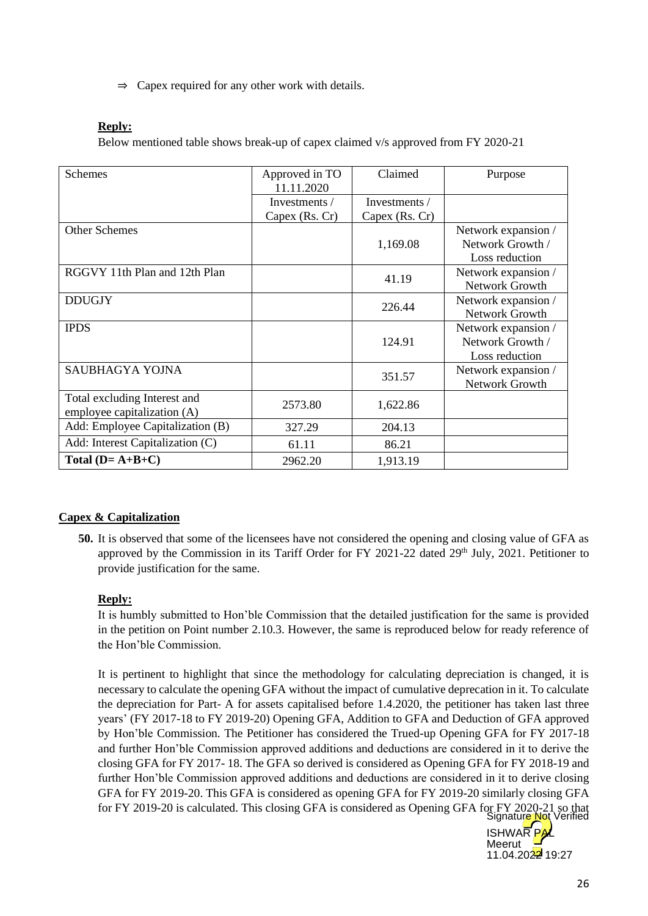$\Rightarrow$  Capex required for any other work with details.

#### **Reply:**

Below mentioned table shows break-up of capex claimed v/s approved from FY 2020-21

| <b>Schemes</b>                   | Approved in TO<br>11.11.2020 | Claimed        | Purpose             |
|----------------------------------|------------------------------|----------------|---------------------|
|                                  | Investments /                | Investments /  |                     |
|                                  | Capex (Rs. Cr)               | Capex (Rs. Cr) |                     |
| <b>Other Schemes</b>             |                              |                | Network expansion / |
|                                  |                              | 1,169.08       | Network Growth /    |
|                                  |                              |                | Loss reduction      |
| RGGVY 11th Plan and 12th Plan    |                              | 41.19          | Network expansion / |
|                                  |                              |                | Network Growth      |
| <b>DDUGJY</b>                    |                              | 226.44         | Network expansion / |
|                                  |                              |                | Network Growth      |
| <b>IPDS</b>                      |                              |                | Network expansion / |
|                                  |                              | 124.91         | Network Growth /    |
|                                  |                              |                | Loss reduction      |
| SAUBHAGYA YOJNA                  |                              | 351.57         | Network expansion / |
|                                  |                              |                | Network Growth      |
| Total excluding Interest and     | 2573.80                      | 1,622.86       |                     |
| employee capitalization (A)      |                              |                |                     |
| Add: Employee Capitalization (B) | 327.29                       | 204.13         |                     |
| Add: Interest Capitalization (C) | 61.11                        | 86.21          |                     |
| Total $(D = A+B+C)$              | 2962.20                      | 1,913.19       |                     |

## **Capex & Capitalization**

**50.** It is observed that some of the licensees have not considered the opening and closing value of GFA as approved by the Commission in its Tariff Order for FY 2021-22 dated 29<sup>th</sup> July, 2021. Petitioner to provide justification for the same.

## **Reply:**

It is humbly submitted to Hon'ble Commission that the detailed justification for the same is provided in the petition on Point number 2.10.3. However, the same is reproduced below for ready reference of the Hon'ble Commission.

It is pertinent to highlight that since the methodology for calculating depreciation is changed, it is necessary to calculate the opening GFA without the impact of cumulative deprecation in it. To calculate the depreciation for Part- A for assets capitalised before 1.4.2020, the petitioner has taken last three years' (FY 2017-18 to FY 2019-20) Opening GFA, Addition to GFA and Deduction of GFA approved by Hon'ble Commission. The Petitioner has considered the Trued-up Opening GFA for FY 2017-18 and further Hon'ble Commission approved additions and deductions are considered in it to derive the closing GFA for FY 2017- 18. The GFA so derived is considered as Opening GFA for FY 2018-19 and further Hon'ble Commission approved additions and deductions are considered in it to derive closing GFA for FY 2019-20. This GFA is considered as opening GFA for FY 2019-20 similarly closing GFA for FY 2019-20 is calculated. This closing GFA is considered as Opening GFA for FY 2020-21 so that Signature Not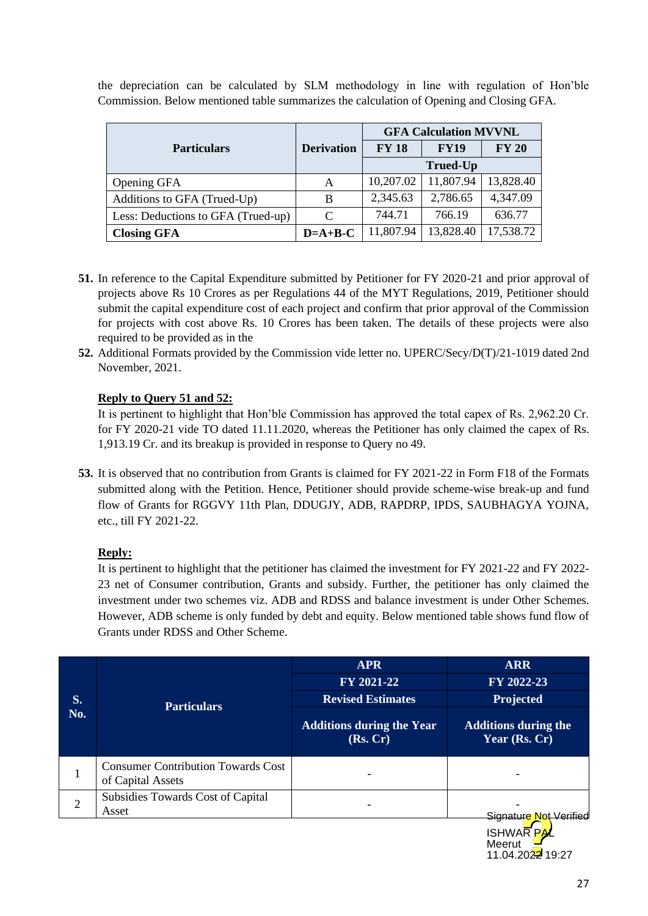|                                    |                                   |           | <b>GFA Calculation MVVNL</b> |              |  |  |
|------------------------------------|-----------------------------------|-----------|------------------------------|--------------|--|--|
| <b>Particulars</b>                 | <b>FY 18</b><br><b>Derivation</b> |           | <b>FY19</b>                  | <b>FY 20</b> |  |  |
|                                    |                                   |           |                              |              |  |  |
| Opening GFA                        | А                                 | 10,207.02 | 11,807.94                    | 13,828.40    |  |  |
| Additions to GFA (Trued-Up)        | B                                 | 2,345.63  | 2,786.65                     | 4,347.09     |  |  |
| Less: Deductions to GFA (Trued-up) | C                                 | 744.71    | 766.19                       | 636.77       |  |  |
| <b>Closing GFA</b>                 | $D=A+B-C$                         | 11,807.94 | 13,828.40                    | 17,538.72    |  |  |

the depreciation can be calculated by SLM methodology in line with regulation of Hon'ble Commission. Below mentioned table summarizes the calculation of Opening and Closing GFA.

- **51.** In reference to the Capital Expenditure submitted by Petitioner for FY 2020-21 and prior approval of projects above Rs 10 Crores as per Regulations 44 of the MYT Regulations, 2019, Petitioner should submit the capital expenditure cost of each project and confirm that prior approval of the Commission for projects with cost above Rs. 10 Crores has been taken. The details of these projects were also required to be provided as in the
- **52.** Additional Formats provided by the Commission vide letter no. UPERC/Secy/D(T)/21-1019 dated 2nd November, 2021.

## **Reply to Query 51 and 52:**

It is pertinent to highlight that Hon'ble Commission has approved the total capex of Rs. 2,962.20 Cr. for FY 2020-21 vide TO dated 11.11.2020, whereas the Petitioner has only claimed the capex of Rs. 1,913.19 Cr. and its breakup is provided in response to Query no 49.

**53.** It is observed that no contribution from Grants is claimed for FY 2021-22 in Form F18 of the Formats submitted along with the Petition. Hence, Petitioner should provide scheme-wise break-up and fund flow of Grants for RGGVY 11th Plan, DDUGJY, ADB, RAPDRP, IPDS, SAUBHAGYA YOJNA, etc., till FY 2021-22.

## **Reply:**

It is pertinent to highlight that the petitioner has claimed the investment for FY 2021-22 and FY 2022- 23 net of Consumer contribution, Grants and subsidy. Further, the petitioner has only claimed the investment under two schemes viz. ADB and RDSS and balance investment is under Other Schemes. However, ADB scheme is only funded by debt and equity. Below mentioned table shows fund flow of Grants under RDSS and Other Scheme.

|           |                                                                | <b>APR</b>                                   | <b>ARR</b>                                   |  |
|-----------|----------------------------------------------------------------|----------------------------------------------|----------------------------------------------|--|
| S.<br>No. |                                                                | FY 2021-22                                   | FY 2022-23                                   |  |
|           | <b>Particulars</b>                                             | <b>Revised Estimates</b>                     | Projected                                    |  |
|           |                                                                | <b>Additions during the Year</b><br>(Rs, Cr) | <b>Additions during the</b><br>Year (Rs. Cr) |  |
|           | <b>Consumer Contribution Towards Cost</b><br>of Capital Assets |                                              |                                              |  |
| 2         | Subsidies Towards Cost of Capital<br>Asset                     |                                              |                                              |  |
|           |                                                                |                                              | <u>Signature No</u>                          |  |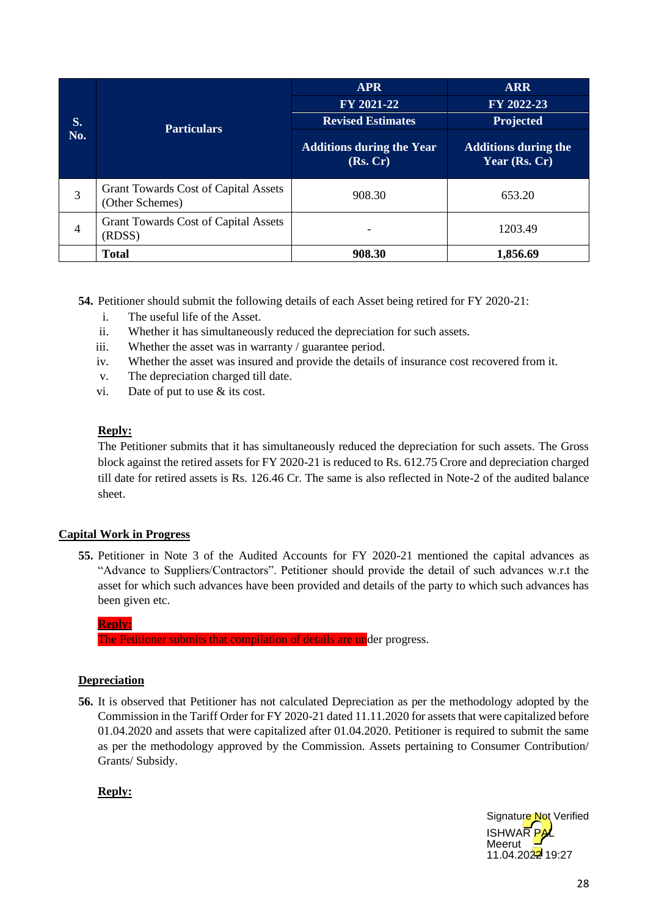|                |                                                                | <b>APR</b>                                   | <b>ARR</b>                                   |  |
|----------------|----------------------------------------------------------------|----------------------------------------------|----------------------------------------------|--|
|                | <b>Particulars</b>                                             | FY 2021-22                                   | FY 2022-23                                   |  |
| S.             |                                                                | <b>Revised Estimates</b>                     | Projected                                    |  |
| No.            |                                                                | <b>Additions during the Year</b><br>(Rs, Cr) | <b>Additions during the</b><br>Year (Rs. Cr) |  |
| 3              | <b>Grant Towards Cost of Capital Assets</b><br>(Other Schemes) | 908.30                                       | 653.20                                       |  |
| $\overline{4}$ | <b>Grant Towards Cost of Capital Assets</b><br>(RDSS)          |                                              | 1203.49                                      |  |
|                | <b>Total</b>                                                   | 908.30                                       | 1,856.69                                     |  |

**54.** Petitioner should submit the following details of each Asset being retired for FY 2020-21:

- i. The useful life of the Asset.
- ii. Whether it has simultaneously reduced the depreciation for such assets.
- iii. Whether the asset was in warranty / guarantee period.
- iv. Whether the asset was insured and provide the details of insurance cost recovered from it.
- v. The depreciation charged till date.
- vi. Date of put to use & its cost.

#### **Reply:**

The Petitioner submits that it has simultaneously reduced the depreciation for such assets. The Gross block against the retired assets for FY 2020-21 is reduced to Rs. 612.75 Crore and depreciation charged till date for retired assets is Rs. 126.46 Cr. The same is also reflected in Note-2 of the audited balance sheet.

## **Capital Work in Progress**

**55.** Petitioner in Note 3 of the Audited Accounts for FY 2020-21 mentioned the capital advances as "Advance to Suppliers/Contractors". Petitioner should provide the detail of such advances w.r.t the asset for which such advances have been provided and details of the party to which such advances has been given etc.

**Reply:**

The Petitioner submits that compilation of details are under progress.

## **Depreciation**

**56.** It is observed that Petitioner has not calculated Depreciation as per the methodology adopted by the Commission in the Tariff Order for FY 2020-21 dated 11.11.2020 for assets that were capitalized before 01.04.2020 and assets that were capitalized after 01.04.2020. Petitioner is required to submit the same as per the methodology approved by the Commission. Assets pertaining to Consumer Contribution/ Grants/ Subsidy.

## **Reply:**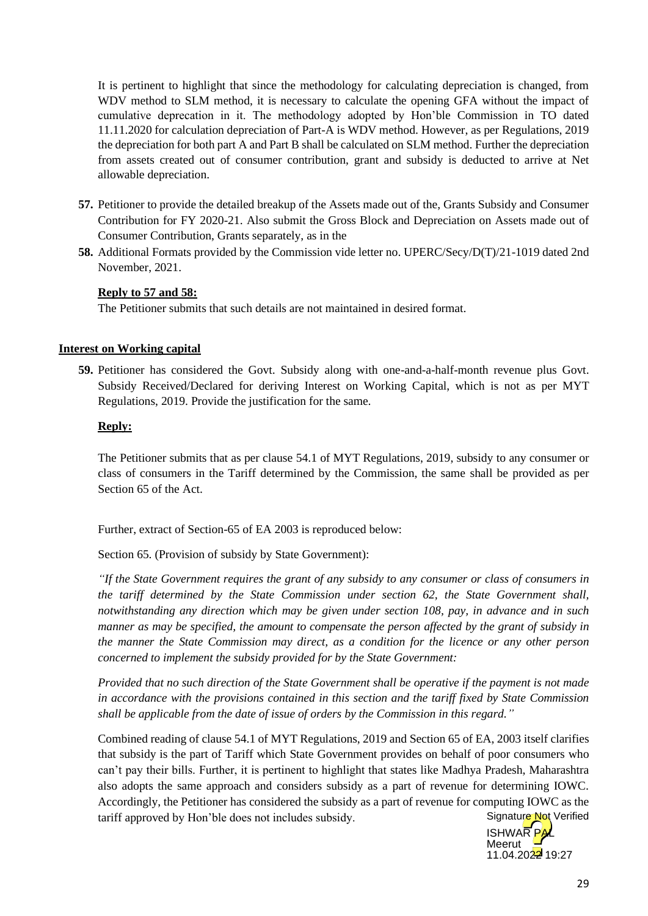It is pertinent to highlight that since the methodology for calculating depreciation is changed, from WDV method to SLM method, it is necessary to calculate the opening GFA without the impact of cumulative deprecation in it. The methodology adopted by Hon'ble Commission in TO dated 11.11.2020 for calculation depreciation of Part-A is WDV method. However, as per Regulations, 2019 the depreciation for both part A and Part B shall be calculated on SLM method. Further the depreciation from assets created out of consumer contribution, grant and subsidy is deducted to arrive at Net allowable depreciation.

- **57.** Petitioner to provide the detailed breakup of the Assets made out of the, Grants Subsidy and Consumer Contribution for FY 2020-21. Also submit the Gross Block and Depreciation on Assets made out of Consumer Contribution, Grants separately, as in the
- **58.** Additional Formats provided by the Commission vide letter no. UPERC/Secy/D(T)/21-1019 dated 2nd November, 2021.

## **Reply to 57 and 58:**

The Petitioner submits that such details are not maintained in desired format.

#### **Interest on Working capital**

**59.** Petitioner has considered the Govt. Subsidy along with one-and-a-half-month revenue plus Govt. Subsidy Received/Declared for deriving Interest on Working Capital, which is not as per MYT Regulations, 2019. Provide the justification for the same.

#### **Reply:**

The Petitioner submits that as per clause 54.1 of MYT Regulations, 2019, subsidy to any consumer or class of consumers in the Tariff determined by the Commission, the same shall be provided as per Section 65 of the Act.

Further, extract of Section-65 of EA 2003 is reproduced below:

Section 65. (Provision of subsidy by State Government):

*"If the State Government requires the grant of any subsidy to any consumer or class of consumers in the tariff determined by the State Commission under section 62, the State Government shall, notwithstanding any direction which may be given under section 108, pay, in advance and in such manner as may be specified, the amount to compensate the person affected by the grant of subsidy in the manner the State Commission may direct, as a condition for the licence or any other person concerned to implement the subsidy provided for by the State Government:*

*Provided that no such direction of the State Government shall be operative if the payment is not made in accordance with the provisions contained in this section and the tariff fixed by State Commission shall be applicable from the date of issue of orders by the Commission in this regard."*

Combined reading of clause 54.1 of MYT Regulations, 2019 and Section 65 of EA, 2003 itself clarifies that subsidy is the part of Tariff which State Government provides on behalf of poor consumers who can't pay their bills. Further, it is pertinent to highlight that states like Madhya Pradesh, Maharashtra also adopts the same approach and considers subsidy as a part of revenue for determining IOWC. Accordingly, the Petitioner has considered the subsidy as a part of revenue for computing IOWC as the tariff approved by Hon'ble does not includes subsidy. Signature Not Verified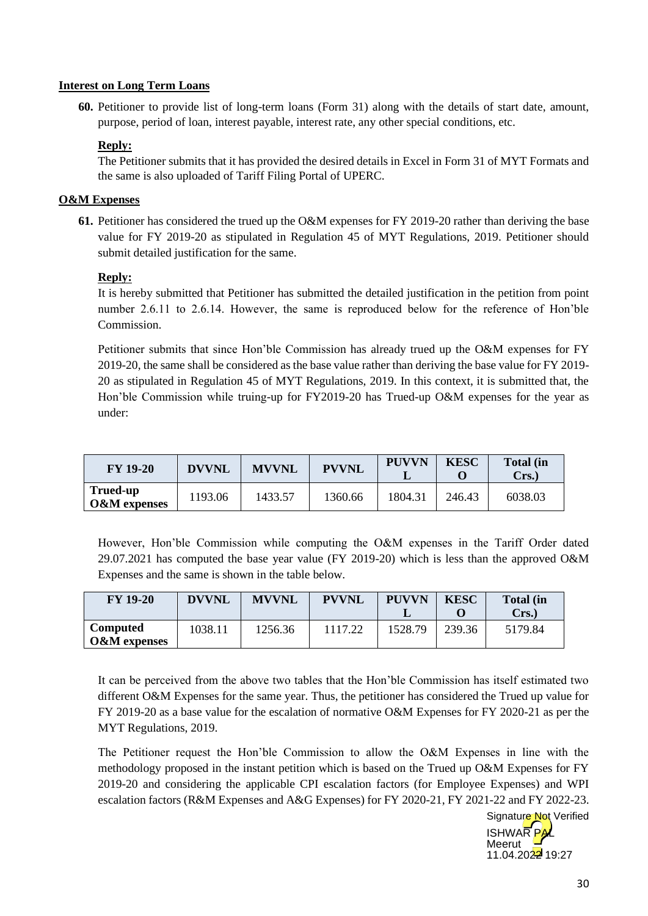#### **Interest on Long Term Loans**

**60.** Petitioner to provide list of long-term loans (Form 31) along with the details of start date, amount, purpose, period of loan, interest payable, interest rate, any other special conditions, etc.

## **Reply:**

The Petitioner submits that it has provided the desired details in Excel in Form 31 of MYT Formats and the same is also uploaded of Tariff Filing Portal of UPERC.

## **O&M Expenses**

**61.** Petitioner has considered the trued up the O&M expenses for FY 2019-20 rather than deriving the base value for FY 2019-20 as stipulated in Regulation 45 of MYT Regulations, 2019. Petitioner should submit detailed justification for the same.

## **Reply:**

It is hereby submitted that Petitioner has submitted the detailed justification in the petition from point number 2.6.11 to 2.6.14. However, the same is reproduced below for the reference of Hon'ble **Commission** 

Petitioner submits that since Hon'ble Commission has already trued up the O&M expenses for FY 2019-20, the same shall be considered as the base value rather than deriving the base value for FY 2019- 20 as stipulated in Regulation 45 of MYT Regulations, 2019. In this context, it is submitted that, the Hon'ble Commission while truing-up for FY2019-20 has Trued-up O&M expenses for the year as under:

| <b>FY 19-20</b>             | <b>DVVNL</b> | <b>MVVNL</b> | <b>PVVNL</b> | <b>PUVVN</b> | <b>KESC</b> | <b>Total (in</b><br>Crs.) |
|-----------------------------|--------------|--------------|--------------|--------------|-------------|---------------------------|
| Trued-up<br>$O\&M$ expenses | 1193.06      | 1433.57      | 1360.66      | 1804.31      | 246.43      | 6038.03                   |

However, Hon'ble Commission while computing the O&M expenses in the Tariff Order dated 29.07.2021 has computed the base year value (FY 2019-20) which is less than the approved O&M Expenses and the same is shown in the table below.

| <b>FY 19-20</b>                            | <b>DVVNL</b> | <b>MVVNL</b> | <b>PVVNL</b> | <b>PUVVN</b> | <b>KESC</b> | <b>Total</b> (in<br>Crs.) |
|--------------------------------------------|--------------|--------------|--------------|--------------|-------------|---------------------------|
| <b>Computed</b><br><b>O&amp;M</b> expenses | 1038.11      | 1256.36      | 1117.22      | 1528.79      | 239.36      | 5179.84                   |

It can be perceived from the above two tables that the Hon'ble Commission has itself estimated two different O&M Expenses for the same year. Thus, the petitioner has considered the Trued up value for FY 2019-20 as a base value for the escalation of normative O&M Expenses for FY 2020-21 as per the MYT Regulations, 2019.

The Petitioner request the Hon'ble Commission to allow the O&M Expenses in line with the methodology proposed in the instant petition which is based on the Trued up O&M Expenses for FY 2019-20 and considering the applicable CPI escalation factors (for Employee Expenses) and WPI escalation factors (R&M Expenses and A&G Expenses) for FY 2020-21, FY 2021-22 and FY 2022-23.

**ISHWAR PAL** Meerut  $11.04.2022$  19:27 Signature Not Verified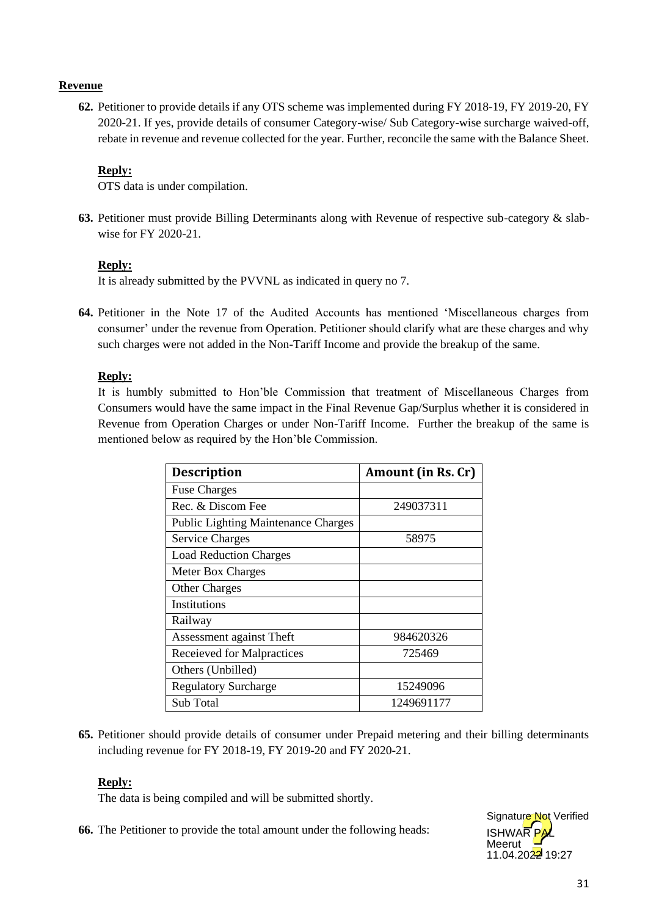## **Revenue**

**62.** Petitioner to provide details if any OTS scheme was implemented during FY 2018-19, FY 2019-20, FY 2020-21. If yes, provide details of consumer Category-wise/ Sub Category-wise surcharge waived-off, rebate in revenue and revenue collected for the year. Further, reconcile the same with the Balance Sheet.

## **Reply:**

OTS data is under compilation.

**63.** Petitioner must provide Billing Determinants along with Revenue of respective sub-category & slabwise for FY 2020-21.

## **Reply:**

It is already submitted by the PVVNL as indicated in query no 7.

**64.** Petitioner in the Note 17 of the Audited Accounts has mentioned 'Miscellaneous charges from consumer' under the revenue from Operation. Petitioner should clarify what are these charges and why such charges were not added in the Non-Tariff Income and provide the breakup of the same.

## **Reply:**

It is humbly submitted to Hon'ble Commission that treatment of Miscellaneous Charges from Consumers would have the same impact in the Final Revenue Gap/Surplus whether it is considered in Revenue from Operation Charges or under Non-Tariff Income. Further the breakup of the same is mentioned below as required by the Hon'ble Commission.

| <b>Description</b>                         | Amount (in Rs. Cr) |
|--------------------------------------------|--------------------|
| <b>Fuse Charges</b>                        |                    |
| Rec. & Discom Fee                          | 249037311          |
| <b>Public Lighting Maintenance Charges</b> |                    |
| <b>Service Charges</b>                     | 58975              |
| <b>Load Reduction Charges</b>              |                    |
| <b>Meter Box Charges</b>                   |                    |
| <b>Other Charges</b>                       |                    |
| Institutions                               |                    |
| Railway                                    |                    |
| Assessment against Theft                   | 984620326          |
| Receieved for Malpractices                 | 725469             |
| Others (Unbilled)                          |                    |
| <b>Regulatory Surcharge</b>                | 15249096           |
| Sub Total                                  | 1249691177         |

**65.** Petitioner should provide details of consumer under Prepaid metering and their billing determinants including revenue for FY 2018-19, FY 2019-20 and FY 2020-21.

## **Reply:**

The data is being compiled and will be submitted shortly.

**66.** The Petitioner to provide the total amount under the following heads:

**ISHWAR** Meerut  $11.04.2022$  19:27 Signature Not Verified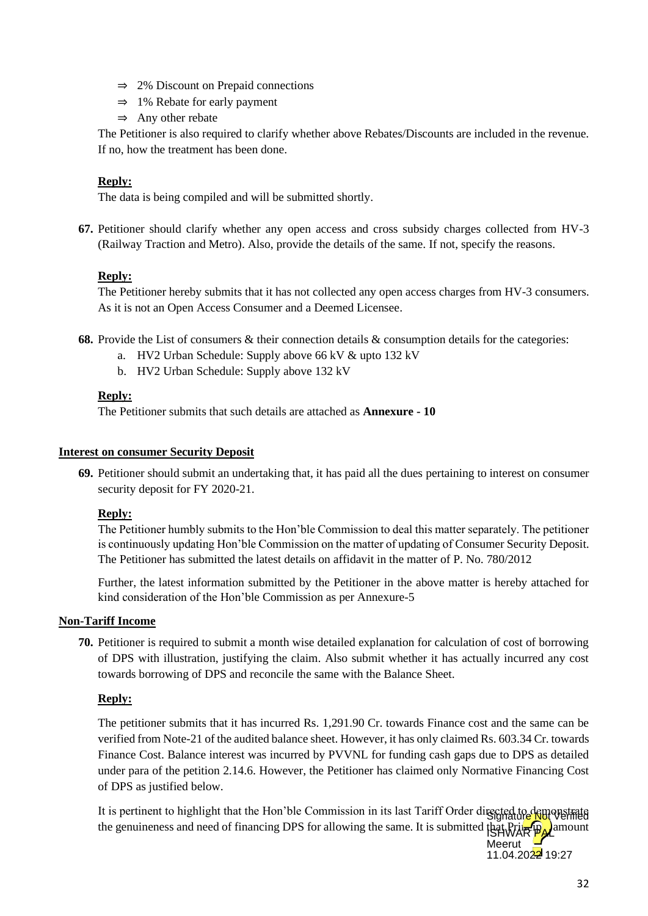- ⇒ 2% Discount on Prepaid connections
- ⇒ 1% Rebate for early payment
- $\Rightarrow$  Any other rebate

The Petitioner is also required to clarify whether above Rebates/Discounts are included in the revenue. If no, how the treatment has been done.

## **Reply:**

The data is being compiled and will be submitted shortly.

**67.** Petitioner should clarify whether any open access and cross subsidy charges collected from HV-3 (Railway Traction and Metro). Also, provide the details of the same. If not, specify the reasons.

## **Reply:**

The Petitioner hereby submits that it has not collected any open access charges from HV-3 consumers. As it is not an Open Access Consumer and a Deemed Licensee.

- **68.** Provide the List of consumers & their connection details & consumption details for the categories:
	- a. HV2 Urban Schedule: Supply above 66 kV & upto 132 kV
	- b. HV2 Urban Schedule: Supply above 132 kV

#### **Reply:**

The Petitioner submits that such details are attached as **Annexure - 10**

#### **Interest on consumer Security Deposit**

**69.** Petitioner should submit an undertaking that, it has paid all the dues pertaining to interest on consumer security deposit for FY 2020-21.

## **Reply:**

The Petitioner humbly submits to the Hon'ble Commission to deal this matter separately. The petitioner is continuously updating Hon'ble Commission on the matter of updating of Consumer Security Deposit. The Petitioner has submitted the latest details on affidavit in the matter of P. No. 780/2012

Further, the latest information submitted by the Petitioner in the above matter is hereby attached for kind consideration of the Hon'ble Commission as per Annexure-5

## **Non-Tariff Income**

**70.** Petitioner is required to submit a month wise detailed explanation for calculation of cost of borrowing of DPS with illustration, justifying the claim. Also submit whether it has actually incurred any cost towards borrowing of DPS and reconcile the same with the Balance Sheet.

## **Reply:**

The petitioner submits that it has incurred Rs. 1,291.90 Cr. towards Finance cost and the same can be verified from Note-21 of the audited balance sheet. However, it has only claimed Rs. 603.34 Cr. towards Finance Cost. Balance interest was incurred by PVVNL for funding cash gaps due to DPS as detailed under para of the petition 2.14.6. However, the Petitioner has claimed only Normative Financing Cost of DPS as justified below.

It is pertinent to highlight that the Hon'ble Commission in its last Tariff Order directed to demonstrate the genuineness and need of financing DPS for allowing the same. It is submitted that Principal amount

Meerut  $11.04.2022$  19:27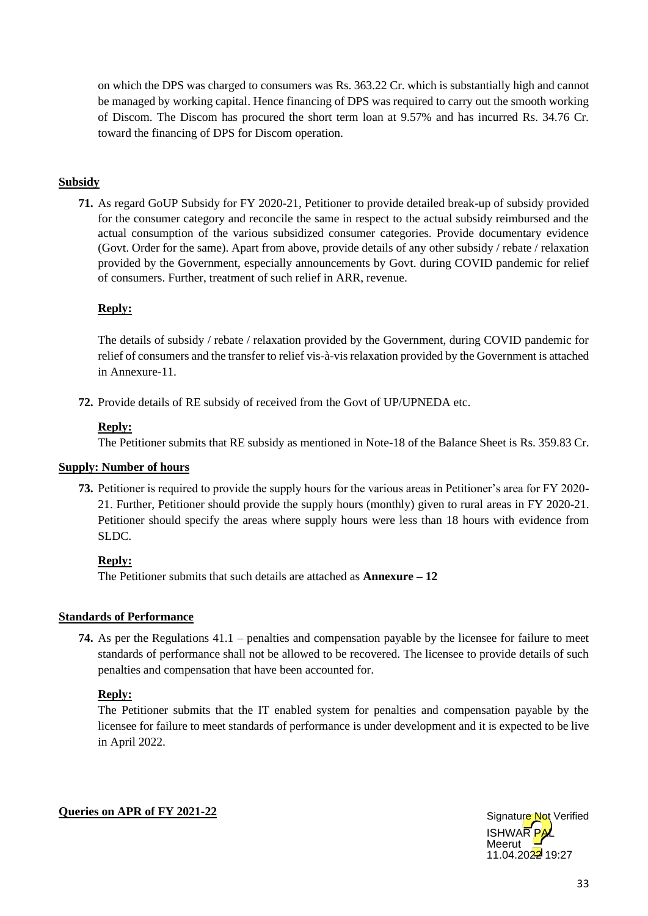on which the DPS was charged to consumers was Rs. 363.22 Cr. which is substantially high and cannot be managed by working capital. Hence financing of DPS was required to carry out the smooth working of Discom. The Discom has procured the short term loan at 9.57% and has incurred Rs. 34.76 Cr. toward the financing of DPS for Discom operation.

## **Subsidy**

**71.** As regard GoUP Subsidy for FY 2020-21, Petitioner to provide detailed break-up of subsidy provided for the consumer category and reconcile the same in respect to the actual subsidy reimbursed and the actual consumption of the various subsidized consumer categories. Provide documentary evidence (Govt. Order for the same). Apart from above, provide details of any other subsidy / rebate / relaxation provided by the Government, especially announcements by Govt. during COVID pandemic for relief of consumers. Further, treatment of such relief in ARR, revenue.

## **Reply:**

The details of subsidy / rebate / relaxation provided by the Government, during COVID pandemic for relief of consumers and the transfer to relief vis-à-vis relaxation provided by the Government is attached in Annexure-11.

**72.** Provide details of RE subsidy of received from the Govt of UP/UPNEDA etc.

## **Reply:**

The Petitioner submits that RE subsidy as mentioned in Note-18 of the Balance Sheet is Rs. 359.83 Cr.

#### **Supply: Number of hours**

**73.** Petitioner is required to provide the supply hours for the various areas in Petitioner's area for FY 2020- 21. Further, Petitioner should provide the supply hours (monthly) given to rural areas in FY 2020-21. Petitioner should specify the areas where supply hours were less than 18 hours with evidence from SLDC.

## **Reply:**

The Petitioner submits that such details are attached as **Annexure – 12**

## **Standards of Performance**

**74.** As per the Regulations 41.1 – penalties and compensation payable by the licensee for failure to meet standards of performance shall not be allowed to be recovered. The licensee to provide details of such penalties and compensation that have been accounted for.

## **Reply:**

The Petitioner submits that the IT enabled system for penalties and compensation payable by the licensee for failure to meet standards of performance is under development and it is expected to be live in April 2022.

#### **Queries on APR of FY 2021-22**

**ISHWAR** Meerut  $11.04.2022$  19:27 Signature Not Verified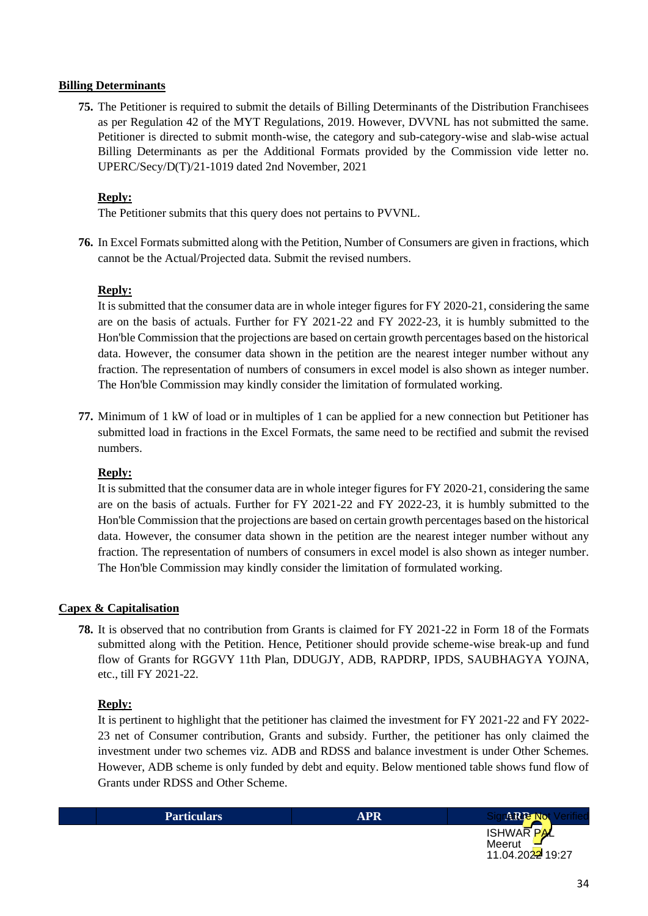#### **Billing Determinants**

**75.** The Petitioner is required to submit the details of Billing Determinants of the Distribution Franchisees as per Regulation 42 of the MYT Regulations, 2019. However, DVVNL has not submitted the same. Petitioner is directed to submit month-wise, the category and sub-category-wise and slab-wise actual Billing Determinants as per the Additional Formats provided by the Commission vide letter no. UPERC/Secy/D(T)/21-1019 dated 2nd November, 2021

#### **Reply:**

The Petitioner submits that this query does not pertains to PVVNL.

**76.** In Excel Formats submitted along with the Petition, Number of Consumers are given in fractions, which cannot be the Actual/Projected data. Submit the revised numbers.

#### **Reply:**

It is submitted that the consumer data are in whole integer figures for FY 2020-21, considering the same are on the basis of actuals. Further for FY 2021-22 and FY 2022-23, it is humbly submitted to the Hon'ble Commission that the projections are based on certain growth percentages based on the historical data. However, the consumer data shown in the petition are the nearest integer number without any fraction. The representation of numbers of consumers in excel model is also shown as integer number. The Hon'ble Commission may kindly consider the limitation of formulated working.

**77.** Minimum of 1 kW of load or in multiples of 1 can be applied for a new connection but Petitioner has submitted load in fractions in the Excel Formats, the same need to be rectified and submit the revised numbers.

## **Reply:**

It is submitted that the consumer data are in whole integer figures for FY 2020-21, considering the same are on the basis of actuals. Further for FY 2021-22 and FY 2022-23, it is humbly submitted to the Hon'ble Commission that the projections are based on certain growth percentages based on the historical data. However, the consumer data shown in the petition are the nearest integer number without any fraction. The representation of numbers of consumers in excel model is also shown as integer number. The Hon'ble Commission may kindly consider the limitation of formulated working.

## **Capex & Capitalisation**

**78.** It is observed that no contribution from Grants is claimed for FY 2021-22 in Form 18 of the Formats submitted along with the Petition. Hence, Petitioner should provide scheme-wise break-up and fund flow of Grants for RGGVY 11th Plan, DDUGJY, ADB, RAPDRP, IPDS, SAUBHAGYA YOJNA, etc., till FY 2021-22.

## **Reply:**

It is pertinent to highlight that the petitioner has claimed the investment for FY 2021-22 and FY 2022- 23 net of Consumer contribution, Grants and subsidy. Further, the petitioner has only claimed the investment under two schemes viz. ADB and RDSS and balance investment is under Other Schemes. However, ADB scheme is only funded by debt and equity. Below mentioned table shows fund flow of Grants under RDSS and Other Scheme.

| <b>Particulars</b> | APR | e Not<br>74 K J                              |
|--------------------|-----|----------------------------------------------|
|                    |     | $P$ <i>N</i><br><b>ISHWAR</b><br>Meerut<br>_ |

11.04.2022 19:27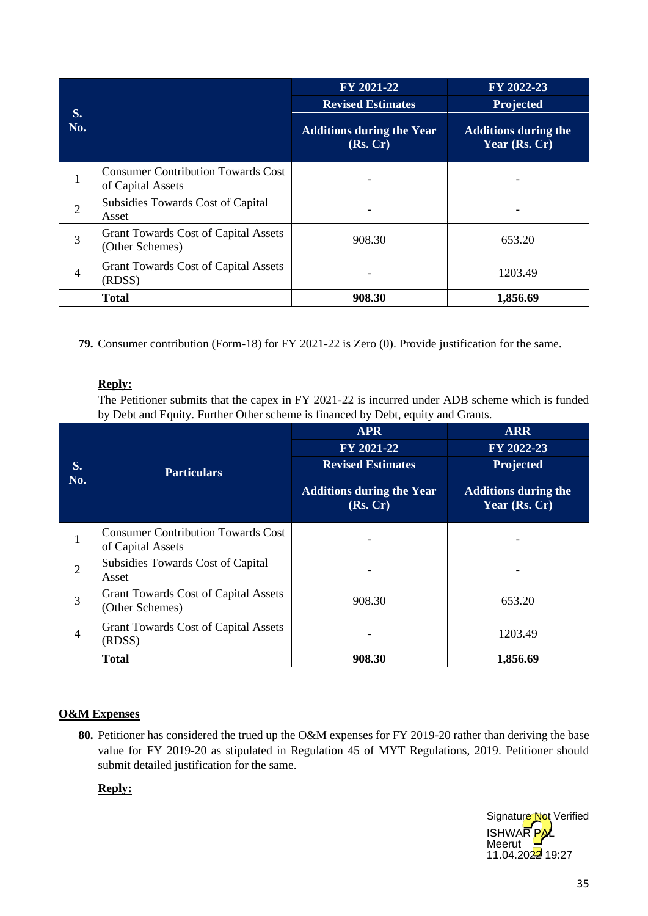|                |                                                                | FY 2021-22                                   | FY 2022-23                                   |
|----------------|----------------------------------------------------------------|----------------------------------------------|----------------------------------------------|
|                |                                                                | <b>Revised Estimates</b>                     | Projected                                    |
| S.<br>No.      |                                                                | <b>Additions during the Year</b><br>(Rs, Cr) | <b>Additions during the</b><br>Year (Rs. Cr) |
| 1              | <b>Consumer Contribution Towards Cost</b><br>of Capital Assets |                                              |                                              |
| $\overline{2}$ | Subsidies Towards Cost of Capital<br>Asset                     |                                              |                                              |
| 3              | <b>Grant Towards Cost of Capital Assets</b><br>(Other Schemes) | 908.30                                       | 653.20                                       |
| 4              | <b>Grant Towards Cost of Capital Assets</b><br>(RDSS)          |                                              | 1203.49                                      |
|                | <b>Total</b>                                                   | 908.30                                       | 1,856.69                                     |

**79.** Consumer contribution (Form-18) for FY 2021-22 is Zero (0). Provide justification for the same.

## **Reply:**

The Petitioner submits that the capex in FY 2021-22 is incurred under ADB scheme which is funded by Debt and Equity. Further Other scheme is financed by Debt, equity and Grants.

|                |                                                                | <b>APR</b>                                   | <b>ARR</b>                                   |
|----------------|----------------------------------------------------------------|----------------------------------------------|----------------------------------------------|
|                |                                                                | FY 2021-22                                   | FY 2022-23                                   |
| S.             | <b>Particulars</b>                                             | <b>Revised Estimates</b>                     | Projected                                    |
| No.            |                                                                | <b>Additions during the Year</b><br>(Rs, Cr) | <b>Additions during the</b><br>Year (Rs. Cr) |
| T              | <b>Consumer Contribution Towards Cost</b><br>of Capital Assets |                                              |                                              |
| $\overline{2}$ | Subsidies Towards Cost of Capital<br>Asset                     |                                              |                                              |
| 3              | <b>Grant Towards Cost of Capital Assets</b><br>(Other Schemes) | 908.30                                       | 653.20                                       |
| $\overline{4}$ | <b>Grant Towards Cost of Capital Assets</b><br>(RDSS)          |                                              | 1203.49                                      |
|                | <b>Total</b>                                                   | 908.30                                       | 1,856.69                                     |

## **O&M Expenses**

**80.** Petitioner has considered the trued up the O&M expenses for FY 2019-20 rather than deriving the base value for FY 2019-20 as stipulated in Regulation 45 of MYT Regulations, 2019. Petitioner should submit detailed justification for the same.

## **Reply:**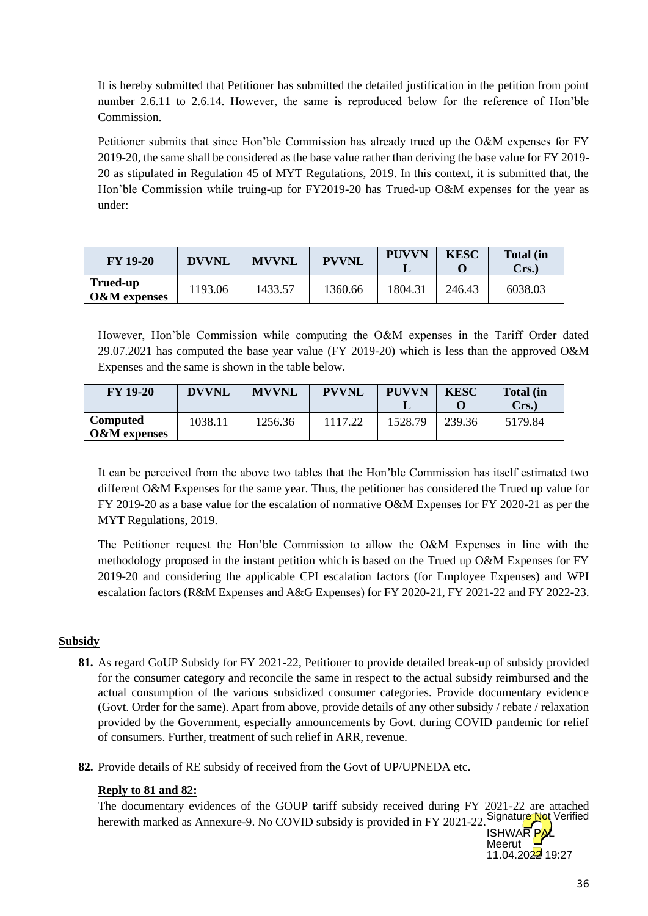It is hereby submitted that Petitioner has submitted the detailed justification in the petition from point number 2.6.11 to 2.6.14. However, the same is reproduced below for the reference of Hon'ble Commission.

Petitioner submits that since Hon'ble Commission has already trued up the O&M expenses for FY 2019-20, the same shall be considered as the base value rather than deriving the base value for FY 2019- 20 as stipulated in Regulation 45 of MYT Regulations, 2019. In this context, it is submitted that, the Hon'ble Commission while truing-up for FY2019-20 has Trued-up O&M expenses for the year as under:

| <b>FY 19-20</b>                     | <b>DVVNL</b> | <b>MVVNL</b> | <b>PVVNL</b> | <b>PUVVN</b> | <b>KESC</b> | <b>Total</b> (in<br>Crs.) |
|-------------------------------------|--------------|--------------|--------------|--------------|-------------|---------------------------|
| Trued-up<br><b>O&amp;M</b> expenses | 1193.06      | 1433.57      | 1360.66      | 1804.31      | 246.43      | 6038.03                   |

However, Hon'ble Commission while computing the O&M expenses in the Tariff Order dated 29.07.2021 has computed the base year value (FY 2019-20) which is less than the approved O&M Expenses and the same is shown in the table below.

| <b>FY 19-20</b>                            | <b>DVVNL</b> | <b>MVVNL</b> | <b>PVVNL</b> | <b>PUVVN</b> | <b>KESC</b> | <b>Total (in</b><br>Crs. |
|--------------------------------------------|--------------|--------------|--------------|--------------|-------------|--------------------------|
| <b>Computed</b><br><b>O&amp;M</b> expenses | 1038.11      | 1256.36      |              | 1528.79      | 239.36      | 5179.84                  |

It can be perceived from the above two tables that the Hon'ble Commission has itself estimated two different O&M Expenses for the same year. Thus, the petitioner has considered the Trued up value for FY 2019-20 as a base value for the escalation of normative O&M Expenses for FY 2020-21 as per the MYT Regulations, 2019.

The Petitioner request the Hon'ble Commission to allow the O&M Expenses in line with the methodology proposed in the instant petition which is based on the Trued up O&M Expenses for FY 2019-20 and considering the applicable CPI escalation factors (for Employee Expenses) and WPI escalation factors (R&M Expenses and A&G Expenses) for FY 2020-21, FY 2021-22 and FY 2022-23.

## **Subsidy**

- **81.** As regard GoUP Subsidy for FY 2021-22, Petitioner to provide detailed break-up of subsidy provided for the consumer category and reconcile the same in respect to the actual subsidy reimbursed and the actual consumption of the various subsidized consumer categories. Provide documentary evidence (Govt. Order for the same). Apart from above, provide details of any other subsidy / rebate / relaxation provided by the Government, especially announcements by Govt. during COVID pandemic for relief of consumers. Further, treatment of such relief in ARR, revenue.
- **82.** Provide details of RE subsidy of received from the Govt of UP/UPNEDA etc.

## **Reply to 81 and 82:**

The documentary evidences of the GOUP tariff subsidy received during FY 2021-22 are attached herewith marked as Annexure-9. No COVID subsidy is provided in FY 2021-22. Signature Not Verified

**ISHWAR PA** Meerut 11.04.2022 19:27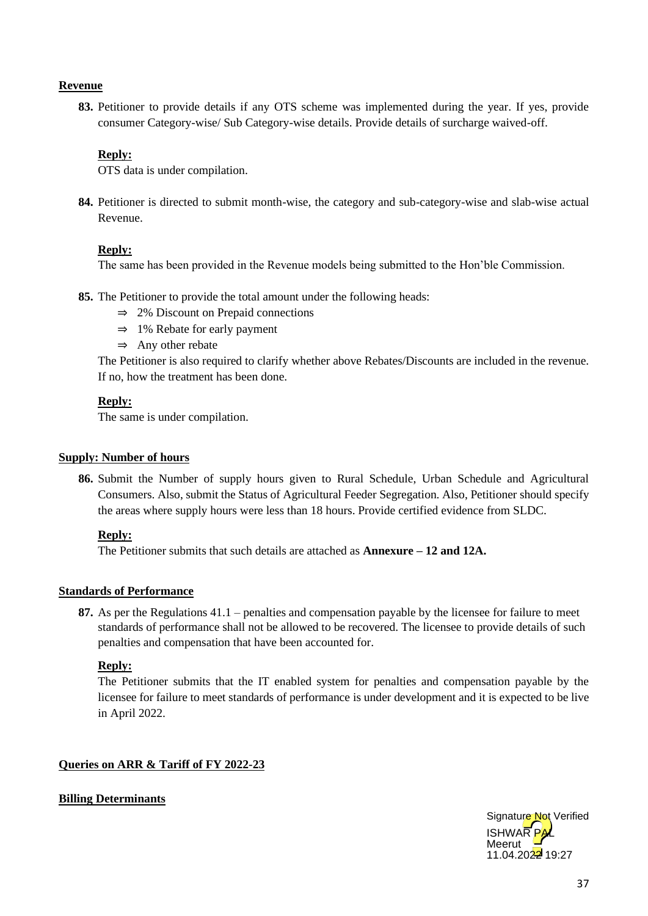#### **Revenue**

**83.** Petitioner to provide details if any OTS scheme was implemented during the year. If yes, provide consumer Category-wise/ Sub Category-wise details. Provide details of surcharge waived-off.

#### **Reply:**

OTS data is under compilation.

**84.** Petitioner is directed to submit month-wise, the category and sub-category-wise and slab-wise actual Revenue.

#### **Reply:**

The same has been provided in the Revenue models being submitted to the Hon'ble Commission.

- **85.** The Petitioner to provide the total amount under the following heads:
	- ⇒ 2% Discount on Prepaid connections
	- ⇒ 1% Rebate for early payment
	- $\Rightarrow$  Any other rebate

The Petitioner is also required to clarify whether above Rebates/Discounts are included in the revenue. If no, how the treatment has been done.

#### **Reply:**

The same is under compilation.

#### **Supply: Number of hours**

**86.** Submit the Number of supply hours given to Rural Schedule, Urban Schedule and Agricultural Consumers. Also, submit the Status of Agricultural Feeder Segregation. Also, Petitioner should specify the areas where supply hours were less than 18 hours. Provide certified evidence from SLDC.

#### **Reply:**

The Petitioner submits that such details are attached as **Annexure – 12 and 12A.**

#### **Standards of Performance**

**87.** As per the Regulations 41.1 – penalties and compensation payable by the licensee for failure to meet standards of performance shall not be allowed to be recovered. The licensee to provide details of such penalties and compensation that have been accounted for.

#### **Reply:**

The Petitioner submits that the IT enabled system for penalties and compensation payable by the licensee for failure to meet standards of performance is under development and it is expected to be live in April 2022.

#### **Queries on ARR & Tariff of FY 2022-23**

## **Billing Determinants**

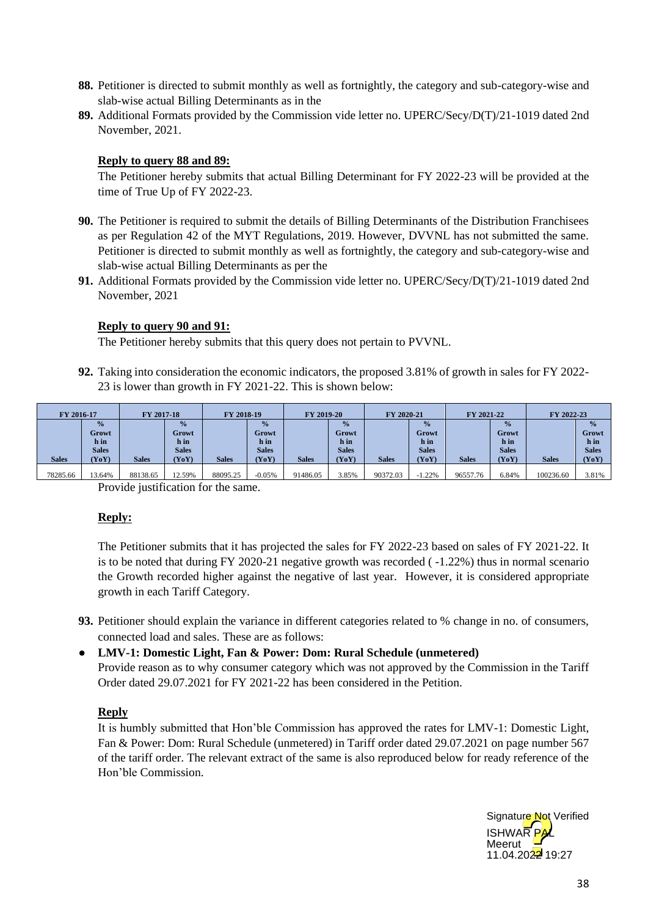- **88.** Petitioner is directed to submit monthly as well as fortnightly, the category and sub-category-wise and slab-wise actual Billing Determinants as in the
- **89.** Additional Formats provided by the Commission vide letter no. UPERC/Secy/D(T)/21-1019 dated 2nd November, 2021.

#### **Reply to query 88 and 89:**

The Petitioner hereby submits that actual Billing Determinant for FY 2022-23 will be provided at the time of True Up of FY 2022-23.

- **90.** The Petitioner is required to submit the details of Billing Determinants of the Distribution Franchisees as per Regulation 42 of the MYT Regulations, 2019. However, DVVNL has not submitted the same. Petitioner is directed to submit monthly as well as fortnightly, the category and sub-category-wise and slab-wise actual Billing Determinants as per the
- **91.** Additional Formats provided by the Commission vide letter no. UPERC/Secy/D(T)/21-1019 dated 2nd November, 2021

#### **Reply to query 90 and 91:**

The Petitioner hereby submits that this query does not pertain to PVVNL.

**92.** Taking into consideration the economic indicators, the proposed 3.81% of growth in sales for FY 2022- 23 is lower than growth in FY 2021-22. This is shown below:

| FY 2016-17   |               | FY 2017-18   |               | FY 2018-19   |               | FY 2019-20   |               | FY 2020-21   |               | FY 2021-22   |               | FY 2022-23   |               |
|--------------|---------------|--------------|---------------|--------------|---------------|--------------|---------------|--------------|---------------|--------------|---------------|--------------|---------------|
|              | $\frac{0}{0}$ |              | $\frac{0}{0}$ |              | $\frac{0}{2}$ |              | $\frac{0}{0}$ |              | $\frac{0}{0}$ |              | $\frac{0}{2}$ |              | $\frac{0}{0}$ |
|              | Growt         |              | Growt         |              | Growt         |              | <b>Growt</b>  |              | Growt         |              | Growt         |              | Growt         |
|              | h in          |              | h in          |              | h in          |              | h in          |              | h in          |              | h in          |              | h in          |
|              | <b>Sales</b>  |              | <b>Sales</b>  |              | <b>Sales</b>  |              | <b>Sales</b>  |              | <b>Sales</b>  |              | <b>Sales</b>  |              | <b>Sales</b>  |
| <b>Sales</b> | (YoY)         | <b>Sales</b> | YoY)          | <b>Sales</b> | (YoY)         | <b>Sales</b> | (YoY)         | <b>Sales</b> | (YoY)         | <b>Sales</b> | (YoY)         | <b>Sales</b> | (YoY)         |
|              |               |              |               |              |               |              |               |              |               |              |               |              |               |
| 78285.66     | 13.64%        | 88138.65     | 12.59%        | 88095.25     | $-0.05%$      | 91486.05     | 3.85%         | 90372.03     | $-1.22%$      | 96557.76     | 6.84%         | 100236.60    | 3.81%         |

Provide justification for the same.

## **Reply:**

The Petitioner submits that it has projected the sales for FY 2022-23 based on sales of FY 2021-22. It is to be noted that during FY 2020-21 negative growth was recorded ( -1.22%) thus in normal scenario the Growth recorded higher against the negative of last year. However, it is considered appropriate growth in each Tariff Category.

**93.** Petitioner should explain the variance in different categories related to % change in no. of consumers, connected load and sales. These are as follows:

## ● **LMV-1: Domestic Light, Fan & Power: Dom: Rural Schedule (unmetered)** Provide reason as to why consumer category which was not approved by the Commission in the Tariff Order dated 29.07.2021 for FY 2021-22 has been considered in the Petition.

#### **Reply**

It is humbly submitted that Hon'ble Commission has approved the rates for LMV-1: Domestic Light, Fan & Power: Dom: Rural Schedule (unmetered) in Tariff order dated 29.07.2021 on page number 567 of the tariff order. The relevant extract of the same is also reproduced below for ready reference of the Hon'ble Commission.

**ISHWAR** Meerut 11.04.2022 19:27 Signature Not Verified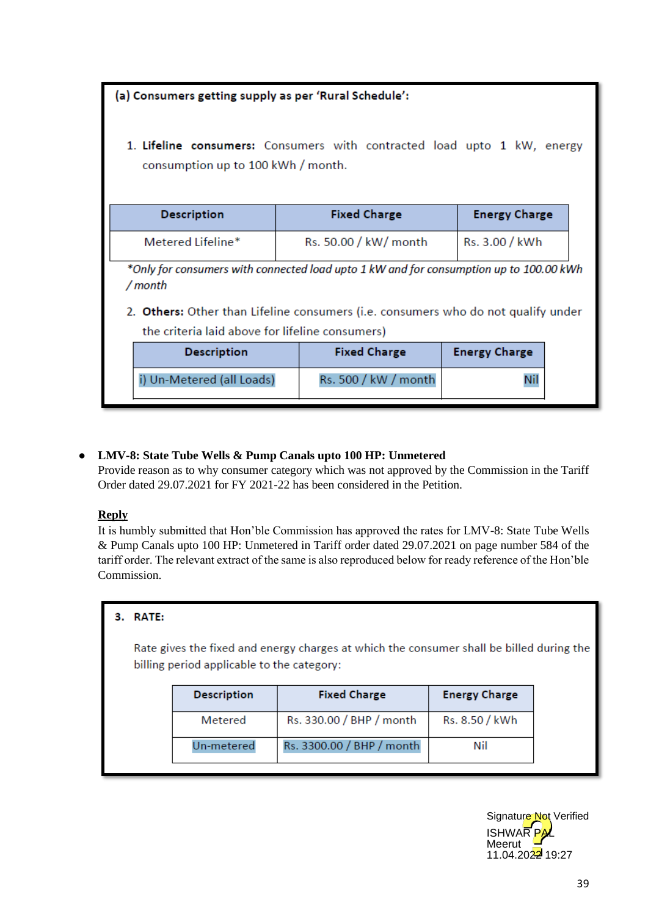|                                                                                                                                                                                        | (a) Consumers getting supply as per 'Rural Schedule':             |  |                       |                |  |  |  |  |  |
|----------------------------------------------------------------------------------------------------------------------------------------------------------------------------------------|-------------------------------------------------------------------|--|-----------------------|----------------|--|--|--|--|--|
| 1. Lifeline consumers: Consumers with contracted load upto 1 kW, energy<br>consumption up to 100 kWh / month.                                                                          |                                                                   |  |                       |                |  |  |  |  |  |
|                                                                                                                                                                                        | <b>Fixed Charge</b><br><b>Energy Charge</b><br><b>Description</b> |  |                       |                |  |  |  |  |  |
|                                                                                                                                                                                        | Metered Lifeline*                                                 |  | Rs. 50.00 / kW/ month | Rs. 3.00 / kWh |  |  |  |  |  |
| *Only for consumers with connected load upto 1 kW and for consumption up to 100.00 kWh<br>/ month<br>2. Others: Other than Lifeline consumers (i.e. consumers who do not qualify under |                                                                   |  |                       |                |  |  |  |  |  |
|                                                                                                                                                                                        | the criteria laid above for lifeline consumers)                   |  |                       |                |  |  |  |  |  |
|                                                                                                                                                                                        | <b>Energy Charge</b><br><b>Fixed Charge</b><br><b>Description</b> |  |                       |                |  |  |  |  |  |
|                                                                                                                                                                                        | i) Un-Metered (all Loads)                                         |  | Rs. 500 / kW / month  |                |  |  |  |  |  |

## ● **LMV-8: State Tube Wells & Pump Canals upto 100 HP: Unmetered**

Provide reason as to why consumer category which was not approved by the Commission in the Tariff Order dated 29.07.2021 for FY 2021-22 has been considered in the Petition.

## **Reply**

It is humbly submitted that Hon'ble Commission has approved the rates for LMV-8: State Tube Wells & Pump Canals upto 100 HP: Unmetered in Tariff order dated 29.07.2021 on page number 584 of the tariff order. The relevant extract of the same is also reproduced below for ready reference of the Hon'ble Commission.

## 3. RATE:

Rate gives the fixed and energy charges at which the consumer shall be billed during the billing period applicable to the category:

| <b>Description</b> | <b>Fixed Charge</b>       | <b>Energy Charge</b> |  |  |
|--------------------|---------------------------|----------------------|--|--|
| Metered            | Rs. 330.00 / BHP / month  | Rs. 8.50 / kWh       |  |  |
| Un-metered         | Rs. 3300.00 / BHP / month | Nil                  |  |  |

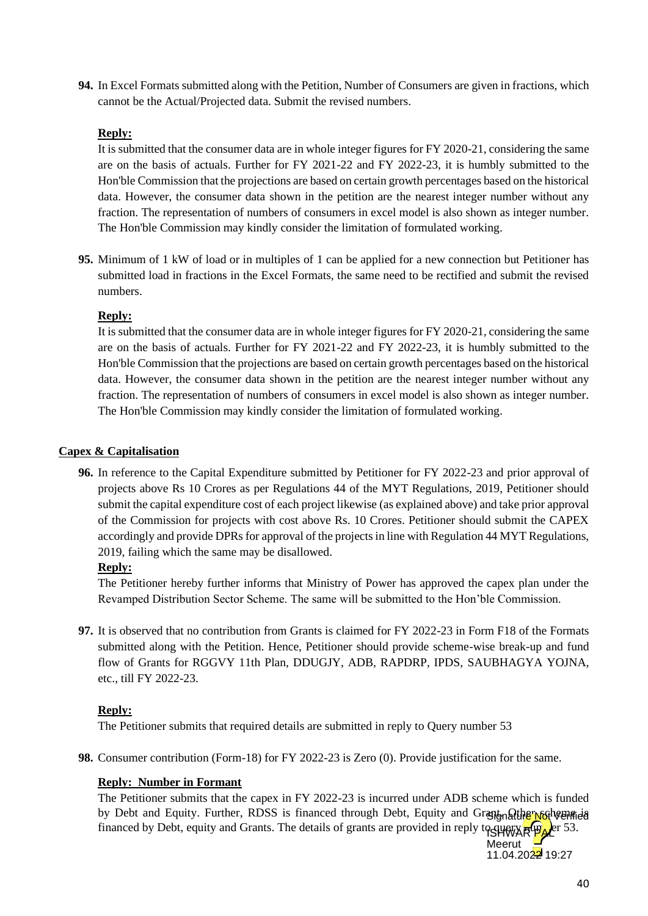**94.** In Excel Formats submitted along with the Petition, Number of Consumers are given in fractions, which cannot be the Actual/Projected data. Submit the revised numbers.

## **Reply:**

It is submitted that the consumer data are in whole integer figures for FY 2020-21, considering the same are on the basis of actuals. Further for FY 2021-22 and FY 2022-23, it is humbly submitted to the Hon'ble Commission that the projections are based on certain growth percentages based on the historical data. However, the consumer data shown in the petition are the nearest integer number without any fraction. The representation of numbers of consumers in excel model is also shown as integer number. The Hon'ble Commission may kindly consider the limitation of formulated working.

**95.** Minimum of 1 kW of load or in multiples of 1 can be applied for a new connection but Petitioner has submitted load in fractions in the Excel Formats, the same need to be rectified and submit the revised numbers.

## **Reply:**

It is submitted that the consumer data are in whole integer figures for FY 2020-21, considering the same are on the basis of actuals. Further for FY 2021-22 and FY 2022-23, it is humbly submitted to the Hon'ble Commission that the projections are based on certain growth percentages based on the historical data. However, the consumer data shown in the petition are the nearest integer number without any fraction. The representation of numbers of consumers in excel model is also shown as integer number. The Hon'ble Commission may kindly consider the limitation of formulated working.

## **Capex & Capitalisation**

**96.** In reference to the Capital Expenditure submitted by Petitioner for FY 2022-23 and prior approval of projects above Rs 10 Crores as per Regulations 44 of the MYT Regulations, 2019, Petitioner should submit the capital expenditure cost of each project likewise (as explained above) and take prior approval of the Commission for projects with cost above Rs. 10 Crores. Petitioner should submit the CAPEX accordingly and provide DPRs for approval of the projects in line with Regulation 44 MYT Regulations, 2019, failing which the same may be disallowed.

## **Reply:**

The Petitioner hereby further informs that Ministry of Power has approved the capex plan under the Revamped Distribution Sector Scheme. The same will be submitted to the Hon'ble Commission.

**97.** It is observed that no contribution from Grants is claimed for FY 2022-23 in Form F18 of the Formats submitted along with the Petition. Hence, Petitioner should provide scheme-wise break-up and fund flow of Grants for RGGVY 11th Plan, DDUGJY, ADB, RAPDRP, IPDS, SAUBHAGYA YOJNA, etc., till FY 2022-23.

## **Reply:**

The Petitioner submits that required details are submitted in reply to Query number 53

**98.** Consumer contribution (Form-18) for FY 2022-23 is Zero (0). Provide justification for the same.

## **Reply: Number in Formant**

The Petitioner submits that the capex in FY 2022-23 is incurred under ADB scheme which is funded by Debt and Equity. Further, RDSS is financed through Debt, Equity and Grant of the roother scheme financed by Debt, equity and Grants. The details of grants are provided in reply to superfy  $R^{\text{up}}$ 

Meerut 11.04.2022 19:27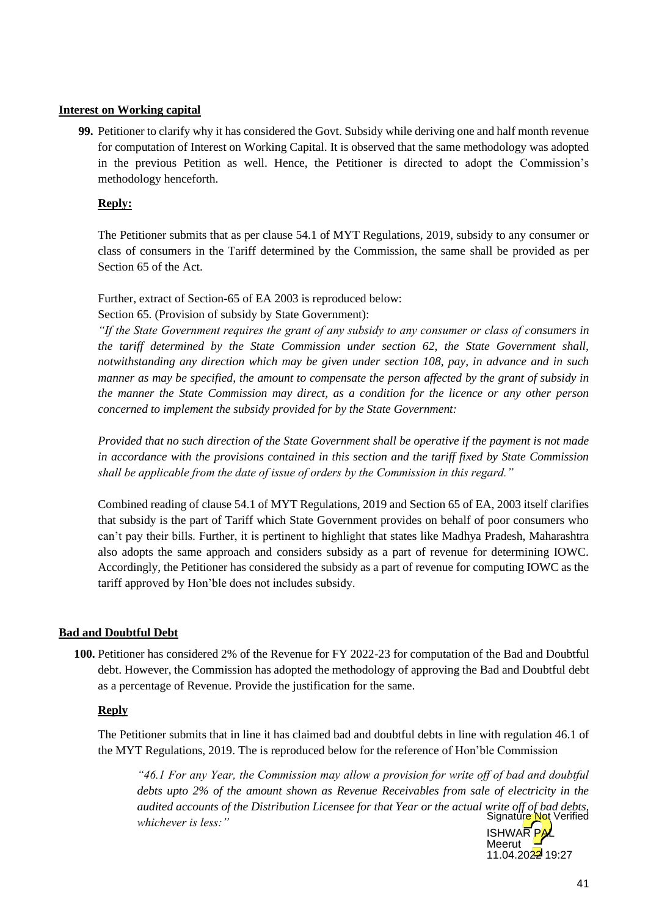#### **Interest on Working capital**

**99.** Petitioner to clarify why it has considered the Govt. Subsidy while deriving one and half month revenue for computation of Interest on Working Capital. It is observed that the same methodology was adopted in the previous Petition as well. Hence, the Petitioner is directed to adopt the Commission's methodology henceforth.

#### **Reply:**

The Petitioner submits that as per clause 54.1 of MYT Regulations, 2019, subsidy to any consumer or class of consumers in the Tariff determined by the Commission, the same shall be provided as per Section 65 of the Act.

Further, extract of Section-65 of EA 2003 is reproduced below: Section 65. (Provision of subsidy by State Government):

*"If the State Government requires the grant of any subsidy to any consumer or class of consumers in the tariff determined by the State Commission under section 62, the State Government shall, notwithstanding any direction which may be given under section 108, pay, in advance and in such manner as may be specified, the amount to compensate the person affected by the grant of subsidy in the manner the State Commission may direct, as a condition for the licence or any other person concerned to implement the subsidy provided for by the State Government:*

*Provided that no such direction of the State Government shall be operative if the payment is not made in accordance with the provisions contained in this section and the tariff fixed by State Commission shall be applicable from the date of issue of orders by the Commission in this regard."*

Combined reading of clause 54.1 of MYT Regulations, 2019 and Section 65 of EA, 2003 itself clarifies that subsidy is the part of Tariff which State Government provides on behalf of poor consumers who can't pay their bills. Further, it is pertinent to highlight that states like Madhya Pradesh, Maharashtra also adopts the same approach and considers subsidy as a part of revenue for determining IOWC. Accordingly, the Petitioner has considered the subsidy as a part of revenue for computing IOWC as the tariff approved by Hon'ble does not includes subsidy.

#### **Bad and Doubtful Debt**

**100.** Petitioner has considered 2% of the Revenue for FY 2022-23 for computation of the Bad and Doubtful debt. However, the Commission has adopted the methodology of approving the Bad and Doubtful debt as a percentage of Revenue. Provide the justification for the same.

#### **Reply**

The Petitioner submits that in line it has claimed bad and doubtful debts in line with regulation 46.1 of the MYT Regulations, 2019. The is reproduced below for the reference of Hon'ble Commission

*"46.1 For any Year, the Commission may allow a provision for write off of bad and doubtful debts upto 2% of the amount shown as Revenue Receivables from sale of electricity in the audited accounts of the Distribution Licensee for that Year or the actual write off of bad debts, whichever is less:"* Signatűre Not Verified

**ISHWAR** Meerut  $11.04.2022$  19:27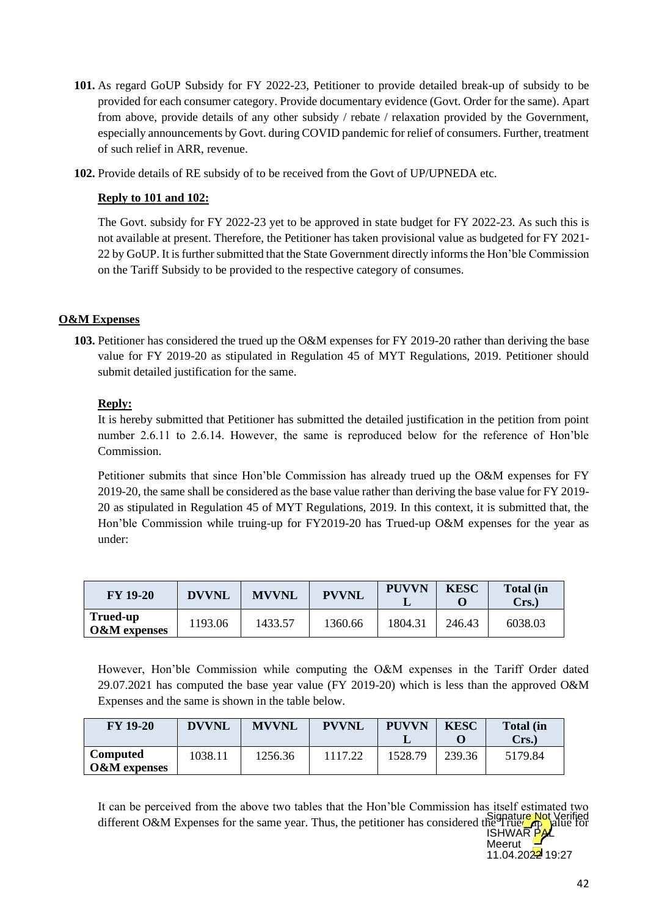- **101.** As regard GoUP Subsidy for FY 2022-23, Petitioner to provide detailed break-up of subsidy to be provided for each consumer category. Provide documentary evidence (Govt. Order for the same). Apart from above, provide details of any other subsidy / rebate / relaxation provided by the Government, especially announcements by Govt. during COVID pandemic for relief of consumers. Further, treatment of such relief in ARR, revenue.
- **102.** Provide details of RE subsidy of to be received from the Govt of UP/UPNEDA etc.

## **Reply to 101 and 102:**

The Govt. subsidy for FY 2022-23 yet to be approved in state budget for FY 2022-23. As such this is not available at present. Therefore, the Petitioner has taken provisional value as budgeted for FY 2021- 22 by GoUP. It is further submitted that the State Government directly informs the Hon'ble Commission on the Tariff Subsidy to be provided to the respective category of consumes.

## **O&M Expenses**

**103.** Petitioner has considered the trued up the O&M expenses for FY 2019-20 rather than deriving the base value for FY 2019-20 as stipulated in Regulation 45 of MYT Regulations, 2019. Petitioner should submit detailed justification for the same.

## **Reply:**

It is hereby submitted that Petitioner has submitted the detailed justification in the petition from point number 2.6.11 to 2.6.14. However, the same is reproduced below for the reference of Hon'ble Commission.

Petitioner submits that since Hon'ble Commission has already trued up the O&M expenses for FY 2019-20, the same shall be considered as the base value rather than deriving the base value for FY 2019- 20 as stipulated in Regulation 45 of MYT Regulations, 2019. In this context, it is submitted that, the Hon'ble Commission while truing-up for FY2019-20 has Trued-up O&M expenses for the year as under:

| <b>FY 19-20</b>                     | <b>DVVNL</b> | <b>MVVNL</b> | <b>PVVNL</b> | <b>PUVVN</b> | <b>KESC</b> | <b>Total (in</b><br>Crs. |
|-------------------------------------|--------------|--------------|--------------|--------------|-------------|--------------------------|
| Trued-up<br><b>O&amp;M</b> expenses | 1193.06      | 1433.57      | 1360.66      | 1804.31      | 246.43      | 6038.03                  |

However, Hon'ble Commission while computing the O&M expenses in the Tariff Order dated 29.07.2021 has computed the base year value (FY 2019-20) which is less than the approved O&M Expenses and the same is shown in the table below.

| <b>FY 19-20</b>                     | <b>DVVNL</b> | <b>MVVNL</b> | <b>PVVNL</b> | <b>PUVVN</b> | <b>KESC</b> | <b>Total</b> (in<br>Crs. |
|-------------------------------------|--------------|--------------|--------------|--------------|-------------|--------------------------|
| Computed<br><b>O&amp;M</b> expenses | 1038.11      | 1256.36      | 1117.22      | 1528.79      | 239.36      | 5179.84                  |

It can be perceived from the above two tables that the Hon'ble Commission has itself estimated two Signature Not Verified<br>different O&M Expenses for the same year. Thus, the petitioner has considered the True **ISHWAR** 

Meerut  $11.04.2022$  19:27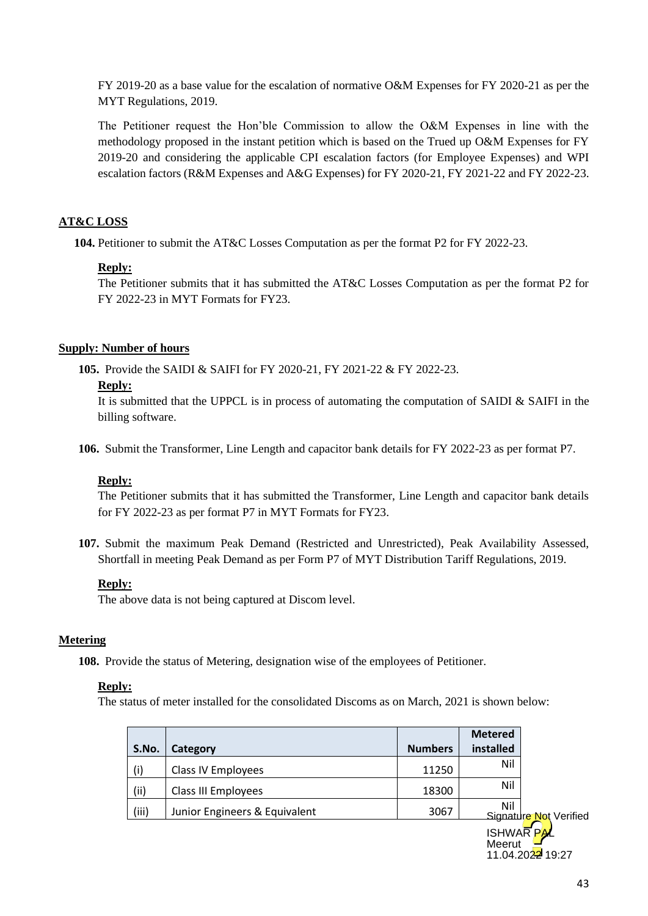FY 2019-20 as a base value for the escalation of normative O&M Expenses for FY 2020-21 as per the MYT Regulations, 2019.

The Petitioner request the Hon'ble Commission to allow the O&M Expenses in line with the methodology proposed in the instant petition which is based on the Trued up O&M Expenses for FY 2019-20 and considering the applicable CPI escalation factors (for Employee Expenses) and WPI escalation factors (R&M Expenses and A&G Expenses) for FY 2020-21, FY 2021-22 and FY 2022-23.

## **AT&C LOSS**

**104.** Petitioner to submit the AT&C Losses Computation as per the format P2 for FY 2022-23.

#### **Reply:**

The Petitioner submits that it has submitted the AT&C Losses Computation as per the format P2 for FY 2022-23 in MYT Formats for FY23.

#### **Supply: Number of hours**

**105.** Provide the SAIDI & SAIFI for FY 2020-21, FY 2021-22 & FY 2022-23.

#### **Reply:**

It is submitted that the UPPCL is in process of automating the computation of SAIDI  $\&$  SAIFI in the billing software.

**106.** Submit the Transformer, Line Length and capacitor bank details for FY 2022-23 as per format P7.

#### **Reply:**

The Petitioner submits that it has submitted the Transformer, Line Length and capacitor bank details for FY 2022-23 as per format P7 in MYT Formats for FY23.

**107.** Submit the maximum Peak Demand (Restricted and Unrestricted), Peak Availability Assessed, Shortfall in meeting Peak Demand as per Form P7 of MYT Distribution Tariff Regulations, 2019.

#### **Reply:**

The above data is not being captured at Discom level.

#### **Metering**

**108.** Provide the status of Metering, designation wise of the employees of Petitioner.

#### **Reply:**

The status of meter installed for the consolidated Discoms as on March, 2021 is shown below:

|       |                               |                | <b>Metered</b> |                        |
|-------|-------------------------------|----------------|----------------|------------------------|
| S.No. | Category                      | <b>Numbers</b> | installed      |                        |
| (i)   | Class IV Employees            | 11250          | Nil            |                        |
| (ii)  | Class III Employees           | 18300          | Nil            |                        |
| (iii) | Junior Engineers & Equivalent | 3067           | Nil            | Signature Not Verified |
|       |                               |                |                |                        |

**ISHWARPAL** Meerut 11.04.2022 19:27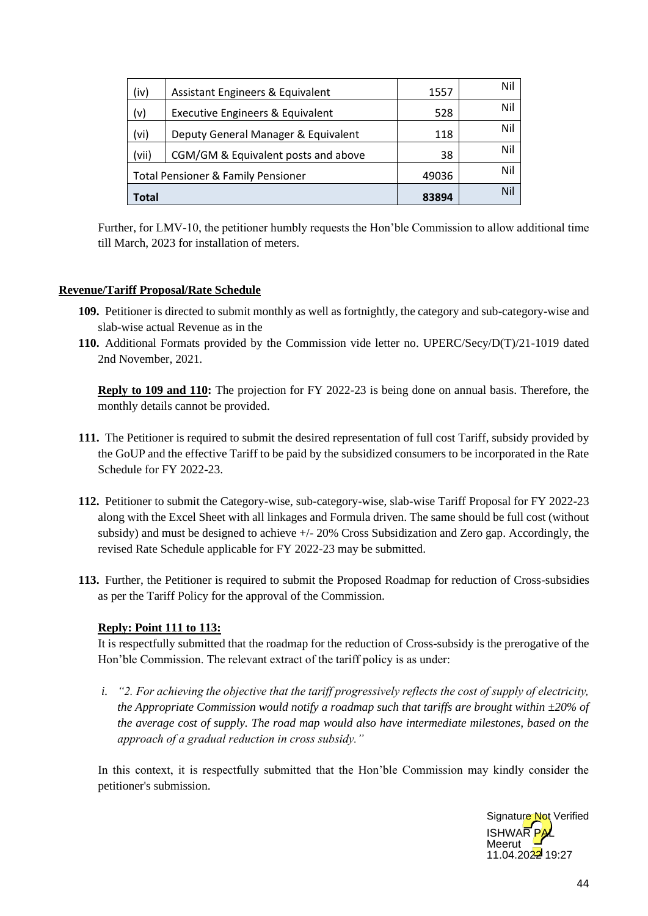| (iv)  | Assistant Engineers & Equivalent              | 1557  | Nil |
|-------|-----------------------------------------------|-------|-----|
| (v)   | <b>Executive Engineers &amp; Equivalent</b>   | 528   | Nil |
| (vi)  | Deputy General Manager & Equivalent           | 118   | Nil |
| (vii) | CGM/GM & Equivalent posts and above           | 38    | Nil |
|       | <b>Total Pensioner &amp; Family Pensioner</b> | 49036 | Nil |
| Total |                                               | 83894 | Nil |

Further, for LMV-10, the petitioner humbly requests the Hon'ble Commission to allow additional time till March, 2023 for installation of meters.

#### **Revenue/Tariff Proposal/Rate Schedule**

- **109.** Petitioner is directed to submit monthly as well as fortnightly, the category and sub-category-wise and slab-wise actual Revenue as in the
- **110.** Additional Formats provided by the Commission vide letter no. UPERC/Secy/D(T)/21-1019 dated 2nd November, 2021.

**Reply to 109 and 110:** The projection for FY 2022-23 is being done on annual basis. Therefore, the monthly details cannot be provided.

- **111.** The Petitioner is required to submit the desired representation of full cost Tariff, subsidy provided by the GoUP and the effective Tariff to be paid by the subsidized consumers to be incorporated in the Rate Schedule for FY 2022-23.
- **112.** Petitioner to submit the Category-wise, sub-category-wise, slab-wise Tariff Proposal for FY 2022-23 along with the Excel Sheet with all linkages and Formula driven. The same should be full cost (without subsidy) and must be designed to achieve +/- 20% Cross Subsidization and Zero gap. Accordingly, the revised Rate Schedule applicable for FY 2022-23 may be submitted.
- **113.** Further, the Petitioner is required to submit the Proposed Roadmap for reduction of Cross-subsidies as per the Tariff Policy for the approval of the Commission.

## **Reply: Point 111 to 113:**

It is respectfully submitted that the roadmap for the reduction of Cross-subsidy is the prerogative of the Hon'ble Commission. The relevant extract of the tariff policy is as under:

*i. "2. For achieving the objective that the tariff progressively reflects the cost of supply of electricity, the Appropriate Commission would notify a roadmap such that tariffs are brought within ±20% of the average cost of supply. The road map would also have intermediate milestones, based on the approach of a gradual reduction in cross subsidy."*

In this context, it is respectfully submitted that the Hon'ble Commission may kindly consider the petitioner's submission.

> **ISHWAR PAL** Meerut  $11.04.2022$  19:27 Signature Not Verified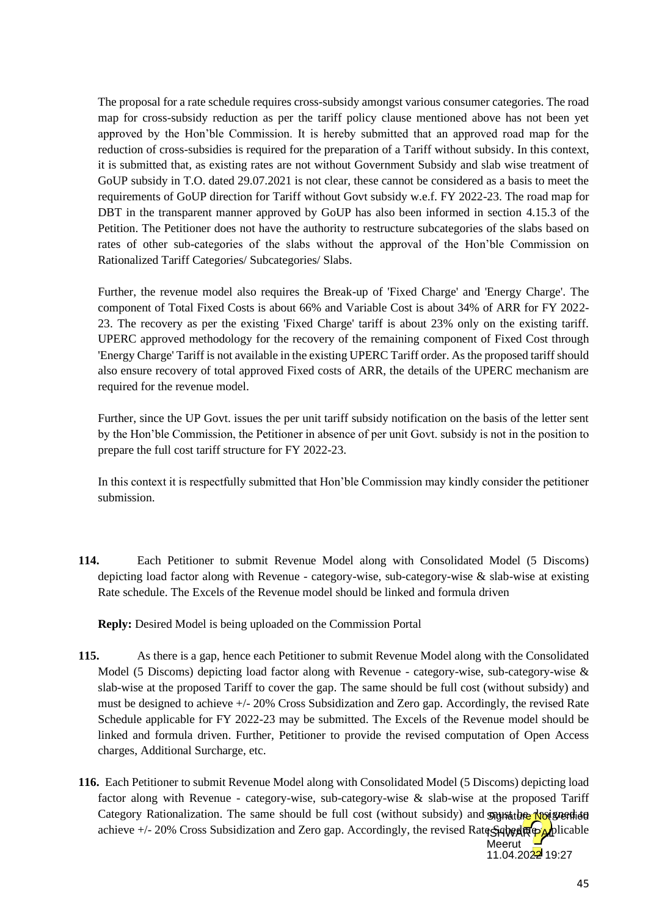The proposal for a rate schedule requires cross-subsidy amongst various consumer categories. The road map for cross-subsidy reduction as per the tariff policy clause mentioned above has not been yet approved by the Hon'ble Commission. It is hereby submitted that an approved road map for the reduction of cross-subsidies is required for the preparation of a Tariff without subsidy. In this context, it is submitted that, as existing rates are not without Government Subsidy and slab wise treatment of GoUP subsidy in T.O. dated 29.07.2021 is not clear, these cannot be considered as a basis to meet the requirements of GoUP direction for Tariff without Govt subsidy w.e.f. FY 2022-23. The road map for DBT in the transparent manner approved by GoUP has also been informed in section 4.15.3 of the Petition. The Petitioner does not have the authority to restructure subcategories of the slabs based on rates of other sub-categories of the slabs without the approval of the Hon'ble Commission on Rationalized Tariff Categories/ Subcategories/ Slabs.

Further, the revenue model also requires the Break-up of 'Fixed Charge' and 'Energy Charge'. The component of Total Fixed Costs is about 66% and Variable Cost is about 34% of ARR for FY 2022- 23. The recovery as per the existing 'Fixed Charge' tariff is about 23% only on the existing tariff. UPERC approved methodology for the recovery of the remaining component of Fixed Cost through 'Energy Charge' Tariff is not available in the existing UPERC Tariff order. As the proposed tariff should also ensure recovery of total approved Fixed costs of ARR, the details of the UPERC mechanism are required for the revenue model.

Further, since the UP Govt. issues the per unit tariff subsidy notification on the basis of the letter sent by the Hon'ble Commission, the Petitioner in absence of per unit Govt. subsidy is not in the position to prepare the full cost tariff structure for FY 2022-23.

In this context it is respectfully submitted that Hon'ble Commission may kindly consider the petitioner submission.

**114.** Each Petitioner to submit Revenue Model along with Consolidated Model (5 Discoms) depicting load factor along with Revenue - category-wise, sub-category-wise & slab-wise at existing Rate schedule. The Excels of the Revenue model should be linked and formula driven

**Reply:** Desired Model is being uploaded on the Commission Portal

- **115.** As there is a gap, hence each Petitioner to submit Revenue Model along with the Consolidated Model (5 Discoms) depicting load factor along with Revenue - category-wise, sub-category-wise & slab-wise at the proposed Tariff to cover the gap. The same should be full cost (without subsidy) and must be designed to achieve +/- 20% Cross Subsidization and Zero gap. Accordingly, the revised Rate Schedule applicable for FY 2022-23 may be submitted. The Excels of the Revenue model should be linked and formula driven. Further, Petitioner to provide the revised computation of Open Access charges, Additional Surcharge, etc.
- **116.** Each Petitioner to submit Revenue Model along with Consolidated Model (5 Discoms) depicting load factor along with Revenue - category-wise, sub-category-wise & slab-wise at the proposed Tariff Category Rationalization. The same should be full cost (without subsidy) and supposition to the achieve +/- 20% Cross Subsidization and Zero gap. Accordingly, the revised Rate Sque Applicable Meerut

 $11.04.2022$  19:27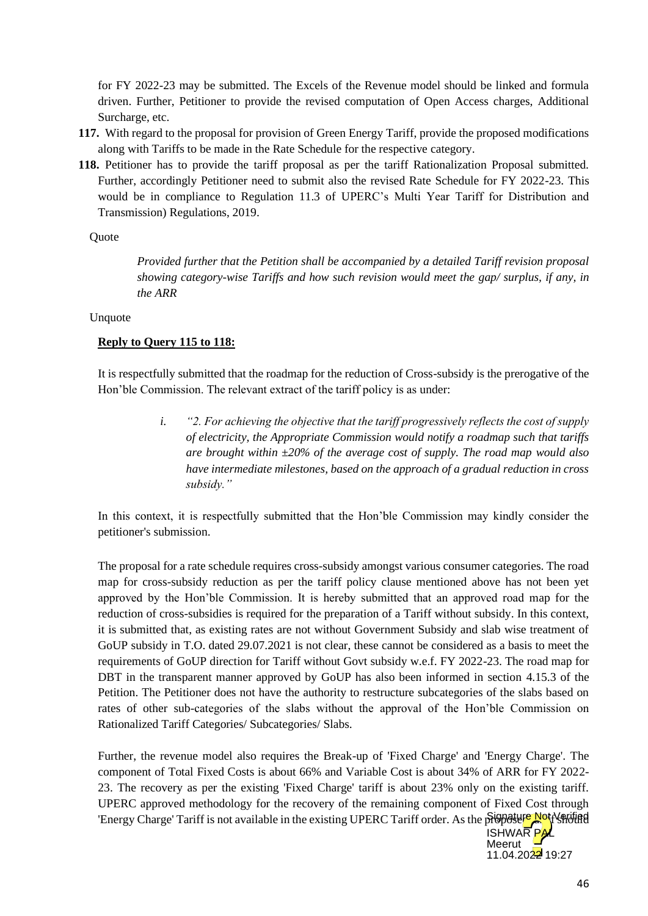for FY 2022-23 may be submitted. The Excels of the Revenue model should be linked and formula driven. Further, Petitioner to provide the revised computation of Open Access charges, Additional Surcharge, etc.

- **117.** With regard to the proposal for provision of Green Energy Tariff, provide the proposed modifications along with Tariffs to be made in the Rate Schedule for the respective category.
- **118.** Petitioner has to provide the tariff proposal as per the tariff Rationalization Proposal submitted. Further, accordingly Petitioner need to submit also the revised Rate Schedule for FY 2022-23. This would be in compliance to Regulation 11.3 of UPERC's Multi Year Tariff for Distribution and Transmission) Regulations, 2019.

#### **Ouote**

*Provided further that the Petition shall be accompanied by a detailed Tariff revision proposal showing category-wise Tariffs and how such revision would meet the gap/ surplus, if any, in the ARR*

#### Unquote

#### **Reply to Query 115 to 118:**

It is respectfully submitted that the roadmap for the reduction of Cross-subsidy is the prerogative of the Hon'ble Commission. The relevant extract of the tariff policy is as under:

> *i. "2. For achieving the objective that the tariff progressively reflects the cost of supply of electricity, the Appropriate Commission would notify a roadmap such that tariffs are brought within ±20% of the average cost of supply. The road map would also have intermediate milestones, based on the approach of a gradual reduction in cross subsidy."*

In this context, it is respectfully submitted that the Hon'ble Commission may kindly consider the petitioner's submission.

The proposal for a rate schedule requires cross-subsidy amongst various consumer categories. The road map for cross-subsidy reduction as per the tariff policy clause mentioned above has not been yet approved by the Hon'ble Commission. It is hereby submitted that an approved road map for the reduction of cross-subsidies is required for the preparation of a Tariff without subsidy. In this context, it is submitted that, as existing rates are not without Government Subsidy and slab wise treatment of GoUP subsidy in T.O. dated 29.07.2021 is not clear, these cannot be considered as a basis to meet the requirements of GoUP direction for Tariff without Govt subsidy w.e.f. FY 2022-23. The road map for DBT in the transparent manner approved by GoUP has also been informed in section 4.15.3 of the Petition. The Petitioner does not have the authority to restructure subcategories of the slabs based on rates of other sub-categories of the slabs without the approval of the Hon'ble Commission on Rationalized Tariff Categories/ Subcategories/ Slabs.

Further, the revenue model also requires the Break-up of 'Fixed Charge' and 'Energy Charge'. The component of Total Fixed Costs is about 66% and Variable Cost is about 34% of ARR for FY 2022- 23. The recovery as per the existing 'Fixed Charge' tariff is about 23% only on the existing tariff. UPERC approved methodology for the recovery of the remaining component of Fixed Cost through 'Energy Charge' Tariff is not available in the existing UPERC Tariff order. As the propose not Verified